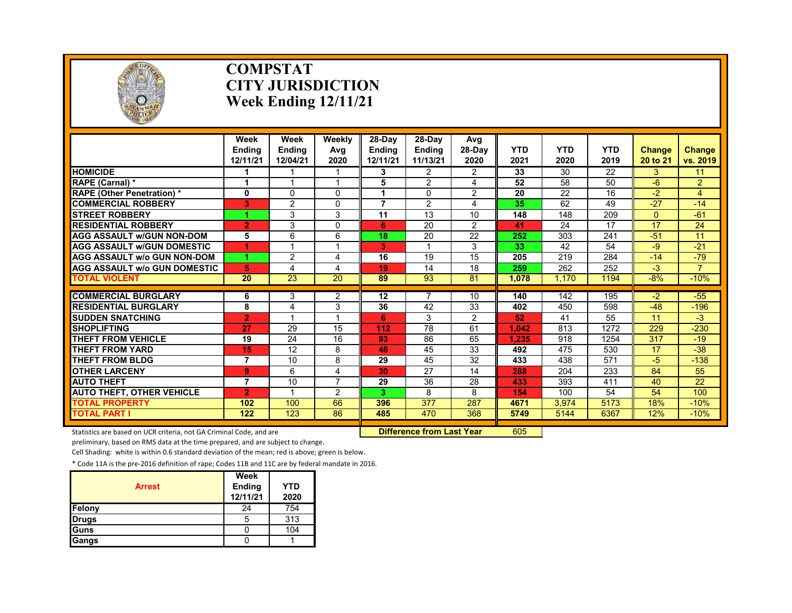

### **COMPSTAT CITY JURISDICTION Week Ending 12/11/21**

|                                               | Week<br><b>Endina</b><br>12/11/21 | Week<br><b>Endina</b><br>12/04/21 | Weekly<br>Avg<br>2020 | 28-Dav<br><b>Endina</b><br>12/11/21 | 28-Day<br><b>Endina</b><br>11/13/21 | Avg<br>28-Day<br>2020 | <b>YTD</b><br>2021 | <b>YTD</b><br>2020 | <b>YTD</b><br>2019 | <b>Change</b><br>20 to 21 | Change<br>vs. 2019 |
|-----------------------------------------------|-----------------------------------|-----------------------------------|-----------------------|-------------------------------------|-------------------------------------|-----------------------|--------------------|--------------------|--------------------|---------------------------|--------------------|
| <b>HOMICIDE</b>                               |                                   |                                   |                       | 3                                   | 2                                   | $\overline{2}$        | 33                 | 30                 | $\overline{22}$    | 3                         | 11                 |
| RAPE (Carnal) *                               | 1                                 | $\overline{\mathbf{A}}$           |                       | 5                                   | $\overline{2}$                      | 4                     | 52                 | 58                 | 50                 | $-6$                      | $\overline{2}$     |
| <b>RAPE (Other Penetration) *</b>             | 0                                 | 0                                 | $\Omega$              |                                     | 0                                   | $\overline{2}$        | 20                 | 22                 | 16                 | $-2$                      | $\overline{4}$     |
| <b>COMMERCIAL ROBBERY</b>                     | 3                                 | $\overline{2}$                    | $\Omega$              | $\overline{\phantom{a}}$            | 2                                   | 4                     | 35                 | 62                 | 49                 | $-27$                     | $-14$              |
| <b>STREET ROBBERY</b>                         | 4                                 | 3                                 | 3                     | 11                                  | 13                                  | 10                    | 148                | 148                | 209                | $\Omega$                  | $-61$              |
| <b>RESIDENTIAL ROBBERY</b>                    | $\overline{2}$                    | 3                                 | $\Omega$              | 6                                   | 20                                  | $\overline{2}$        | 41                 | 24                 | 17                 | 17                        | 24                 |
| <b>AGG ASSAULT W/GUN NON-DOM</b>              | 5                                 | 6                                 | 6                     | 18                                  | 20                                  | 22                    | 252                | 303                | 241                | $-51$                     | 11                 |
| <b>AGG ASSAULT W/GUN DOMESTIC</b>             | 1                                 |                                   |                       | 3                                   |                                     | 3                     | 33                 | 42                 | 54                 | -9                        | $-21$              |
| <b>AGG ASSAULT W/o GUN NON-DOM</b>            | 1                                 | 2                                 | 4                     | 16                                  | 19                                  | 15                    | 205                | 219                | 284                | $-14$                     | $-79$              |
| <b>AGG ASSAULT W/o GUN DOMESTIC</b>           | 5                                 | 4                                 | 4                     | 19                                  | 14                                  | 18                    | 259                | 262                | 252                | $-3$                      | 7                  |
| <b>TOTAL VIOLENT</b>                          | 20                                | 23                                | $\overline{20}$       | 89                                  | 93                                  | 81                    | 1,078              | 1.170              | 1194               | $-8%$                     | $-10%$             |
| <b>COMMERCIAL BURGLARY</b>                    |                                   |                                   |                       | 12                                  |                                     |                       | 140                | 142                | 195                | $-2$                      |                    |
| <b>RESIDENTIAL BURGLARY</b>                   | 6<br>8                            | 3<br>4                            | $\overline{2}$<br>3   | 36                                  | 42                                  | 10<br>33              | 402                | 450                |                    | $-48$                     | $-55$<br>$-196$    |
|                                               |                                   | $\overline{\mathbf{A}}$           |                       |                                     |                                     |                       |                    |                    | 598                | 11                        |                    |
| <b>SUDDEN SNATCHING</b><br><b>SHOPLIFTING</b> | $\overline{2}$<br>27              | 29                                | 15                    | 6<br>112                            | 3<br>78                             | $\overline{2}$<br>61  | 52<br>1.042        | 41<br>813          | 55<br>1272         | 229                       | $-3$<br>$-230$     |
| <b>THEFT FROM VEHICLE</b>                     |                                   | 24                                | 16                    |                                     |                                     |                       |                    |                    |                    |                           |                    |
|                                               | 19                                | 12                                | 8                     | 93<br>46                            | 86<br>45                            | 65<br>33              | 1.235              | 918                | 1254               | 317<br>17                 | $-19$              |
| <b>THEFT FROM YARD</b><br>THEFT FROM BLDG     | 15                                |                                   |                       |                                     |                                     |                       | 492                | 475                | 530                |                           | $-38$              |
|                                               | 7                                 | 10                                | 8                     | 29<br>30                            | 45<br>27                            | 32<br>14              | 433                | 438                | 571                | -5<br>84                  | $-138$             |
| <b>OTHER LARCENY</b><br><b>AUTO THEFT</b>     | 9                                 | 6<br>10                           | 4<br>$\overline{7}$   | 29                                  | 36                                  | 28                    | 288<br>433         | 204<br>393         | 233<br>411         | 40                        | 55<br>22           |
|                                               | $\overline{7}$                    | 1                                 |                       |                                     |                                     |                       |                    |                    |                    |                           |                    |
| <b>AUTO THEFT, OTHER VEHICLE</b>              | $\overline{2}$                    |                                   | 2                     | 3.                                  | 8                                   | 8                     | 154                | 100                | 54                 | 54                        | 100                |
| <b>TOTAL PROPERTY</b>                         | 102                               | 100                               | 66                    | 396                                 | 377                                 | 287                   | 4671               | 3.974              | 5173               | 18%                       | $-10%$             |
| <b>TOTAL PART I</b>                           | 122                               | 123                               | 86                    | 485                                 | 470                                 | 368                   | 5749               | 5144               | 6367               | 12%                       | $-10%$             |

Statistics are based on UCR criteria, not GA Criminal Code, and are **Difference from Last Year** 605

preliminary, based on RMS data at the time prepared, and are subject to change.

Cell Shading: white is within 0.6 standard deviation of the mean; red is above; green is below.

| <b>Arrest</b> | Week<br>Ending<br>12/11/21 | <b>YTD</b><br>2020 |
|---------------|----------------------------|--------------------|
| Felony        | 24                         | 754                |
| <b>Drugs</b>  | 5                          | 313                |
| Guns          |                            | 104                |
| Gangs         |                            |                    |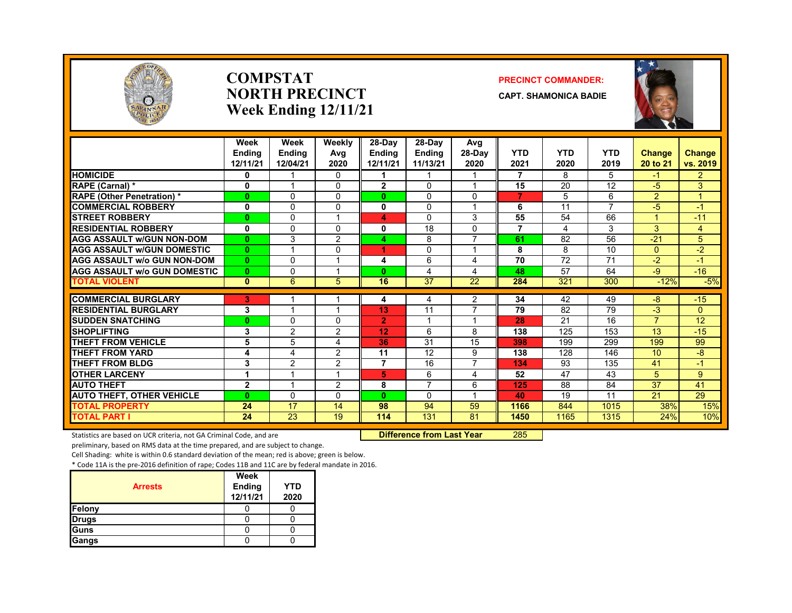

### **COMPSTATNORTH PRECINCTWeek Ending 12/11/21**

### **PRECINCT COMMANDER:**

**CAPT. SHAMONICA BADIE**



|                                     | Week<br><b>Endina</b><br>12/11/21 | Week<br><b>Endina</b><br>12/04/21 | Weekly<br>Avg<br>2020 | 28-Day<br><b>Endina</b><br>12/11/21 | $28-Dav$<br><b>Endina</b><br>11/13/21 | Avg<br>$28-Dav$<br>2020      | <b>YTD</b><br>2021 | <b>YTD</b><br>2020 | <b>YTD</b><br>2019 | <b>Change</b><br>20 to 21 | Change<br>vs. 2019 |
|-------------------------------------|-----------------------------------|-----------------------------------|-----------------------|-------------------------------------|---------------------------------------|------------------------------|--------------------|--------------------|--------------------|---------------------------|--------------------|
| <b>HOMICIDE</b>                     | 0                                 |                                   | 0                     |                                     |                                       |                              | $\overline{7}$     | 8                  | 5                  | $-1$                      | $\overline{2}$     |
| RAPE (Carnal) *                     | 0                                 | $\overline{\mathbf{A}}$           | 0                     | $\mathbf{2}$                        | $\Omega$                              | 1                            | 15                 | 20                 | 12                 | $-5$                      | 3                  |
| <b>RAPE (Other Penetration) *</b>   | 0                                 | $\Omega$                          | $\Omega$              | 0                                   | $\Omega$                              | $\Omega$                     | 7                  | 5                  | 6                  | $\overline{2}$            | 4                  |
| <b>COMMERCIAL ROBBERY</b>           | 0                                 | $\mathbf{0}$                      | 0                     | 0                                   | 0                                     | 1                            | 6                  | 11                 | 7                  | -5                        | -1                 |
| <b>STREET ROBBERY</b>               | $\bf{0}$                          | $\Omega$                          |                       | 4                                   | $\Omega$                              | 3                            | 55                 | 54                 | 66                 |                           | $-11$              |
| <b>RESIDENTIAL ROBBERY</b>          | 0                                 | $\Omega$                          | 0                     | 0                                   | 18                                    | $\Omega$                     | $\overline{7}$     | 4                  | 3                  | 3                         | $\overline{4}$     |
| <b>AGG ASSAULT w/GUN NON-DOM</b>    | $\bf{0}$                          | 3                                 | $\overline{2}$        | 4                                   | 8                                     | $\overline{7}$               | 61                 | 82                 | 56                 | $-21$                     | 5                  |
| <b>AGG ASSAULT W/GUN DOMESTIC</b>   | $\bf{0}$                          | $\overline{A}$                    | 0                     | 4                                   | $\Omega$                              | $\overline{\mathbf{A}}$      | 8                  | 8                  | 10                 | $\Omega$                  | $-2$               |
| AGG ASSAULT w/o GUN NON-DOM         | $\bf{0}$                          | $\mathbf{0}$                      |                       | 4                                   | 6                                     | 4                            | 70                 | 72                 | 71                 | $-2$                      | -1                 |
| <b>AGG ASSAULT w/o GUN DOMESTIC</b> | $\bf{0}$                          | $\mathbf{0}$                      |                       | 0                                   | 4                                     | 4                            | 48                 | 57                 | 64                 | -9                        | $-16$              |
| <b>TOTAL VIOLENT</b>                | $\bf{0}$                          | 6                                 | 5                     | 16                                  | 37                                    | 22                           | 284                | 321                | 300                | $-12%$                    | $-5%$              |
| <b>COMMERCIAL BURGLARY</b>          | 3                                 |                                   |                       |                                     |                                       |                              | 34                 | 42                 | 49                 | -8                        | $-15$              |
| <b>RESIDENTIAL BURGLARY</b>         | 3                                 |                                   |                       | 4<br>13                             | 4<br>11                               | 2<br>7                       | 79                 | 82                 | 79                 | $-3$                      | $\overline{0}$     |
| <b>SUDDEN SNATCHING</b>             | $\bf{0}$                          | $\Omega$                          | 0                     | $\overline{2}$                      |                                       | $\overline{\mathbf{A}}$      | 28                 | 21                 | 16                 | $\overline{7}$            | 12                 |
| <b>SHOPLIFTING</b>                  |                                   |                                   |                       |                                     |                                       |                              |                    |                    |                    |                           |                    |
| <b>THEFT FROM VEHICLE</b>           | 3<br>5                            | 2<br>5                            | 2                     | 12<br>36                            | 6<br>$\overline{31}$                  | 8<br>15                      | 138<br>398         | 125<br>199         | 153<br>299         | 13<br>199                 | $-15$<br>99        |
| <b>THEFT FROM YARD</b>              | 4                                 | 4                                 | 4<br>2                | 11                                  | 12                                    | 9                            | 138                | 128                | 146                | 10                        | -8                 |
| <b>THEFT FROM BLDG</b>              |                                   |                                   |                       | 7                                   | 16                                    | 7                            |                    |                    | 135                | 41                        | $\blacksquare$     |
| <b>OTHER LARCENY</b>                | 3<br>1                            | 2<br>$\overline{\mathbf{A}}$      | 2                     | 5                                   | 6                                     |                              | 134<br>52          | 93<br>47           | 43                 | 5                         | 9                  |
|                                     |                                   | $\overline{A}$                    |                       |                                     | $\overline{7}$                        | 4                            |                    | $\overline{88}$    | 84                 | $\overline{37}$           | 41                 |
| <b>AUTO THEFT</b>                   | $\overline{2}$<br>$\bf{0}$        |                                   | 2<br>$\Omega$         | 8<br>0                              |                                       | 6<br>$\overline{\mathbf{A}}$ | 125<br>40          | 19                 | 11                 | 21                        | 29                 |
| <b>AUTO THEFT, OTHER VEHICLE</b>    |                                   | $\mathbf{0}$                      |                       |                                     | $\mathbf{0}$                          |                              |                    |                    |                    |                           |                    |
| <b>TOTAL PROPERTY</b>               | 24                                | 17                                | 14                    | 98                                  | 94                                    | 59                           | 1166               | 844                | 1015               | 38%                       | 15%                |
| <b>TOTAL PART I</b>                 | 24                                | 23                                | 19                    | 114                                 | 131                                   | 81                           | 1450               | 1165               | 1315               | 24%                       | 10%                |

Statistics are based on UCR criteria, not GA Criminal Code, and are **Difference from Last Year** 285

preliminary, based on RMS data at the time prepared, and are subject to change.

Cell Shading: white is within 0.6 standard deviation of the mean; red is above; green is below.

|                | Week               |                    |
|----------------|--------------------|--------------------|
| <b>Arrests</b> | Ending<br>12/11/21 | <b>YTD</b><br>2020 |
| Felony         |                    |                    |
| <b>Drugs</b>   |                    |                    |
| Guns           |                    |                    |
| Gangs          |                    |                    |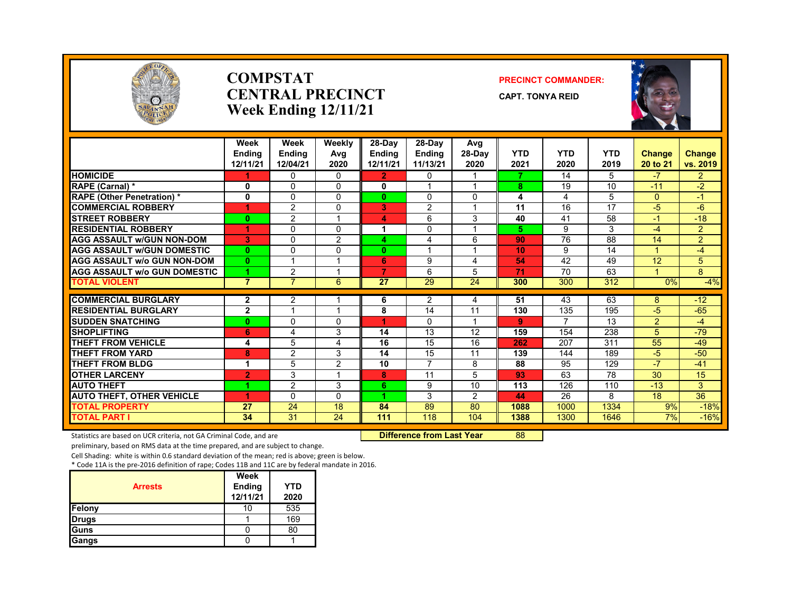

### **COMPSTATCENTRAL PRECINCTWeek Ending 12/11/21**

### **PRECINCT COMMANDER:**

**CAPT. TONYA REID**



|                                     | Week<br><b>Endina</b><br>12/11/21 | Week<br><b>Endina</b><br>12/04/21 | Weekly<br>Avg<br>2020 | 28-Day<br>Endina<br>12/11/21 | 28-Dav<br><b>Endina</b><br>11/13/21 | Avg<br>28-Day<br>2020 | <b>YTD</b><br>2021 | <b>YTD</b><br>2020 | <b>YTD</b><br>2019 | Change<br>20 to 21 | Change<br>vs. 2019 |
|-------------------------------------|-----------------------------------|-----------------------------------|-----------------------|------------------------------|-------------------------------------|-----------------------|--------------------|--------------------|--------------------|--------------------|--------------------|
| <b>HOMICIDE</b>                     | 1                                 | 0                                 | $\Omega$              | $\mathbf{2}$                 | 0                                   |                       |                    | 14                 | 5                  | $-7$               | $\overline{2}$     |
| RAPE (Carnal) *                     | $\mathbf{0}$                      | $\Omega$                          | $\Omega$              | $\bf{0}$                     |                                     |                       | 8                  | 19                 | 10                 | $-11$              | $-2$               |
| <b>RAPE (Other Penetration)*</b>    | 0                                 | 0                                 | $\Omega$              | 0                            | $\Omega$                            | 0                     | 4                  | 4                  | 5                  | $\Omega$           | $-1$               |
| <b>COMMERCIAL ROBBERY</b>           | 4                                 | $\overline{2}$                    | $\Omega$              | 3                            | 2                                   | $\overline{ }$        | 11                 | 16                 | 17                 | $-5$               | $-6$               |
| <b>STREET ROBBERY</b>               | 0                                 | $\overline{2}$                    |                       | 4                            | 6                                   | 3                     | 40                 | 41                 | 58                 | $-1$               | $-18$              |
| <b>RESIDENTIAL ROBBERY</b>          | 4                                 | $\Omega$                          | $\Omega$              | 1                            | 0                                   |                       | 5.                 | 9                  | 3                  | $-4$               | $\overline{2}$     |
| <b>AGG ASSAULT W/GUN NON-DOM</b>    | 3                                 | 0                                 | 2                     | 4                            | 4                                   | 6                     | 90                 | 76                 | 88                 | 14                 | $\overline{2}$     |
| <b>AGG ASSAULT W/GUN DOMESTIC</b>   | $\bf{0}$                          | 0                                 | $\Omega$              | 0                            | $\overline{\mathbf{A}}$             |                       | 10                 | 9                  | 14                 |                    | $-4$               |
| <b>AGG ASSAULT w/o GUN NON-DOM</b>  | $\bf{0}$                          |                                   |                       | 6                            | 9                                   | 4                     | 54                 | 42                 | 49                 | 12                 | 5                  |
| <b>AGG ASSAULT W/o GUN DOMESTIC</b> | 4                                 | 2                                 |                       | 7                            | 6                                   | 5                     | 71                 | 70                 | 63                 |                    | 8                  |
| <b>TOTAL VIOLENT</b>                | $\overline{7}$                    | 7                                 | 6                     | $\overline{27}$              | 29                                  | $\overline{24}$       | 300                | 300                | 312                | 0%                 | $-4%$              |
| <b>COMMERCIAL BURGLARY</b>          | 2                                 | 2                                 |                       | 6                            | 2                                   | 4                     | 51                 | 43                 | 63                 | 8                  | $-12$              |
| <b>RESIDENTIAL BURGLARY</b>         | $\overline{2}$                    |                                   |                       | 8                            | 14                                  | 11                    | 130                | 135                | 195                | $-5$               | $-65$              |
| <b>SUDDEN SNATCHING</b>             | $\bf{0}$                          | 0                                 | $\Omega$              | 4.                           | $\Omega$                            | $\overline{A}$        | 9                  | $\overline{ }$     | 13                 | $\overline{2}$     | $-4$               |
| <b>SHOPLIFTING</b>                  | 6                                 | 4                                 | 3                     | 14                           | 13                                  | 12                    | 159                | 154                | 238                | 5                  | $-79$              |
| <b>THEFT FROM VEHICLE</b>           | 4                                 | 5                                 | 4                     | 16                           | 15                                  | 16                    | 262                | 207                | 311                | 55                 | $-49$              |
| <b>THEFT FROM YARD</b>              | 8                                 | 2                                 | 3                     | 14                           | 15                                  | 11                    | 139                | 144                | 189                | $-5$               | $-50$              |
| <b>THEFT FROM BLDG</b>              | 1                                 | 5                                 | $\overline{2}$        | 10                           | $\overline{7}$                      | 8                     | 88                 | 95                 | 129                | $-7$               | $-41$              |
| <b>OTHER LARCENY</b>                | $\overline{2}$                    | 3                                 |                       | 8                            | 11                                  | 5                     | 93                 | 63                 | 78                 | 30                 | 15                 |
| <b>AUTO THEFT</b>                   |                                   | $\overline{2}$                    | 3                     | 6                            | 9                                   | 10                    | 113                | 126                | 110                | $-13$              | 3                  |
| <b>AUTO THEFT, OTHER VEHICLE</b>    | и                                 | $\Omega$                          | 0                     |                              | 3                                   | 2                     | 44                 | 26                 | 8                  | 18                 | $\overline{36}$    |
| <b>TOTAL PROPERTY</b>               | 27                                | 24                                | 18                    | 84                           | 89                                  | 80                    | 1088               | 1000               | 1334               | 9%                 | $-18%$             |
| TOTAL PART I                        | 34                                | $\overline{31}$                   | $\overline{24}$       | 111                          | 118                                 | 104                   | 1388               | 1300               | 1646               | 7%                 | $-16%$             |

Statistics are based on UCR criteria, not GA Criminal Code, and are **Difference from Last Year 88** 

preliminary, based on RMS data at the time prepared, and are subject to change.

Cell Shading: white is within 0.6 standard deviation of the mean; red is above; green is below.

|                | Week                      |             |
|----------------|---------------------------|-------------|
| <b>Arrests</b> | <b>Ending</b><br>12/11/21 | YTD<br>2020 |
| Felony         | 10                        | 535         |
| <b>Drugs</b>   |                           | 169         |
| Guns           |                           | 80          |
| Gangs          |                           |             |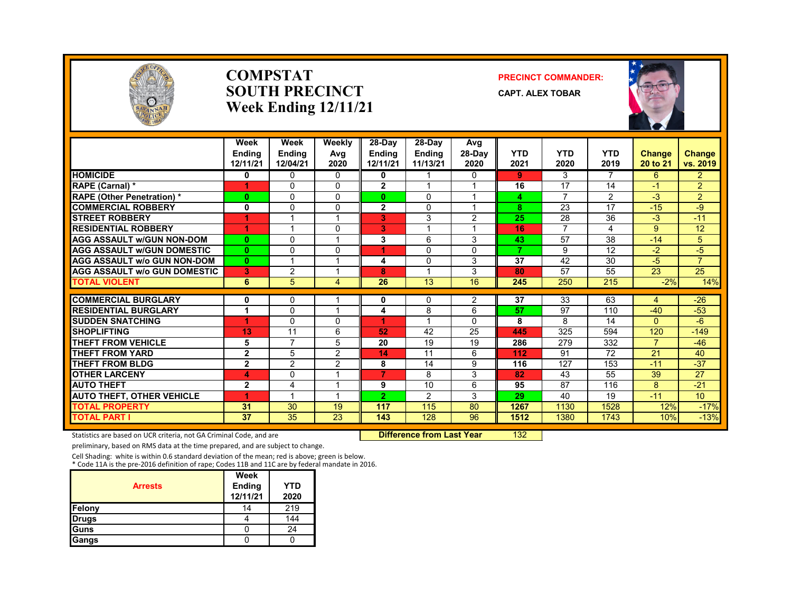

### **COMPSTATSOUTH PRECINCTWeek Ending 12/11/21**

### **PRECINCT COMMANDER:**

**CAPT. ALEX TOBAR**



|                                     | Week<br><b>Endina</b><br>12/11/21 | Week<br><b>Endina</b><br>12/04/21 | Weekly<br>Avg<br>2020 | $28-Dav$<br><b>Endina</b><br>12/11/21 | $28-Dav$<br><b>Endina</b><br>11/13/21 | Avg<br>$28-Dav$<br>2020 | <b>YTD</b><br>2021 | <b>YTD</b><br>2020 | <b>YTD</b><br>2019 | <b>Change</b><br>20 to 21 | Change<br>vs. 2019 |
|-------------------------------------|-----------------------------------|-----------------------------------|-----------------------|---------------------------------------|---------------------------------------|-------------------------|--------------------|--------------------|--------------------|---------------------------|--------------------|
| <b>HOMICIDE</b>                     | 0                                 | $\mathbf{0}$                      | $\Omega$              | 0                                     |                                       | $\mathbf{0}$            | 9                  | 3                  | 7                  | 6                         | $\overline{2}$     |
| RAPE (Carnal) *                     | 1                                 | $\Omega$                          | 0                     | $\overline{2}$                        | 1                                     | 1                       | 16                 | 17                 | 14                 | $-1$                      | $\overline{2}$     |
| <b>RAPE (Other Penetration)*</b>    | $\bf{0}$                          | $\Omega$                          | 0                     | $\mathbf{0}$                          | $\Omega$                              |                         | 4                  | 7                  | $\overline{2}$     | $-3$                      | $\overline{2}$     |
| <b>COMMERCIAL ROBBERY</b>           | 0                                 | $\Omega$                          | 0                     | $\overline{2}$                        | $\Omega$                              | 1                       | 8                  | 23                 | $\overline{17}$    | $-15$                     | -9                 |
| <b>STREET ROBBERY</b>               | 1                                 |                                   |                       | 3                                     | 3                                     | 2                       | 25                 | 28                 | 36                 | $-3$                      | $-11$              |
| <b>RESIDENTIAL ROBBERY</b>          | 1                                 | -1                                | 0                     | 3                                     | $\overline{ }$                        | 1                       | 16                 | $\overline{7}$     | 4                  | 9                         | 12                 |
| <b>AGG ASSAULT W/GUN NON-DOM</b>    | $\bf{0}$                          | $\Omega$                          |                       | 3                                     | 6                                     | 3                       | 43                 | 57                 | 38                 | $-14$                     | 5                  |
| <b>AGG ASSAULT W/GUN DOMESTIC</b>   | $\mathbf{0}$                      | $\Omega$                          | 0                     | 4                                     | $\Omega$                              | 0                       | $\overline{7}$     | 9                  | 12                 | $-2$                      | $-5$               |
| <b>AGG ASSAULT w/o GUN NON-DOM</b>  | $\mathbf{0}$                      | $\overline{\mathbf{A}}$           | и                     | 4                                     | $\Omega$                              | 3                       | 37                 | 42                 | 30                 | $-5$                      | $\overline{7}$     |
| <b>AGG ASSAULT w/o GUN DOMESTIC</b> | 3                                 | $\overline{2}$                    |                       | 8                                     |                                       | 3                       | 80                 | 57                 | 55                 | 23                        | 25                 |
| <b>TOTAL VIOLENT</b>                | 6                                 | 5                                 | 4                     | 26                                    | 13                                    | 16                      | 245                | 250                | 215                | $-2%$                     | 14%                |
| <b>COMMERCIAL BURGLARY</b>          | $\bf{0}$                          | $\Omega$                          |                       | $\mathbf{0}$                          | 0                                     | 2                       | 37                 | 33                 | 63                 | 4                         | $-26$              |
| <b>RESIDENTIAL BURGLARY</b>         |                                   | 0                                 |                       | 4                                     | 8                                     | 6                       | 57                 | 97                 | 110                | $-40$                     | $-53$              |
| <b>SUDDEN SNATCHING</b>             | ۸                                 | $\Omega$                          | $\Omega$              |                                       |                                       | $\Omega$                | 8                  | 8                  | 14                 | $\Omega$                  | $-6$               |
| <b>SHOPLIFTING</b>                  | 13                                | 11                                | 6                     | 52                                    | 42                                    | 25                      | 445                | 325                | 594                | 120                       | $-149$             |
| <b>THEFT FROM VEHICLE</b>           | 5                                 | $\overline{7}$                    | 5                     | 20                                    | 19                                    | 19                      | 286                | 279                | 332                | $\overline{7}$            | $-46$              |
| <b>THEFT FROM YARD</b>              | $\mathbf{2}$                      | 5                                 | $\overline{2}$        | 14                                    | 11                                    | 6                       | 112                | 91                 | 72                 | 21                        | 40                 |
| <b>THEFT FROM BLDG</b>              | $\mathbf{2}$                      | $\overline{2}$                    | 2                     | 8                                     | 14                                    | 9                       | 116                | 127                | 153                | $-11$                     | $-37$              |
| <b>OTHER LARCENY</b>                | 4                                 | $\mathbf{0}$                      |                       | $\overline{7}$                        | 8                                     | 3                       | 82                 | 43                 | $\overline{55}$    | $\overline{39}$           | $\overline{27}$    |
| <b>AUTO THEFT</b>                   | $\mathbf{2}$                      | $\overline{4}$                    |                       | 9                                     | 10                                    | 6                       | 95                 | 87                 | 116                | 8                         | $-21$              |
| <b>AUTO THEFT, OTHER VEHICLE</b>    |                                   |                                   |                       | 2                                     | 2                                     | 3                       | 29                 | 40                 | 19                 | $-11$                     | 10 <sup>10</sup>   |
| <b>TOTAL PROPERTY</b>               | 31                                | 30                                | 19                    | 117                                   | 115                                   | 80                      | 1267               | 1130               | 1528               | 12%                       | $-17%$             |
| <b>TOTAL PART I</b>                 | 37                                | 35                                | 23                    | 143                                   | 128                                   | 96                      | 1512               | 1380               | 1743               | 10%                       | $-13%$             |

Statistics are based on UCR criteria, not GA Criminal Code, and are **Difference from Last Year** 132

preliminary, based on RMS data at the time prepared, and are subject to change.

Cell Shading: white is within 0.6 standard deviation of the mean; red is above; green is below. \* Code 11A is the pre‐2016 definition of rape; Codes 11B and 11C are by federal mandate in 2016.

|                | Week               |                    |
|----------------|--------------------|--------------------|
| <b>Arrests</b> | Ending<br>12/11/21 | <b>YTD</b><br>2020 |
|                |                    |                    |
| Felony         | 14                 | 219                |
| <b>Drugs</b>   |                    | 144                |
| Guns           |                    | 24                 |
| Gangs          |                    |                    |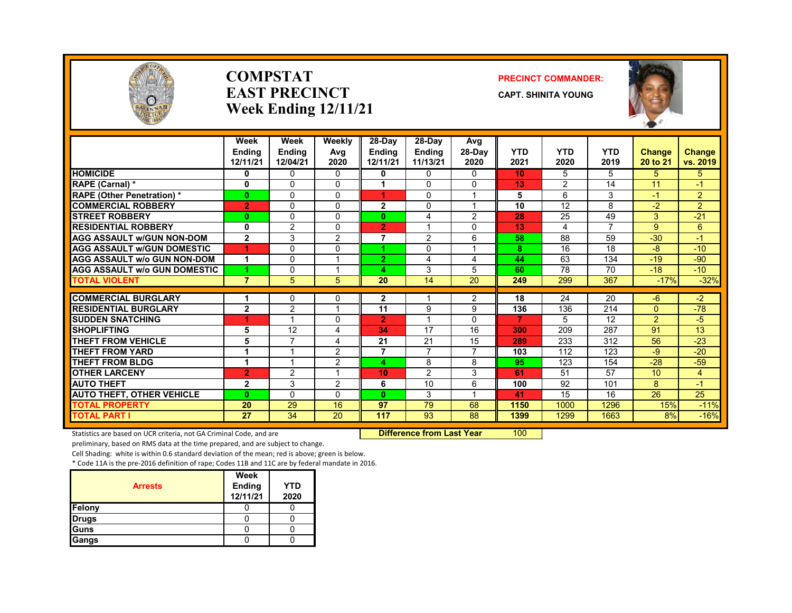

### **COMPSTATEAST PRECINCTWeek Ending 12/11/21**

### **PRECINCT COMMANDER:**

**CAPT. SHINITA YOUNG**



|                                    | Week                      | Week                      | Weekly                  | 28-Day                    | 28-Dav                    | Avg                      |                    |                    |                    |                           |                           |
|------------------------------------|---------------------------|---------------------------|-------------------------|---------------------------|---------------------------|--------------------------|--------------------|--------------------|--------------------|---------------------------|---------------------------|
|                                    | <b>Endina</b><br>12/11/21 | <b>Endina</b><br>12/04/21 | Avg<br>2020             | <b>Endina</b><br>12/11/21 | <b>Endina</b><br>11/13/21 | $28-Dav$<br>2020         | <b>YTD</b><br>2021 | <b>YTD</b><br>2020 | <b>YTD</b><br>2019 | <b>Change</b><br>20 to 21 | <b>Change</b><br>vs. 2019 |
| <b>HOMICIDE</b>                    | 0                         | 0                         | $\Omega$                | 0                         | 0                         | 0                        | 10                 | 5                  | 5.                 | 5.                        | 5.                        |
| RAPE (Carnal) *                    | 0                         | $\Omega$                  | 0                       |                           | 0                         | $\Omega$                 | 13                 | 2                  | 14                 | 11                        | -1                        |
| <b>RAPE (Other Penetration)</b> *  | $\mathbf{0}$              | $\Omega$                  | $\Omega$                | 4                         | 0                         | 1                        | 5                  | 6                  | 3                  | -1                        | $\overline{2}$            |
| <b>COMMERCIAL ROBBERY</b>          | $\overline{2}$            | $\mathbf{0}$              | $\Omega$                | $\mathbf{2}$              | 0                         | 1                        | 10                 | 12                 | 8                  | $-2$                      | $\overline{2}$            |
| <b>STREET ROBBERY</b>              | $\bf{0}$                  | $\Omega$                  | $\Omega$                | $\mathbf{0}$              | 4                         | $\overline{2}$           | 28                 | 25                 | 49                 | 3                         | $-21$                     |
| <b>RESIDENTIAL ROBBERY</b>         | 0                         | 2                         | 0                       | $\overline{2}$            |                           | 0                        | 13                 | 4                  | 7                  | 9                         | 6                         |
| <b>AGG ASSAULT w/GUN NON-DOM</b>   | $\overline{2}$            | 3                         | 2                       | 7                         | 2                         | 6                        | 58                 | 88                 | 59                 | $-30$                     | $-1$                      |
| <b>AGG ASSAULT w/GUN DOMESTIC</b>  |                           | $\Omega$                  | 0                       |                           | 0                         | 1                        | 8                  | 16                 | 18                 | $-8$                      | $-10$                     |
| <b>AGG ASSAULT w/o GUN NON-DOM</b> | 1                         | $\Omega$                  | $\overline{\mathbf{A}}$ | $\overline{2}$            | 4                         | 4                        | 44                 | 63                 | 134                | $-19$                     | $-90$                     |
| AGG ASSAULT w/o GUN DOMESTIC       | 4                         | $\Omega$                  |                         | 4                         | 3                         | 5                        | 60                 | 78                 | 70                 | $-18$                     | $-10$                     |
| <b>TOTAL VIOLENT</b>               | $\overline{7}$            | 5                         | 5                       | 20                        | 14                        | 20                       | 249                | 299                | $\overline{367}$   | $-17%$                    | $-32%$                    |
| <b>COMMERCIAL BURGLARY</b>         | 1                         | $\Omega$                  | 0                       | $\overline{2}$            |                           | $\overline{2}$           | 18                 | 24                 | 20                 | $-6$                      | $-2$                      |
| <b>RESIDENTIAL BURGLARY</b>        | $\mathbf{2}$              | $\overline{2}$            |                         | 11                        | 9                         | 9                        | 136                | 136                | 214                | $\Omega$                  | $-78$                     |
| <b>SUDDEN SNATCHING</b>            | đ                         |                           | $\Omega$                | $\overline{2}$            |                           | 0                        | $\overline{7}$     | 5                  | 12                 | $\overline{2}$            | $-5$                      |
| <b>SHOPLIFTING</b>                 | 5                         | 12                        | 4                       | 34                        | 17                        | 16                       | 300                | 209                | 287                | 91                        | 13                        |
| <b>THEFT FROM VEHICLE</b>          | 5                         | 7                         | 4                       | 21                        | 21                        | 15                       | 289                | 233                | 312                | 56                        | $-23$                     |
| <b>THEFT FROM YARD</b>             | 1                         |                           | $\overline{2}$          | 7                         | 7                         | $\overline{\phantom{a}}$ | 103                | 112                | 123                | -9                        | $-20$                     |
| <b>THEFT FROM BLDG</b>             | 1                         |                           | $\overline{2}$          | 4                         | 8                         | 8                        | 95                 | 123                | 154                | $-28$                     | $-59$                     |
| <b>OTHER LARCENY</b>               | $\overline{2}$            | $\overline{2}$            | 1                       | 10                        | $\overline{2}$            | 3                        | 61                 | 51                 | 57                 | 10                        | $\overline{4}$            |
| <b>AUTO THEFT</b>                  | $\mathbf{2}$              | 3                         | $\overline{2}$          | 6                         | 10                        | 6                        | 100                | 92                 | 101                | 8                         | -1                        |
| <b>AUTO THEFT, OTHER VEHICLE</b>   | $\bf{0}$                  | $\Omega$                  | $\Omega$                | $\mathbf{0}$              | 3                         | 1                        | 41                 | 15                 | 16                 | 26                        | 25                        |
| <b>TOTAL PROPERTY</b>              | 20                        | 29                        | 16                      | 97                        | 79                        | 68                       | 1150               | 1000               | 1296               | 15%                       | $-11%$                    |
| <b>TOTAL PART I</b>                | 27                        | 34                        | 20                      | 117                       | 93                        | 88                       | 1399               | 1299               | 1663               | 8%                        | $-16%$                    |

Statistics are based on UCR criteria, not GA Criminal Code, and are **Difference from Last Year** 100

preliminary, based on RMS data at the time prepared, and are subject to change.

Cell Shading: white is within 0.6 standard deviation of the mean; red is above; green is below.

| <b>Arrests</b> | Week<br>Ending<br>12/11/21 | <b>YTD</b><br>2020 |
|----------------|----------------------------|--------------------|
| Felony         |                            |                    |
| <b>Drugs</b>   |                            |                    |
| Guns           |                            |                    |
| Gangs          |                            |                    |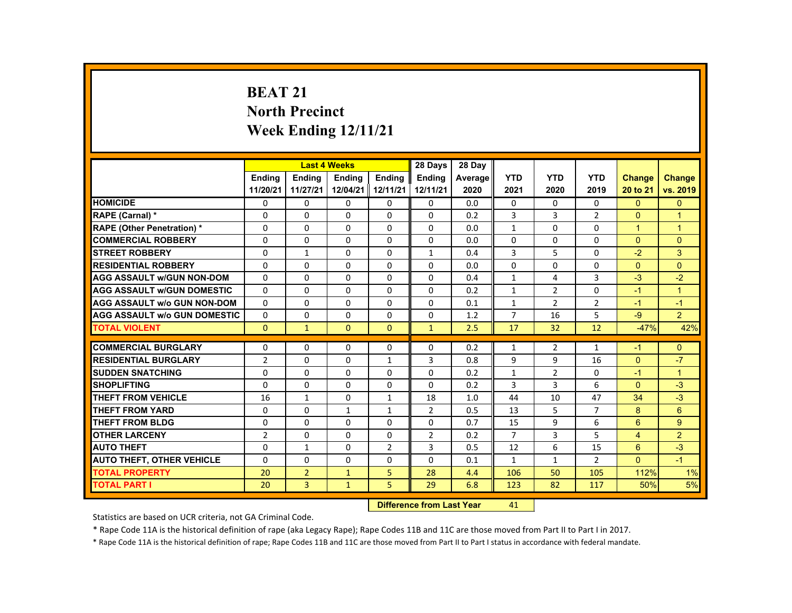# **BEAT 21 North Precinct Week Ending 12/11/21**

|                                     |                |                | <b>Last 4 Weeks</b> |                | 28 Days        | 28 Day  |                |                |                |                      |                |
|-------------------------------------|----------------|----------------|---------------------|----------------|----------------|---------|----------------|----------------|----------------|----------------------|----------------|
|                                     | <b>Endina</b>  | <b>Endina</b>  | <b>Endina</b>       | <b>Endina</b>  | <b>Endina</b>  | Average | <b>YTD</b>     | <b>YTD</b>     | <b>YTD</b>     | <b>Change</b>        | <b>Change</b>  |
|                                     | 11/20/21       | 11/27/21       | 12/04/21 12/11/21   |                | 12/11/21       | 2020    | 2021           | 2020           | 2019           | 20 to 21             | vs. 2019       |
| <b>HOMICIDE</b>                     | $\mathbf{0}$   | $\mathbf{0}$   | 0                   | 0              | $\mathbf{0}$   | 0.0     | $\mathbf{0}$   | $\Omega$       | $\Omega$       | $\mathbf{0}$         | $\Omega$       |
| <b>RAPE (Carnal) *</b>              | $\Omega$       | $\Omega$       | $\Omega$            | $\Omega$       | $\Omega$       | 0.2     | 3              | 3              | $\overline{2}$ | $\Omega$             | 1              |
| <b>RAPE (Other Penetration) *</b>   | $\Omega$       | $\Omega$       | $\Omega$            | $\Omega$       | $\Omega$       | 0.0     | $\mathbf{1}$   | $\Omega$       | $\Omega$       | $\blacktriangleleft$ | $\overline{1}$ |
| <b>COMMERCIAL ROBBERY</b>           | $\Omega$       | $\Omega$       | $\Omega$            | $\Omega$       | $\Omega$       | 0.0     | $\Omega$       | $\Omega$       | $\Omega$       | $\Omega$             | $\Omega$       |
| <b>STREET ROBBERY</b>               | $\Omega$       | $\mathbf{1}$   | $\Omega$            | $\Omega$       | $\mathbf{1}$   | 0.4     | 3              | 5              | $\Omega$       | $-2$                 | 3              |
| <b>RESIDENTIAL ROBBERY</b>          | $\Omega$       | $\Omega$       | $\Omega$            | $\Omega$       | $\Omega$       | 0.0     | $\Omega$       | $\Omega$       | $\Omega$       | $\Omega$             | $\Omega$       |
| <b>AGG ASSAULT w/GUN NON-DOM</b>    | $\Omega$       | $\Omega$       | $\Omega$            | $\Omega$       | $\Omega$       | 0.4     | $\mathbf{1}$   | 4              | $\overline{3}$ | $-3$                 | $-2$           |
| <b>AGG ASSAULT w/GUN DOMESTIC</b>   | $\Omega$       | $\Omega$       | $\Omega$            | $\Omega$       | $\Omega$       | 0.2     | $\mathbf{1}$   | $\overline{2}$ | $\Omega$       | $-1$                 | $\overline{1}$ |
| <b>AGG ASSAULT w/o GUN NON-DOM</b>  | $\Omega$       | $\Omega$       | $\Omega$            | $\Omega$       | $\Omega$       | 0.1     | $\mathbf{1}$   | $\overline{2}$ | $\overline{2}$ | $-1$                 | $-1$           |
| <b>AGG ASSAULT W/o GUN DOMESTIC</b> | $\Omega$       | $\Omega$       | $\Omega$            | $\Omega$       | $\Omega$       | 1.2     | $\overline{7}$ | 16             | 5              | $-9$                 | $\overline{2}$ |
| <b>TOTAL VIOLENT</b>                | $\mathbf{0}$   | $\mathbf{1}$   | $\Omega$            | $\mathbf{0}$   | $\mathbf{1}$   | 2.5     | 17             | 32             | 12             | $-47%$               | 42%            |
|                                     |                |                |                     |                |                |         |                |                |                |                      |                |
| <b>COMMERCIAL BURGLARY</b>          | $\Omega$       | $\Omega$       | $\Omega$            | $\Omega$       | $\Omega$       | 0.2     | $\mathbf{1}$   | $\overline{2}$ | $\mathbf{1}$   | $-1$                 | $\Omega$       |
| <b>RESIDENTIAL BURGLARY</b>         | $\overline{2}$ | $\Omega$       | $\Omega$            | $\mathbf{1}$   | 3              | 0.8     | 9              | 9              | 16             | $\Omega$             | $-7$           |
| <b>SUDDEN SNATCHING</b>             | $\Omega$       | $\Omega$       | $\Omega$            | $\Omega$       | $\Omega$       | 0.2     | $\mathbf{1}$   | 2              | $\Omega$       | $-1$                 | $\overline{1}$ |
| <b>SHOPLIFTING</b>                  | $\Omega$       | $\Omega$       | $\Omega$            | $\Omega$       | $\Omega$       | 0.2     | 3              | 3              | 6              | $\Omega$             | $-3$           |
| <b>THEFT FROM VEHICLE</b>           | 16             | $\mathbf{1}$   | 0                   | 1              | 18             | 1.0     | 44             | 10             | 47             | 34                   | $-3$           |
| <b>THEFT FROM YARD</b>              | $\Omega$       | $\Omega$       | $\mathbf{1}$        | $\mathbf{1}$   | $\overline{2}$ | 0.5     | 13             | 5              | $\overline{7}$ | 8                    | 6              |
| <b>THEFT FROM BLDG</b>              | $\Omega$       | $\Omega$       | $\Omega$            | $\Omega$       | $\Omega$       | 0.7     | 15             | 9              | 6              | 6                    | 9              |
| <b>OTHER LARCENY</b>                | $\overline{2}$ | $\Omega$       | $\Omega$            | $\Omega$       | $\overline{2}$ | 0.2     | $\overline{7}$ | 3              | 5              | $\overline{4}$       | $\overline{2}$ |
| <b>AUTO THEFT</b>                   | $\Omega$       | $\mathbf{1}$   | $\Omega$            | $\overline{2}$ | 3              | 0.5     | 12             | 6              | 15             | 6                    | $-3$           |
| <b>AUTO THEFT, OTHER VEHICLE</b>    | $\Omega$       | $\Omega$       | $\Omega$            | $\Omega$       | $\Omega$       | 0.1     | $\mathbf{1}$   | $\mathbf{1}$   | $\overline{2}$ | $\Omega$             | $-1$           |
| <b>TOTAL PROPERTY</b>               | 20             | $\overline{2}$ | $\mathbf{1}$        | 5              | 28             | 4.4     | 106            | 50             | 105            | 112%                 | 1%             |
| <b>TOTAL PART I</b>                 | 20             | $\overline{3}$ | $\mathbf{1}$        | 5              | 29             | 6.8     | 123            | 82             | 117            | 50%                  | 5%             |

#### **Difference from Last Year**r 41

Statistics are based on UCR criteria, not GA Criminal Code.

\* Rape Code 11A is the historical definition of rape (aka Legacy Rape); Rape Codes 11B and 11C are those moved from Part II to Part I in 2017.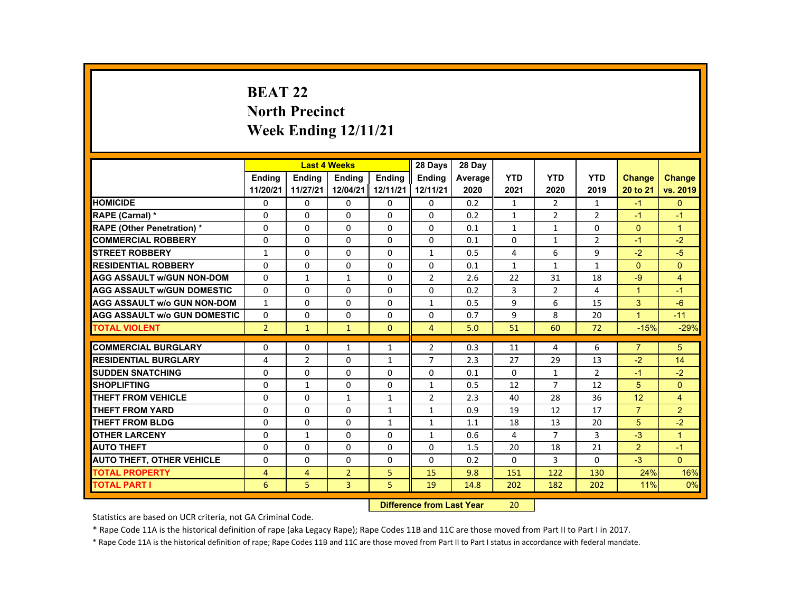# **BEAT 22 North Precinct Week Ending 12/11/21**

|                                     |                |                | <b>Last 4 Weeks</b> |                   | 28 Days        | 28 Day  |              |                |                |                      |                |
|-------------------------------------|----------------|----------------|---------------------|-------------------|----------------|---------|--------------|----------------|----------------|----------------------|----------------|
|                                     | <b>Endina</b>  | <b>Endina</b>  | <b>Endina</b>       | <b>Endina</b>     | <b>Endina</b>  | Average | <b>YTD</b>   | <b>YTD</b>     | <b>YTD</b>     | <b>Change</b>        | <b>Change</b>  |
|                                     | 11/20/21       | 11/27/21       |                     | 12/04/21 12/11/21 | 12/11/21       | 2020    | 2021         | 2020           | 2019           | 20 to 21             | vs. 2019       |
| <b>HOMICIDE</b>                     | $\mathbf{0}$   | $\mathbf{0}$   | 0                   | 0                 | 0              | 0.2     | $\mathbf{1}$ | $\overline{2}$ | $\mathbf{1}$   | $-1$                 | $\mathbf{0}$   |
| <b>RAPE (Carnal) *</b>              | $\Omega$       | $\Omega$       | $\Omega$            | $\Omega$          | $\Omega$       | 0.2     | $\mathbf{1}$ | $\overline{2}$ | $\overline{2}$ | $-1$                 | $-1$           |
| <b>RAPE (Other Penetration) *</b>   | $\Omega$       | $\Omega$       | $\Omega$            | $\Omega$          | $\Omega$       | 0.1     | $\mathbf{1}$ | $\mathbf{1}$   | $\Omega$       | $\Omega$             | $\overline{1}$ |
| <b>COMMERCIAL ROBBERY</b>           | 0              | $\mathbf{0}$   | 0                   | 0                 | 0              | 0.1     | 0            | $\mathbf{1}$   | $\overline{2}$ | $-1$                 | $-2$           |
| <b>STREET ROBBERY</b>               | $\mathbf{1}$   | $\Omega$       | $\Omega$            | $\Omega$          | $\mathbf{1}$   | 0.5     | 4            | 6              | 9              | $-2$                 | $-5$           |
| <b>RESIDENTIAL ROBBERY</b>          | $\Omega$       | $\Omega$       | $\Omega$            | $\Omega$          | $\Omega$       | 0.1     | $\mathbf{1}$ | $\mathbf{1}$   | $\mathbf{1}$   | $\Omega$             | $\Omega$       |
| <b>AGG ASSAULT w/GUN NON-DOM</b>    | $\Omega$       | $\mathbf{1}$   | $\mathbf{1}$        | 0                 | 2              | 2.6     | 22           | 31             | 18             | $-9$                 | $\overline{4}$ |
| <b>AGG ASSAULT WGUN DOMESTIC</b>    | $\Omega$       | $\Omega$       | $\Omega$            | 0                 | 0              | 0.2     | 3            | 2              | 4              | $\blacktriangleleft$ | $-1$           |
| <b>AGG ASSAULT W/o GUN NON-DOM</b>  | $\mathbf{1}$   | $\mathbf{0}$   | 0                   | $\Omega$          | $\mathbf{1}$   | 0.5     | 9            | 6              | 15             | 3                    | $-6$           |
| <b>AGG ASSAULT W/o GUN DOMESTIC</b> | $\Omega$       | $\Omega$       | $\Omega$            | $\Omega$          | $\Omega$       | 0.7     | 9            | 8              | 20             | $\mathbf{1}$         | $-11$          |
| <b>TOTAL VIOLENT</b>                | $\overline{2}$ | $\mathbf{1}$   | $\mathbf{1}$        | $\Omega$          | $\overline{4}$ | 5.0     | 51           | 60             | 72             | $-15%$               | $-29%$         |
|                                     |                |                |                     |                   |                |         |              |                |                |                      |                |
| <b>COMMERCIAL BURGLARY</b>          | $\Omega$       | $\Omega$       | $\mathbf{1}$        | $\mathbf{1}$      | $\overline{2}$ | 0.3     | 11           | 4              | 6              | $\overline{7}$       | 5              |
| <b>RESIDENTIAL BURGLARY</b>         | 4              | $\overline{2}$ | 0                   | $\mathbf{1}$      | $\overline{7}$ | 2.3     | 27           | 29             | 13             | $-2$                 | 14             |
| <b>SUDDEN SNATCHING</b>             | $\Omega$       | $\Omega$       | $\Omega$            | $\Omega$          | $\Omega$       | 0.1     | $\Omega$     | $\mathbf{1}$   | $\overline{2}$ | $-1$                 | $-2$           |
| <b>SHOPLIFTING</b>                  | $\Omega$       | $\mathbf{1}$   | $\Omega$            | $\Omega$          | $\mathbf{1}$   | 0.5     | 12           | $\overline{7}$ | 12             | 5                    | $\Omega$       |
| THEFT FROM VEHICLE                  | 0              | $\mathbf{0}$   | $\mathbf{1}$        | 1                 | $\overline{2}$ | 2.3     | 40           | 28             | 36             | 12                   | $\overline{4}$ |
| <b>THEFT FROM YARD</b>              | $\Omega$       | $\Omega$       | $\Omega$            | $\mathbf{1}$      | $\mathbf{1}$   | 0.9     | 19           | 12             | 17             | $\overline{7}$       | $\overline{2}$ |
| THEFT FROM BLDG                     | $\Omega$       | $\Omega$       | $\Omega$            | $\mathbf{1}$      | $\mathbf{1}$   | 1.1     | 18           | 13             | 20             | 5                    | $-2$           |
| <b>OTHER LARCENY</b>                | 0              | $\mathbf{1}$   | 0                   | 0                 | 1              | 0.6     | 4            | $\overline{7}$ | 3              | $-3$                 | $\mathbf{1}$   |
| <b>AUTO THEFT</b>                   | $\Omega$       | $\Omega$       | $\Omega$            | $\Omega$          | $\Omega$       | 1.5     | 20           | 18             | 21             | $\overline{2}$       | $-1$           |
| <b>AUTO THEFT, OTHER VEHICLE</b>    | $\Omega$       | $\Omega$       | $\Omega$            | $\Omega$          | $\Omega$       | 0.2     | $\Omega$     | 3              | $\Omega$       | $-3$                 | $\Omega$       |
| <b>TOTAL PROPERTY</b>               | $\overline{4}$ | $\overline{4}$ | $\overline{2}$      | 5                 | 15             | 9.8     | 151          | 122            | 130            | 24%                  | 16%            |
| <b>TOTAL PART I</b>                 | 6              | 5              | $\overline{3}$      | 5                 | 19             | 14.8    | 202          | 182            | 202            | 11%                  | 0%             |

#### **Difference from Last Year**r 20

Statistics are based on UCR criteria, not GA Criminal Code.

\* Rape Code 11A is the historical definition of rape (aka Legacy Rape); Rape Codes 11B and 11C are those moved from Part II to Part I in 2017.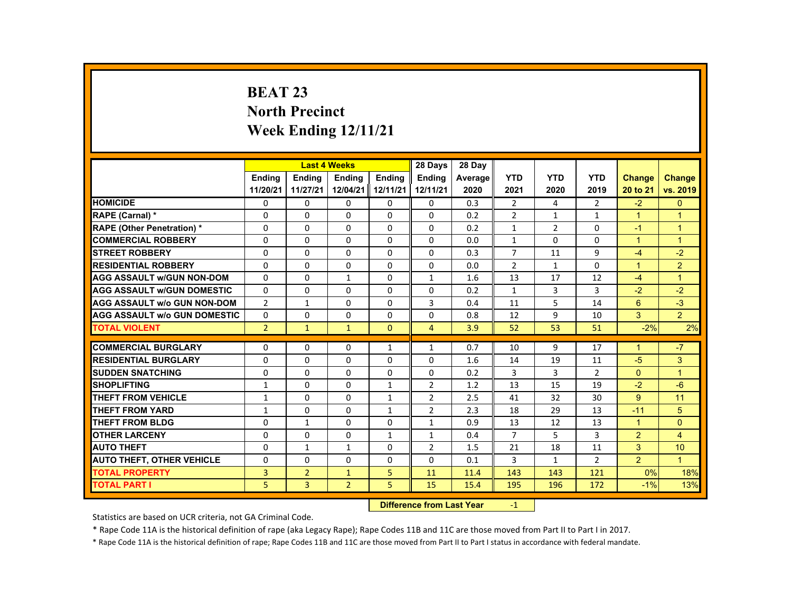# **BEAT 23 North Precinct Week Ending 12/11/21**

|                                     |                |                | <b>Last 4 Weeks</b> |                   | 28 Days        | 28 Day  |                |                |                |                      |                |
|-------------------------------------|----------------|----------------|---------------------|-------------------|----------------|---------|----------------|----------------|----------------|----------------------|----------------|
|                                     | <b>Endina</b>  | <b>Endina</b>  | <b>Endina</b>       | <b>Endina</b>     | <b>Endina</b>  | Average | <b>YTD</b>     | <b>YTD</b>     | <b>YTD</b>     | <b>Change</b>        | <b>Change</b>  |
|                                     | 11/20/21       | 11/27/21       |                     | 12/04/21 12/11/21 | 12/11/21       | 2020    | 2021           | 2020           | 2019           | 20 to 21             | vs. 2019       |
| <b>HOMICIDE</b>                     | $\mathbf{0}$   | $\mathbf{0}$   | 0                   | 0                 | 0              | 0.3     | $\overline{2}$ | 4              | $\overline{2}$ | $-2$                 | $\mathbf{0}$   |
| <b>RAPE (Carnal) *</b>              | $\Omega$       | $\Omega$       | $\Omega$            | $\Omega$          | $\Omega$       | 0.2     | $\overline{2}$ | $\mathbf{1}$   | $\mathbf{1}$   | $\mathbf{1}$         | $\overline{1}$ |
| <b>RAPE (Other Penetration) *</b>   | $\Omega$       | $\Omega$       | $\Omega$            | $\Omega$          | $\Omega$       | 0.2     | $\mathbf{1}$   | $\overline{2}$ | $\Omega$       | $-1$                 | $\overline{1}$ |
| <b>COMMERCIAL ROBBERY</b>           | 0              | $\mathbf{0}$   | 0                   | 0                 | 0              | 0.0     | $\mathbf{1}$   | 0              | 0              | $\mathbf{1}$         | $\overline{1}$ |
| <b>STREET ROBBERY</b>               | 0              | $\Omega$       | $\Omega$            | $\Omega$          | $\Omega$       | 0.3     | $\overline{7}$ | 11             | 9              | $-4$                 | $-2$           |
| <b>RESIDENTIAL ROBBERY</b>          | $\Omega$       | $\Omega$       | $\Omega$            | $\Omega$          | $\Omega$       | 0.0     | $\overline{2}$ | $\mathbf{1}$   | $\Omega$       | $\mathbf{1}$         | $\overline{2}$ |
| <b>AGG ASSAULT w/GUN NON-DOM</b>    | $\Omega$       | $\mathbf{0}$   | $\mathbf{1}$        | 0                 | $\mathbf{1}$   | 1.6     | 13             | 17             | 12             | $-4$                 | $\overline{1}$ |
| <b>AGG ASSAULT WGUN DOMESTIC</b>    | $\Omega$       | $\Omega$       | $\Omega$            | 0                 | $\Omega$       | 0.2     | $\mathbf{1}$   | 3              | 3              | $-2$                 | $-2$           |
| <b>AGG ASSAULT W/o GUN NON-DOM</b>  | $\overline{2}$ | 1              | 0                   | $\Omega$          | 3              | 0.4     | 11             | 5              | 14             | 6                    | $-3$           |
| <b>AGG ASSAULT W/o GUN DOMESTIC</b> | $\Omega$       | $\Omega$       | $\Omega$            | $\Omega$          | $\Omega$       | 0.8     | 12             | 9              | 10             | 3                    | $\overline{2}$ |
| <b>TOTAL VIOLENT</b>                | $\overline{2}$ | $\mathbf{1}$   | $\mathbf{1}$        | $\Omega$          | $\overline{4}$ | 3.9     | 52             | 53             | 51             | $-2%$                | 2%             |
|                                     |                |                |                     |                   |                |         |                |                |                |                      |                |
| <b>COMMERCIAL BURGLARY</b>          | $\Omega$       | $\Omega$       | $\Omega$            | $\mathbf{1}$      | $\mathbf{1}$   | 0.7     | 10             | 9              | 17             | $\blacktriangleleft$ | $-7$           |
| <b>RESIDENTIAL BURGLARY</b>         | 0              | $\mathbf{0}$   | 0                   | 0                 | 0              | 1.6     | 14             | 19             | 11             | $-5$                 | 3              |
| <b>SUDDEN SNATCHING</b>             | $\Omega$       | $\Omega$       | $\Omega$            | $\Omega$          | $\Omega$       | 0.2     | 3              | 3              | $\overline{2}$ | $\Omega$             | $\overline{1}$ |
| <b>SHOPLIFTING</b>                  | $\mathbf{1}$   | $\Omega$       | $\Omega$            | $\mathbf{1}$      | $\overline{2}$ | 1.2     | 13             | 15             | 19             | $-2$                 | $-6$           |
| THEFT FROM VEHICLE                  | $\mathbf{1}$   | $\mathbf{0}$   | 0                   | $\mathbf{1}$      | $\overline{2}$ | 2.5     | 41             | 32             | 30             | $9^{\circ}$          | 11             |
| <b>THEFT FROM YARD</b>              | $\mathbf{1}$   | $\Omega$       | $\Omega$            | $\mathbf{1}$      | 2              | 2.3     | 18             | 29             | 13             | $-11$                | 5              |
| THEFT FROM BLDG                     | $\Omega$       | $\mathbf{1}$   | $\Omega$            | $\Omega$          | $\mathbf{1}$   | 0.9     | 13             | 12             | 13             | $\mathbf{1}$         | $\Omega$       |
| <b>OTHER LARCENY</b>                | 0              | $\mathbf{0}$   | 0                   | $\mathbf{1}$      | 1              | 0.4     | $\overline{7}$ | 5              | 3              | $\overline{2}$       | 4              |
| <b>AUTO THEFT</b>                   | $\Omega$       | $\mathbf{1}$   | $\mathbf{1}$        | $\Omega$          | $\overline{2}$ | 1.5     | 21             | 18             | 11             | 3                    | 10             |
| <b>AUTO THEFT, OTHER VEHICLE</b>    | $\Omega$       | $\Omega$       | $\Omega$            | $\Omega$          | $\Omega$       | 0.1     | 3              | $\mathbf{1}$   | $\overline{2}$ | $\overline{2}$       | $\overline{1}$ |
| <b>TOTAL PROPERTY</b>               | 3              | $\overline{2}$ | $\mathbf{1}$        | 5                 | 11             | 11.4    | 143            | 143            | 121            | 0%                   | 18%            |
| <b>TOTAL PART I</b>                 | 5              | $\overline{3}$ | $\overline{2}$      | 5                 | 15             | 15.4    | 195            | 196            | 172            | $-1%$                | 13%            |

#### **Difference from Last Year**r -1

Statistics are based on UCR criteria, not GA Criminal Code.

\* Rape Code 11A is the historical definition of rape (aka Legacy Rape); Rape Codes 11B and 11C are those moved from Part II to Part I in 2017.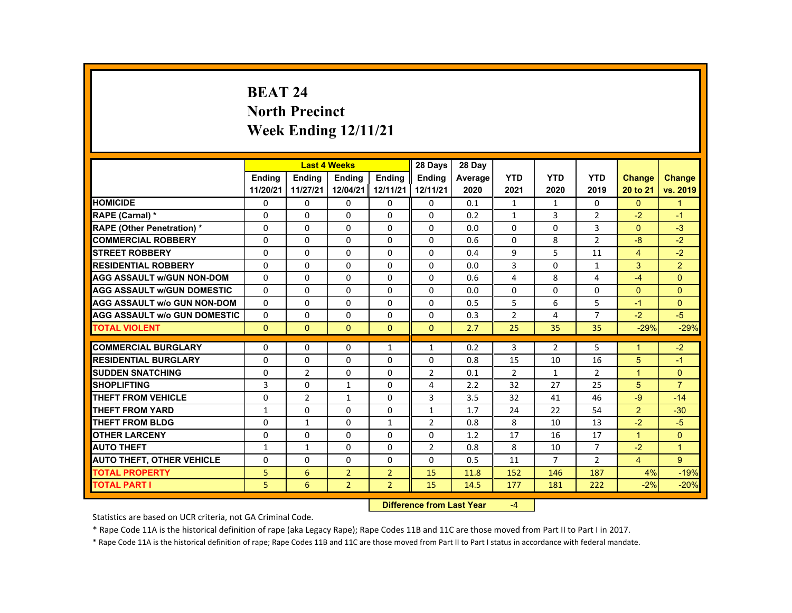# **BEAT 24 North Precinct Week Ending 12/11/21**

|                                     |               |                | <b>Last 4 Weeks</b> |                   | 28 Days        | 28 Day  |                |                |                |                      |                      |
|-------------------------------------|---------------|----------------|---------------------|-------------------|----------------|---------|----------------|----------------|----------------|----------------------|----------------------|
|                                     | <b>Endina</b> | <b>Endina</b>  | <b>Endina</b>       | <b>Endina</b>     | <b>Endina</b>  | Average | <b>YTD</b>     | <b>YTD</b>     | <b>YTD</b>     | <b>Change</b>        | <b>Change</b>        |
|                                     | 11/20/21      | 11/27/21       |                     | 12/04/21 12/11/21 | 12/11/21       | 2020    | 2021           | 2020           | 2019           | 20 to 21             | vs. 2019             |
| <b>HOMICIDE</b>                     | $\mathbf{0}$  | $\mathbf{0}$   | 0                   | 0                 | 0              | 0.1     | $\mathbf{1}$   | $\mathbf{1}$   | 0              | $\mathbf{0}$         | $\mathbf{1}$         |
| <b>RAPE (Carnal) *</b>              | $\Omega$      | $\Omega$       | $\Omega$            | $\Omega$          | $\Omega$       | 0.2     | $\mathbf{1}$   | 3              | $\overline{2}$ | $-2$                 | $-1$                 |
| <b>RAPE (Other Penetration) *</b>   | $\Omega$      | $\Omega$       | $\Omega$            | $\Omega$          | $\Omega$       | 0.0     | $\Omega$       | $\Omega$       | $\overline{3}$ | $\Omega$             | $-3$                 |
| <b>COMMERCIAL ROBBERY</b>           | 0             | $\mathbf{0}$   | 0                   | 0                 | 0              | 0.6     | 0              | 8              | $\overline{2}$ | $-8$                 | $-2$                 |
| <b>STREET ROBBERY</b>               | 0             | $\Omega$       | $\Omega$            | $\Omega$          | $\Omega$       | 0.4     | 9              | 5              | 11             | $\overline{4}$       | $-2$                 |
| <b>RESIDENTIAL ROBBERY</b>          | $\Omega$      | $\Omega$       | $\Omega$            | $\Omega$          | $\Omega$       | 0.0     | $\overline{3}$ | $\Omega$       | $\mathbf{1}$   | 3                    | $\overline{2}$       |
| <b>AGG ASSAULT w/GUN NON-DOM</b>    | $\Omega$      | $\mathbf{0}$   | 0                   | 0                 | $\Omega$       | 0.6     | 4              | 8              | 4              | $-4$                 | $\Omega$             |
| <b>AGG ASSAULT WGUN DOMESTIC</b>    | $\Omega$      | $\Omega$       | $\Omega$            | 0                 | $\Omega$       | 0.0     | 0              | 0              | 0              | $\Omega$             | $\Omega$             |
| <b>AGG ASSAULT W/o GUN NON-DOM</b>  | $\Omega$      | $\mathbf{0}$   | 0                   | $\Omega$          | $\Omega$       | 0.5     | 5              | 6              | 5              | $-1$                 | $\mathbf{0}$         |
| <b>AGG ASSAULT W/o GUN DOMESTIC</b> | $\Omega$      | $\Omega$       | $\Omega$            | $\Omega$          | $\Omega$       | 0.3     | $\overline{2}$ | 4              | $\overline{7}$ | $-2$                 | $-5$                 |
| <b>TOTAL VIOLENT</b>                | $\mathbf{0}$  | $\Omega$       | $\Omega$            | $\Omega$          | $\Omega$       | 2.7     | 25             | 35             | 35             | $-29%$               | $-29%$               |
|                                     |               |                |                     |                   |                |         |                |                |                |                      |                      |
| <b>COMMERCIAL BURGLARY</b>          | $\Omega$      | $\Omega$       | $\Omega$            | $\mathbf{1}$      | $\mathbf{1}$   | 0.2     | 3              | 2              | 5              | $\blacktriangleleft$ | $-2$                 |
| <b>RESIDENTIAL BURGLARY</b>         | 0             | $\mathbf{0}$   | 0                   | 0                 | 0              | 0.8     | 15             | 10             | 16             | 5                    | $-1$                 |
| <b>SUDDEN SNATCHING</b>             | $\Omega$      | 2              | $\Omega$            | $\Omega$          | $\overline{2}$ | 0.1     | $\overline{2}$ | $\mathbf{1}$   | $\overline{2}$ | $\mathbf{1}$         | $\mathbf{0}$         |
| <b>SHOPLIFTING</b>                  | 3             | $\Omega$       | $\mathbf{1}$        | $\Omega$          | 4              | 2.2     | 32             | 27             | 25             | 5                    | $\overline{7}$       |
| THEFT FROM VEHICLE                  | 0             | $\overline{2}$ | $\mathbf{1}$        | 0                 | 3              | 3.5     | 32             | 41             | 46             | $-9$                 | $-14$                |
| <b>THEFT FROM YARD</b>              | $\mathbf{1}$  | $\Omega$       | $\Omega$            | $\Omega$          | $\mathbf{1}$   | 1.7     | 24             | 22             | 54             | 2                    | $-30$                |
| THEFT FROM BLDG                     | $\Omega$      | $\mathbf{1}$   | $\Omega$            | $\mathbf{1}$      | 2              | 0.8     | 8              | 10             | 13             | $-2$                 | $-5$                 |
| <b>OTHER LARCENY</b>                | 0             | $\mathbf{0}$   | 0                   | 0                 | 0              | 1.2     | 17             | 16             | 17             | $\mathbf{1}$         | $\mathbf{0}$         |
| <b>AUTO THEFT</b>                   | $\mathbf{1}$  | $\mathbf{1}$   | $\Omega$            | $\Omega$          | $\overline{2}$ | 0.8     | 8              | 10             | $\overline{7}$ | $-2$                 | $\blacktriangleleft$ |
| <b>AUTO THEFT, OTHER VEHICLE</b>    | $\Omega$      | $\Omega$       | $\Omega$            | $\Omega$          | $\Omega$       | 0.5     | 11             | $\overline{7}$ | $\overline{2}$ | $\overline{4}$       | 9                    |
| <b>TOTAL PROPERTY</b>               | 5             | 6              | $\overline{2}$      | $\overline{2}$    | 15             | 11.8    | 152            | 146            | 187            | 4%                   | $-19%$               |
| <b>TOTAL PART I</b>                 | 5             | 6              | $\overline{2}$      | $\overline{2}$    | 15             | 14.5    | 177            | 181            | 222            | $-2%$                | $-20%$               |

#### **Difference from Last Year**‐4

Statistics are based on UCR criteria, not GA Criminal Code.

\* Rape Code 11A is the historical definition of rape (aka Legacy Rape); Rape Codes 11B and 11C are those moved from Part II to Part I in 2017.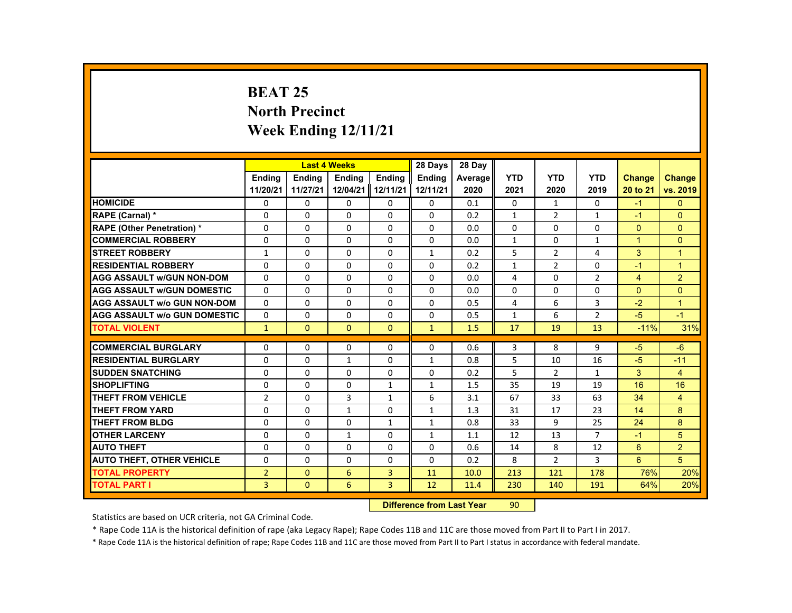# **BEAT 25 North Precinct Week Ending 12/11/21**

| <b>YTD</b><br><b>YTD</b><br><b>YTD</b><br><b>Endina</b><br><b>Endina</b><br><b>Endina</b><br><b>Endina</b><br><b>Endina</b><br><b>Change</b><br><b>Change</b><br>Average<br>11/20/21<br>12/04/21<br>12/11/21<br>12/11/21<br>11/27/21<br>2020<br>2021<br>2020<br>2019<br>20 to 21<br><b>HOMICIDE</b><br>0<br>0<br>0<br>$\Omega$<br>0<br>0<br>0<br>0.1<br>0<br>$-1$<br>1<br>$\Omega$<br>$\Omega$<br>$\Omega$<br>2<br>$\Omega$<br>$\Omega$<br>$\Omega$<br>0.2<br>$\mathbf{1}$<br>$\mathbf{1}$<br>$-1$<br>RAPE (Carnal) *<br><b>RAPE (Other Penetration) *</b><br>$\Omega$<br>$\Omega$<br>$\Omega$<br>$\Omega$<br>$\Omega$<br>0.0<br>$\Omega$<br>$\Omega$<br>$\Omega$<br>$\Omega$<br>$\Omega$<br><b>COMMERCIAL ROBBERY</b><br>$\mathbf{0}$<br>0<br>0<br>0<br>0<br>0<br>$\mathbf{1}$<br>0<br>$\mathbf{1}$<br>$\mathbf{1}$<br>0.0<br>5<br>3<br><b>STREET ROBBERY</b><br>$\Omega$<br>$\Omega$<br>$\Omega$<br>2<br>$\overline{1}$<br>$\mathbf{1}$<br>$\mathbf{1}$<br>0.2<br>4<br><b>RESIDENTIAL ROBBERY</b><br>$\Omega$<br>$\Omega$<br>$\Omega$<br>$\Omega$<br>$\Omega$<br>$\overline{2}$<br>$\Omega$<br>$\overline{1}$<br>0.2<br>$\mathbf{1}$<br>$-1$<br>2<br><b>AGG ASSAULT w/GUN NON-DOM</b><br>$\overline{2}$<br>$\Omega$<br>$\Omega$<br>$\Omega$<br>$\Omega$<br>$\Omega$<br>4<br>$\Omega$<br>$\overline{4}$<br>0.0<br>$\Omega$<br>$\Omega$<br>$\Omega$<br>$\Omega$<br>$\Omega$<br>$\Omega$<br>$\Omega$<br>$\Omega$<br>$\Omega$<br>$\Omega$<br><b>AGG ASSAULT w/GUN DOMESTIC</b><br>0.0<br>$\Omega$<br>$\Omega$<br>$\Omega$<br>$\Omega$<br>$\Omega$<br>6<br>3<br>$-2$<br>$\overline{1}$<br>4<br><b>AGG ASSAULT w/o GUN NON-DOM</b><br>0.5<br>6<br>$\overline{2}$<br>$-5$<br><b>AGG ASSAULT w/o GUN DOMESTIC</b><br>$\Omega$<br>$\Omega$<br>$\Omega$<br>$\Omega$<br>$\Omega$<br>$-1$<br>0.5<br>$\mathbf{1}$<br>13<br>$\mathbf{1}$<br>$\Omega$<br>$\Omega$<br>$\Omega$<br>$\mathbf{1}$<br>1.5<br>17<br>19<br>$-11%$<br><b>TOTAL VIOLENT</b><br><b>COMMERCIAL BURGLARY</b><br>$\Omega$<br>$\Omega$<br>$\Omega$<br>$\Omega$<br>3<br>8<br>9<br>$-5$<br>$-6$<br>$\Omega$<br>0.6<br>5<br><b>RESIDENTIAL BURGLARY</b><br>$\Omega$<br>$\Omega$<br>$\Omega$<br>16<br>$-5$<br>$-11$<br>$\mathbf{1}$<br>$\mathbf{1}$<br>0.8<br>10<br>5<br>3<br><b>SUDDEN SNATCHING</b><br>$\Omega$<br>$\Omega$<br>$\overline{2}$<br>$\overline{4}$<br>$\Omega$<br>0<br>0<br>0.2<br>$\mathbf{1}$<br>35<br><b>SHOPLIFTING</b><br>$\Omega$<br>$\Omega$<br>1.5<br>19<br>19<br>16<br>16<br>$\Omega$<br>$\mathbf{1}$<br>$\mathbf{1}$<br>$\overline{3}$<br>THEFT FROM VEHICLE<br>$\overline{2}$<br>$\Omega$<br>6<br>67<br>63<br>34<br>$\mathbf{1}$<br>3.1<br>33<br>$\overline{4}$<br>8<br><b>THEFT FROM YARD</b><br>$\Omega$<br>$\Omega$<br>$\mathbf{1}$<br>$\Omega$<br>$\mathbf{1}$<br>31<br>17<br>23<br>14<br>1.3<br>9<br>8<br><b>THEFT FROM BLDG</b><br>$\Omega$<br>$\Omega$<br>$\Omega$<br>33<br>25<br>24<br>$\mathbf{1}$<br>$\mathbf{1}$<br>0.8<br>5<br><b>OTHER LARCENY</b><br>0<br>0<br>0<br>$\overline{7}$<br>1<br>$\mathbf{1}$<br>1.1<br>12<br>13<br>$-1$<br>$\overline{2}$<br><b>AUTO THEFT</b><br>$\Omega$<br>$\Omega$<br>$\Omega$<br>$\Omega$<br>$\Omega$<br>0.6<br>14<br>8<br>12<br>6<br>6<br>5<br><b>AUTO THEFT, OTHER VEHICLE</b><br>$\Omega$<br>$\Omega$<br>$\Omega$<br>$\Omega$<br>$\Omega$<br>0.2<br>8<br>$\overline{2}$<br>3 |                       |                |          | <b>Last 4 Weeks</b> |   | 28 Days | 28 Day |     |     |     |     |          |
|----------------------------------------------------------------------------------------------------------------------------------------------------------------------------------------------------------------------------------------------------------------------------------------------------------------------------------------------------------------------------------------------------------------------------------------------------------------------------------------------------------------------------------------------------------------------------------------------------------------------------------------------------------------------------------------------------------------------------------------------------------------------------------------------------------------------------------------------------------------------------------------------------------------------------------------------------------------------------------------------------------------------------------------------------------------------------------------------------------------------------------------------------------------------------------------------------------------------------------------------------------------------------------------------------------------------------------------------------------------------------------------------------------------------------------------------------------------------------------------------------------------------------------------------------------------------------------------------------------------------------------------------------------------------------------------------------------------------------------------------------------------------------------------------------------------------------------------------------------------------------------------------------------------------------------------------------------------------------------------------------------------------------------------------------------------------------------------------------------------------------------------------------------------------------------------------------------------------------------------------------------------------------------------------------------------------------------------------------------------------------------------------------------------------------------------------------------------------------------------------------------------------------------------------------------------------------------------------------------------------------------------------------------------------------------------------------------------------------------------------------------------------------------------------------------------------------------------------------------------------------------------------------------------------------------------------------------------------------------------------------------------------------------------------------------------------------------------------------------------------------------------------------------------------------------------------------------------------------------------------------------------------------------------------------------|-----------------------|----------------|----------|---------------------|---|---------|--------|-----|-----|-----|-----|----------|
|                                                                                                                                                                                                                                                                                                                                                                                                                                                                                                                                                                                                                                                                                                                                                                                                                                                                                                                                                                                                                                                                                                                                                                                                                                                                                                                                                                                                                                                                                                                                                                                                                                                                                                                                                                                                                                                                                                                                                                                                                                                                                                                                                                                                                                                                                                                                                                                                                                                                                                                                                                                                                                                                                                                                                                                                                                                                                                                                                                                                                                                                                                                                                                                                                                                                                                          |                       |                |          |                     |   |         |        |     |     |     |     |          |
|                                                                                                                                                                                                                                                                                                                                                                                                                                                                                                                                                                                                                                                                                                                                                                                                                                                                                                                                                                                                                                                                                                                                                                                                                                                                                                                                                                                                                                                                                                                                                                                                                                                                                                                                                                                                                                                                                                                                                                                                                                                                                                                                                                                                                                                                                                                                                                                                                                                                                                                                                                                                                                                                                                                                                                                                                                                                                                                                                                                                                                                                                                                                                                                                                                                                                                          |                       |                |          |                     |   |         |        |     |     |     |     | vs. 2019 |
|                                                                                                                                                                                                                                                                                                                                                                                                                                                                                                                                                                                                                                                                                                                                                                                                                                                                                                                                                                                                                                                                                                                                                                                                                                                                                                                                                                                                                                                                                                                                                                                                                                                                                                                                                                                                                                                                                                                                                                                                                                                                                                                                                                                                                                                                                                                                                                                                                                                                                                                                                                                                                                                                                                                                                                                                                                                                                                                                                                                                                                                                                                                                                                                                                                                                                                          |                       |                |          |                     |   |         |        |     |     |     |     |          |
|                                                                                                                                                                                                                                                                                                                                                                                                                                                                                                                                                                                                                                                                                                                                                                                                                                                                                                                                                                                                                                                                                                                                                                                                                                                                                                                                                                                                                                                                                                                                                                                                                                                                                                                                                                                                                                                                                                                                                                                                                                                                                                                                                                                                                                                                                                                                                                                                                                                                                                                                                                                                                                                                                                                                                                                                                                                                                                                                                                                                                                                                                                                                                                                                                                                                                                          |                       |                |          |                     |   |         |        |     |     |     |     |          |
|                                                                                                                                                                                                                                                                                                                                                                                                                                                                                                                                                                                                                                                                                                                                                                                                                                                                                                                                                                                                                                                                                                                                                                                                                                                                                                                                                                                                                                                                                                                                                                                                                                                                                                                                                                                                                                                                                                                                                                                                                                                                                                                                                                                                                                                                                                                                                                                                                                                                                                                                                                                                                                                                                                                                                                                                                                                                                                                                                                                                                                                                                                                                                                                                                                                                                                          |                       |                |          |                     |   |         |        |     |     |     |     |          |
|                                                                                                                                                                                                                                                                                                                                                                                                                                                                                                                                                                                                                                                                                                                                                                                                                                                                                                                                                                                                                                                                                                                                                                                                                                                                                                                                                                                                                                                                                                                                                                                                                                                                                                                                                                                                                                                                                                                                                                                                                                                                                                                                                                                                                                                                                                                                                                                                                                                                                                                                                                                                                                                                                                                                                                                                                                                                                                                                                                                                                                                                                                                                                                                                                                                                                                          |                       |                |          |                     |   |         |        |     |     |     |     |          |
|                                                                                                                                                                                                                                                                                                                                                                                                                                                                                                                                                                                                                                                                                                                                                                                                                                                                                                                                                                                                                                                                                                                                                                                                                                                                                                                                                                                                                                                                                                                                                                                                                                                                                                                                                                                                                                                                                                                                                                                                                                                                                                                                                                                                                                                                                                                                                                                                                                                                                                                                                                                                                                                                                                                                                                                                                                                                                                                                                                                                                                                                                                                                                                                                                                                                                                          |                       |                |          |                     |   |         |        |     |     |     |     |          |
|                                                                                                                                                                                                                                                                                                                                                                                                                                                                                                                                                                                                                                                                                                                                                                                                                                                                                                                                                                                                                                                                                                                                                                                                                                                                                                                                                                                                                                                                                                                                                                                                                                                                                                                                                                                                                                                                                                                                                                                                                                                                                                                                                                                                                                                                                                                                                                                                                                                                                                                                                                                                                                                                                                                                                                                                                                                                                                                                                                                                                                                                                                                                                                                                                                                                                                          |                       |                |          |                     |   |         |        |     |     |     |     |          |
|                                                                                                                                                                                                                                                                                                                                                                                                                                                                                                                                                                                                                                                                                                                                                                                                                                                                                                                                                                                                                                                                                                                                                                                                                                                                                                                                                                                                                                                                                                                                                                                                                                                                                                                                                                                                                                                                                                                                                                                                                                                                                                                                                                                                                                                                                                                                                                                                                                                                                                                                                                                                                                                                                                                                                                                                                                                                                                                                                                                                                                                                                                                                                                                                                                                                                                          |                       |                |          |                     |   |         |        |     |     |     |     |          |
|                                                                                                                                                                                                                                                                                                                                                                                                                                                                                                                                                                                                                                                                                                                                                                                                                                                                                                                                                                                                                                                                                                                                                                                                                                                                                                                                                                                                                                                                                                                                                                                                                                                                                                                                                                                                                                                                                                                                                                                                                                                                                                                                                                                                                                                                                                                                                                                                                                                                                                                                                                                                                                                                                                                                                                                                                                                                                                                                                                                                                                                                                                                                                                                                                                                                                                          |                       |                |          |                     |   |         |        |     |     |     |     |          |
|                                                                                                                                                                                                                                                                                                                                                                                                                                                                                                                                                                                                                                                                                                                                                                                                                                                                                                                                                                                                                                                                                                                                                                                                                                                                                                                                                                                                                                                                                                                                                                                                                                                                                                                                                                                                                                                                                                                                                                                                                                                                                                                                                                                                                                                                                                                                                                                                                                                                                                                                                                                                                                                                                                                                                                                                                                                                                                                                                                                                                                                                                                                                                                                                                                                                                                          |                       |                |          |                     |   |         |        |     |     |     |     |          |
|                                                                                                                                                                                                                                                                                                                                                                                                                                                                                                                                                                                                                                                                                                                                                                                                                                                                                                                                                                                                                                                                                                                                                                                                                                                                                                                                                                                                                                                                                                                                                                                                                                                                                                                                                                                                                                                                                                                                                                                                                                                                                                                                                                                                                                                                                                                                                                                                                                                                                                                                                                                                                                                                                                                                                                                                                                                                                                                                                                                                                                                                                                                                                                                                                                                                                                          |                       |                |          |                     |   |         |        |     |     |     |     |          |
|                                                                                                                                                                                                                                                                                                                                                                                                                                                                                                                                                                                                                                                                                                                                                                                                                                                                                                                                                                                                                                                                                                                                                                                                                                                                                                                                                                                                                                                                                                                                                                                                                                                                                                                                                                                                                                                                                                                                                                                                                                                                                                                                                                                                                                                                                                                                                                                                                                                                                                                                                                                                                                                                                                                                                                                                                                                                                                                                                                                                                                                                                                                                                                                                                                                                                                          |                       |                |          |                     |   |         |        |     |     |     |     | 31%      |
|                                                                                                                                                                                                                                                                                                                                                                                                                                                                                                                                                                                                                                                                                                                                                                                                                                                                                                                                                                                                                                                                                                                                                                                                                                                                                                                                                                                                                                                                                                                                                                                                                                                                                                                                                                                                                                                                                                                                                                                                                                                                                                                                                                                                                                                                                                                                                                                                                                                                                                                                                                                                                                                                                                                                                                                                                                                                                                                                                                                                                                                                                                                                                                                                                                                                                                          |                       |                |          |                     |   |         |        |     |     |     |     |          |
|                                                                                                                                                                                                                                                                                                                                                                                                                                                                                                                                                                                                                                                                                                                                                                                                                                                                                                                                                                                                                                                                                                                                                                                                                                                                                                                                                                                                                                                                                                                                                                                                                                                                                                                                                                                                                                                                                                                                                                                                                                                                                                                                                                                                                                                                                                                                                                                                                                                                                                                                                                                                                                                                                                                                                                                                                                                                                                                                                                                                                                                                                                                                                                                                                                                                                                          |                       |                |          |                     |   |         |        |     |     |     |     |          |
|                                                                                                                                                                                                                                                                                                                                                                                                                                                                                                                                                                                                                                                                                                                                                                                                                                                                                                                                                                                                                                                                                                                                                                                                                                                                                                                                                                                                                                                                                                                                                                                                                                                                                                                                                                                                                                                                                                                                                                                                                                                                                                                                                                                                                                                                                                                                                                                                                                                                                                                                                                                                                                                                                                                                                                                                                                                                                                                                                                                                                                                                                                                                                                                                                                                                                                          |                       |                |          |                     |   |         |        |     |     |     |     |          |
|                                                                                                                                                                                                                                                                                                                                                                                                                                                                                                                                                                                                                                                                                                                                                                                                                                                                                                                                                                                                                                                                                                                                                                                                                                                                                                                                                                                                                                                                                                                                                                                                                                                                                                                                                                                                                                                                                                                                                                                                                                                                                                                                                                                                                                                                                                                                                                                                                                                                                                                                                                                                                                                                                                                                                                                                                                                                                                                                                                                                                                                                                                                                                                                                                                                                                                          |                       |                |          |                     |   |         |        |     |     |     |     |          |
|                                                                                                                                                                                                                                                                                                                                                                                                                                                                                                                                                                                                                                                                                                                                                                                                                                                                                                                                                                                                                                                                                                                                                                                                                                                                                                                                                                                                                                                                                                                                                                                                                                                                                                                                                                                                                                                                                                                                                                                                                                                                                                                                                                                                                                                                                                                                                                                                                                                                                                                                                                                                                                                                                                                                                                                                                                                                                                                                                                                                                                                                                                                                                                                                                                                                                                          |                       |                |          |                     |   |         |        |     |     |     |     |          |
|                                                                                                                                                                                                                                                                                                                                                                                                                                                                                                                                                                                                                                                                                                                                                                                                                                                                                                                                                                                                                                                                                                                                                                                                                                                                                                                                                                                                                                                                                                                                                                                                                                                                                                                                                                                                                                                                                                                                                                                                                                                                                                                                                                                                                                                                                                                                                                                                                                                                                                                                                                                                                                                                                                                                                                                                                                                                                                                                                                                                                                                                                                                                                                                                                                                                                                          |                       |                |          |                     |   |         |        |     |     |     |     |          |
|                                                                                                                                                                                                                                                                                                                                                                                                                                                                                                                                                                                                                                                                                                                                                                                                                                                                                                                                                                                                                                                                                                                                                                                                                                                                                                                                                                                                                                                                                                                                                                                                                                                                                                                                                                                                                                                                                                                                                                                                                                                                                                                                                                                                                                                                                                                                                                                                                                                                                                                                                                                                                                                                                                                                                                                                                                                                                                                                                                                                                                                                                                                                                                                                                                                                                                          |                       |                |          |                     |   |         |        |     |     |     |     |          |
|                                                                                                                                                                                                                                                                                                                                                                                                                                                                                                                                                                                                                                                                                                                                                                                                                                                                                                                                                                                                                                                                                                                                                                                                                                                                                                                                                                                                                                                                                                                                                                                                                                                                                                                                                                                                                                                                                                                                                                                                                                                                                                                                                                                                                                                                                                                                                                                                                                                                                                                                                                                                                                                                                                                                                                                                                                                                                                                                                                                                                                                                                                                                                                                                                                                                                                          |                       |                |          |                     |   |         |        |     |     |     |     |          |
|                                                                                                                                                                                                                                                                                                                                                                                                                                                                                                                                                                                                                                                                                                                                                                                                                                                                                                                                                                                                                                                                                                                                                                                                                                                                                                                                                                                                                                                                                                                                                                                                                                                                                                                                                                                                                                                                                                                                                                                                                                                                                                                                                                                                                                                                                                                                                                                                                                                                                                                                                                                                                                                                                                                                                                                                                                                                                                                                                                                                                                                                                                                                                                                                                                                                                                          |                       |                |          |                     |   |         |        |     |     |     |     |          |
|                                                                                                                                                                                                                                                                                                                                                                                                                                                                                                                                                                                                                                                                                                                                                                                                                                                                                                                                                                                                                                                                                                                                                                                                                                                                                                                                                                                                                                                                                                                                                                                                                                                                                                                                                                                                                                                                                                                                                                                                                                                                                                                                                                                                                                                                                                                                                                                                                                                                                                                                                                                                                                                                                                                                                                                                                                                                                                                                                                                                                                                                                                                                                                                                                                                                                                          |                       |                |          |                     |   |         |        |     |     |     |     |          |
|                                                                                                                                                                                                                                                                                                                                                                                                                                                                                                                                                                                                                                                                                                                                                                                                                                                                                                                                                                                                                                                                                                                                                                                                                                                                                                                                                                                                                                                                                                                                                                                                                                                                                                                                                                                                                                                                                                                                                                                                                                                                                                                                                                                                                                                                                                                                                                                                                                                                                                                                                                                                                                                                                                                                                                                                                                                                                                                                                                                                                                                                                                                                                                                                                                                                                                          |                       |                |          |                     |   |         |        |     |     |     |     |          |
|                                                                                                                                                                                                                                                                                                                                                                                                                                                                                                                                                                                                                                                                                                                                                                                                                                                                                                                                                                                                                                                                                                                                                                                                                                                                                                                                                                                                                                                                                                                                                                                                                                                                                                                                                                                                                                                                                                                                                                                                                                                                                                                                                                                                                                                                                                                                                                                                                                                                                                                                                                                                                                                                                                                                                                                                                                                                                                                                                                                                                                                                                                                                                                                                                                                                                                          | <b>TOTAL PROPERTY</b> | $\overline{2}$ | $\Omega$ | 6                   | 3 | 11      | 10.0   | 213 | 121 | 178 | 76% | 20%      |
| $\overline{3}$<br><b>TOTAL PART I</b><br>$\overline{3}$<br>$\mathbf{0}$<br>6<br>12<br>64%<br>11.4<br>230<br>140<br>191                                                                                                                                                                                                                                                                                                                                                                                                                                                                                                                                                                                                                                                                                                                                                                                                                                                                                                                                                                                                                                                                                                                                                                                                                                                                                                                                                                                                                                                                                                                                                                                                                                                                                                                                                                                                                                                                                                                                                                                                                                                                                                                                                                                                                                                                                                                                                                                                                                                                                                                                                                                                                                                                                                                                                                                                                                                                                                                                                                                                                                                                                                                                                                                   |                       |                |          |                     |   |         |        |     |     |     |     | 20%      |

#### **Difference from Last Year**r 90

Statistics are based on UCR criteria, not GA Criminal Code.

\* Rape Code 11A is the historical definition of rape (aka Legacy Rape); Rape Codes 11B and 11C are those moved from Part II to Part I in 2017.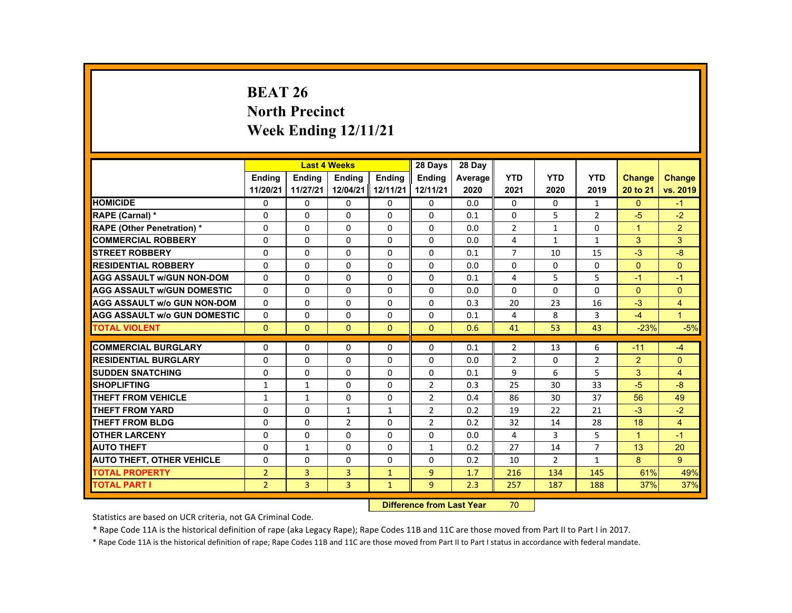# **BEAT 26 North Precinct Week Ending 12/11/21**

|                                     |                |               | <b>Last 4 Weeks</b> |                   | 28 Days        | 28 Day  |                |                |                |                |                |
|-------------------------------------|----------------|---------------|---------------------|-------------------|----------------|---------|----------------|----------------|----------------|----------------|----------------|
|                                     | <b>Endina</b>  | <b>Endina</b> | <b>Endina</b>       | <b>Endina</b>     | <b>Endina</b>  | Average | <b>YTD</b>     | <b>YTD</b>     | <b>YTD</b>     | <b>Change</b>  | <b>Change</b>  |
|                                     | 11/20/21       | 11/27/21      |                     | 12/04/21 12/11/21 | 12/11/21       | 2020    | 2021           | 2020           | 2019           | 20 to 21       | vs. 2019       |
| <b>HOMICIDE</b>                     | $\mathbf{0}$   | $\mathbf{0}$  | 0                   | 0                 | 0              | 0.0     | $\mathbf{0}$   | 0              | $\mathbf{1}$   | $\mathbf{0}$   | $-1$           |
| <b>RAPE (Carnal) *</b>              | $\Omega$       | $\Omega$      | $\Omega$            | $\Omega$          | $\Omega$       | 0.1     | $\Omega$       | 5              | $\overline{2}$ | $-5$           | $-2$           |
| <b>RAPE (Other Penetration) *</b>   | $\Omega$       | $\Omega$      | $\Omega$            | $\Omega$          | $\Omega$       | 0.0     | $\overline{2}$ | $\mathbf{1}$   | $\Omega$       | $\mathbf{1}$   | $\overline{2}$ |
| <b>COMMERCIAL ROBBERY</b>           | 0              | $\mathbf{0}$  | 0                   | 0                 | 0              | 0.0     | 4              | $\mathbf{1}$   | $\mathbf{1}$   | 3              | 3              |
| <b>STREET ROBBERY</b>               | 0              | $\Omega$      | $\Omega$            | $\Omega$          | $\Omega$       | 0.1     | $\overline{7}$ | 10             | 15             | $-3$           | $-8$           |
| <b>RESIDENTIAL ROBBERY</b>          | $\Omega$       | $\Omega$      | $\Omega$            | $\Omega$          | $\Omega$       | 0.0     | $\Omega$       | $\Omega$       | $\Omega$       | $\Omega$       | $\Omega$       |
| <b>AGG ASSAULT w/GUN NON-DOM</b>    | $\Omega$       | $\mathbf{0}$  | 0                   | 0                 | 0              | 0.1     | 4              | 5              | 5              | $-1$           | $-1$           |
| <b>AGG ASSAULT WGUN DOMESTIC</b>    | $\Omega$       | $\Omega$      | $\Omega$            | 0                 | 0              | 0.0     | 0              | 0              | 0              | $\Omega$       | $\Omega$       |
| <b>AGG ASSAULT W/o GUN NON-DOM</b>  | $\Omega$       | $\mathbf{0}$  | 0                   | $\Omega$          | $\Omega$       | 0.3     | 20             | 23             | 16             | $-3$           | $\overline{4}$ |
| <b>AGG ASSAULT W/o GUN DOMESTIC</b> | $\Omega$       | $\Omega$      | $\Omega$            | $\Omega$          | $\Omega$       | 0.1     | 4              | 8              | $\overline{3}$ | $-4$           | $\mathbf{1}$   |
| <b>TOTAL VIOLENT</b>                | $\Omega$       | $\Omega$      | $\Omega$            | $\Omega$          | $\Omega$       | 0.6     | 41             | 53             | 43             | $-23%$         | $-5%$          |
|                                     |                |               |                     |                   |                |         |                |                |                |                |                |
| <b>COMMERCIAL BURGLARY</b>          | $\Omega$       | $\Omega$      | $\Omega$            | $\Omega$          | $\Omega$       | 0.1     | $\overline{2}$ | 13             | 6              | $-11$          | $-4$           |
| <b>RESIDENTIAL BURGLARY</b>         | 0              | $\mathbf{0}$  | 0                   | 0                 | 0              | 0.0     | $\overline{2}$ | 0              | $\overline{2}$ | $\overline{2}$ | $\Omega$       |
| <b>SUDDEN SNATCHING</b>             | $\Omega$       | $\Omega$      | $\Omega$            | $\Omega$          | $\Omega$       | 0.1     | 9              | 6              | 5              | 3              | $\overline{4}$ |
| <b>SHOPLIFTING</b>                  | $\mathbf{1}$   | $\mathbf{1}$  | $\Omega$            | $\Omega$          | $\overline{2}$ | 0.3     | 25             | 30             | 33             | $-5$           | $-8$           |
| THEFT FROM VEHICLE                  | $\mathbf{1}$   | $\mathbf{1}$  | 0                   | 0                 | $\overline{2}$ | 0.4     | 86             | 30             | 37             | 56             | 49             |
| <b>THEFT FROM YARD</b>              | $\Omega$       | $\Omega$      | $\mathbf{1}$        | $\mathbf{1}$      | 2              | 0.2     | 19             | 22             | 21             | $-3$           | $-2$           |
| THEFT FROM BLDG                     | $\Omega$       | $\Omega$      | $\overline{2}$      | $\Omega$          | $\overline{2}$ | 0.2     | 32             | 14             | 28             | 18             | $\overline{4}$ |
| <b>OTHER LARCENY</b>                | 0              | $\mathbf{0}$  | 0                   | 0                 | 0              | 0.0     | 4              | 3              | 5              | $\mathbf{1}$   | $-1$           |
| <b>AUTO THEFT</b>                   | $\Omega$       | $\mathbf{1}$  | $\Omega$            | $\Omega$          | $\mathbf{1}$   | 0.2     | 27             | 14             | $\overline{7}$ | 13             | 20             |
| <b>AUTO THEFT, OTHER VEHICLE</b>    | $\Omega$       | $\Omega$      | $\Omega$            | $\Omega$          | $\Omega$       | 0.2     | 10             | $\overline{2}$ | $\mathbf{1}$   | 8              | 9              |
| <b>TOTAL PROPERTY</b>               | $\overline{2}$ | 3             | 3                   | $\mathbf{1}$      | $\overline{9}$ | 1.7     | 216            | 134            | 145            | 61%            | 49%            |
| <b>TOTAL PART I</b>                 | $\overline{2}$ | 3             | $\overline{3}$      | $\mathbf{1}$      | 9 <sup>°</sup> | 2.3     | 257            | 187            | 188            | 37%            | 37%            |

#### **Difference from Last Year**r 70

Statistics are based on UCR criteria, not GA Criminal Code.

\* Rape Code 11A is the historical definition of rape (aka Legacy Rape); Rape Codes 11B and 11C are those moved from Part II to Part I in 2017.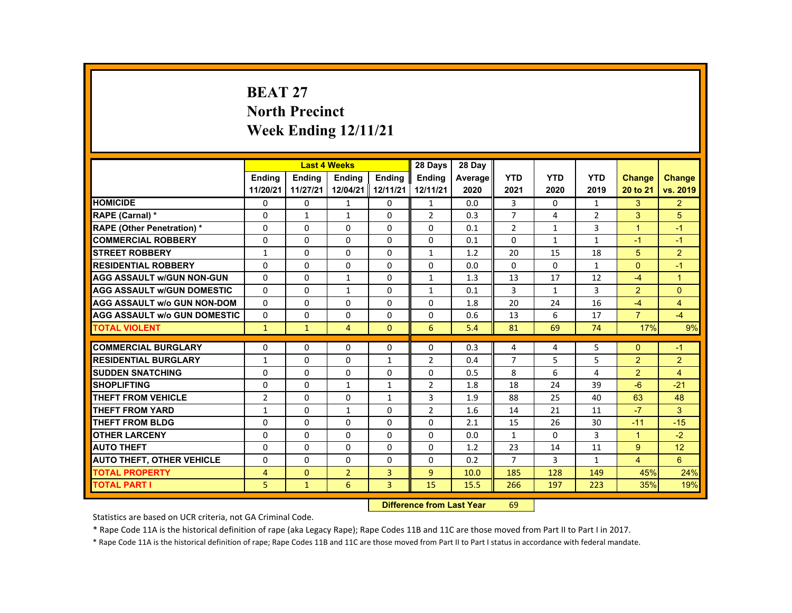# **BEAT 27 North Precinct Week Ending 12/11/21**

|                                     |                |               | <b>Last 4 Weeks</b> |                | 28 Days        | 28 Day  |                |              |                |                |                |
|-------------------------------------|----------------|---------------|---------------------|----------------|----------------|---------|----------------|--------------|----------------|----------------|----------------|
|                                     | <b>Endina</b>  | <b>Endina</b> | <b>Endina</b>       | <b>Endina</b>  | <b>Endina</b>  | Average | <b>YTD</b>     | <b>YTD</b>   | <b>YTD</b>     | <b>Change</b>  | Change         |
|                                     | 11/20/21       | 11/27/21      | 12/04/21 12/11/21   |                | 12/11/21       | 2020    | 2021           | 2020         | 2019           | 20 to 21       | vs. 2019       |
| <b>HOMICIDE</b>                     | 0              | 0             | $\mathbf{1}$        | 0              | $\mathbf{1}$   | 0.0     | 3              | $\Omega$     | $\mathbf{1}$   | 3              | $\overline{2}$ |
| <b>RAPE (Carnal) *</b>              | $\Omega$       | 1             | 1                   | $\Omega$       | $\overline{2}$ | 0.3     | $\overline{7}$ | 4            | $\overline{2}$ | 3              | 5              |
| <b>RAPE (Other Penetration) *</b>   | $\Omega$       | $\Omega$      | $\Omega$            | $\Omega$       | $\Omega$       | 0.1     | $\overline{2}$ | $\mathbf{1}$ | 3              | $\overline{1}$ | $-1$           |
| <b>COMMERCIAL ROBBERY</b>           | $\Omega$       | $\Omega$      | $\Omega$            | $\Omega$       | $\Omega$       | 0.1     | $\Omega$       | $\mathbf{1}$ | $\mathbf{1}$   | $-1$           | $-1$           |
| <b>STREET ROBBERY</b>               | $\mathbf{1}$   | $\Omega$      | $\Omega$            | $\Omega$       | $\mathbf{1}$   | 1.2     | 20             | 15           | 18             | 5              | $\overline{2}$ |
| <b>RESIDENTIAL ROBBERY</b>          | $\Omega$       | $\Omega$      | $\Omega$            | $\Omega$       | $\Omega$       | 0.0     | $\Omega$       | $\Omega$     | $\mathbf{1}$   | $\Omega$       | $-1$           |
| <b>AGG ASSAULT w/GUN NON-GUN</b>    | $\Omega$       | $\Omega$      | $\mathbf{1}$        | $\Omega$       | $\mathbf{1}$   | 1.3     | 13             | 17           | 12             | $-4$           | $\overline{1}$ |
| <b>AGG ASSAULT w/GUN DOMESTIC</b>   | $\Omega$       | $\Omega$      | 1                   | 0              | $\mathbf{1}$   | 0.1     | 3              | $\mathbf{1}$ | 3              | $\overline{2}$ | $\Omega$       |
| <b>AGG ASSAULT w/o GUN NON-DOM</b>  | $\Omega$       | $\Omega$      | $\Omega$            | $\Omega$       | $\Omega$       | 1.8     | 20             | 24           | 16             | $-4$           | $\overline{4}$ |
| <b>AGG ASSAULT W/o GUN DOMESTIC</b> | $\Omega$       | $\Omega$      | $\Omega$            | $\Omega$       | $\Omega$       | 0.6     | 13             | 6            | 17             | $\overline{7}$ | $-4$           |
| <b>TOTAL VIOLENT</b>                | $\mathbf{1}$   | $\mathbf{1}$  | $\overline{4}$      | $\Omega$       | 6              | 5.4     | 81             | 69           | 74             | 17%            | 9%             |
|                                     |                |               |                     |                |                |         |                |              |                |                |                |
| <b>COMMERCIAL BURGLARY</b>          | $\Omega$       | $\Omega$      | $\Omega$            | $\Omega$       | $\Omega$       | 0.3     | 4              | 4            | 5              | $\Omega$       | $-1$           |
| <b>RESIDENTIAL BURGLARY</b>         | $\mathbf{1}$   | $\Omega$      | $\Omega$            | 1              | 2              | 0.4     | $\overline{7}$ | 5            | 5              | 2              | $\overline{2}$ |
| <b>SUDDEN SNATCHING</b>             | $\Omega$       | $\Omega$      | $\Omega$            | $\Omega$       | $\Omega$       | 0.5     | 8              | 6            | 4              | 2              | $\overline{4}$ |
| <b>SHOPLIFTING</b>                  | $\Omega$       | $\Omega$      | $\mathbf{1}$        | $\mathbf{1}$   | $\overline{2}$ | 1.8     | 18             | 24           | 39             | $-6$           | $-21$          |
| <b>THEFT FROM VEHICLE</b>           | $\overline{2}$ | 0             | 0                   | $\mathbf{1}$   | 3              | 1.9     | 88             | 25           | 40             | 63             | 48             |
| <b>THEFT FROM YARD</b>              | $\mathbf{1}$   | $\Omega$      | $\mathbf{1}$        | $\Omega$       | $\overline{2}$ | 1.6     | 14             | 21           | 11             | $-7$           | 3              |
| <b>THEFT FROM BLDG</b>              | $\Omega$       | $\Omega$      | $\Omega$            | $\Omega$       | $\Omega$       | 2.1     | 15             | 26           | 30             | $-11$          | $-15$          |
| <b>OTHER LARCENY</b>                | $\Omega$       | $\Omega$      | $\Omega$            | $\Omega$       | $\Omega$       | 0.0     | $\mathbf{1}$   | 0            | 3              | $\mathbf{1}$   | $-2$           |
| <b>AUTO THEFT</b>                   | $\Omega$       | $\Omega$      | $\Omega$            | $\Omega$       | $\Omega$       | 1.2     | 23             | 14           | 11             | 9              | 12             |
| <b>AUTO THEFT, OTHER VEHICLE</b>    | $\Omega$       | $\Omega$      | $\Omega$            | $\Omega$       | $\Omega$       | 0.2     | $\overline{7}$ | 3            | $\mathbf{1}$   | $\overline{4}$ | 6              |
| <b>TOTAL PROPERTY</b>               | 4              | $\Omega$      | $\overline{2}$      | 3              | $\overline{9}$ | 10.0    | 185            | 128          | 149            | 45%            | 24%            |
| <b>TOTAL PART I</b>                 | 5.             | $\mathbf{1}$  | 6                   | $\overline{3}$ | 15             | 15.5    | 266            | 197          | 223            | 35%            | 19%            |

#### **Difference from Last Year**r 69

Statistics are based on UCR criteria, not GA Criminal Code.

\* Rape Code 11A is the historical definition of rape (aka Legacy Rape); Rape Codes 11B and 11C are those moved from Part II to Part I in 2017.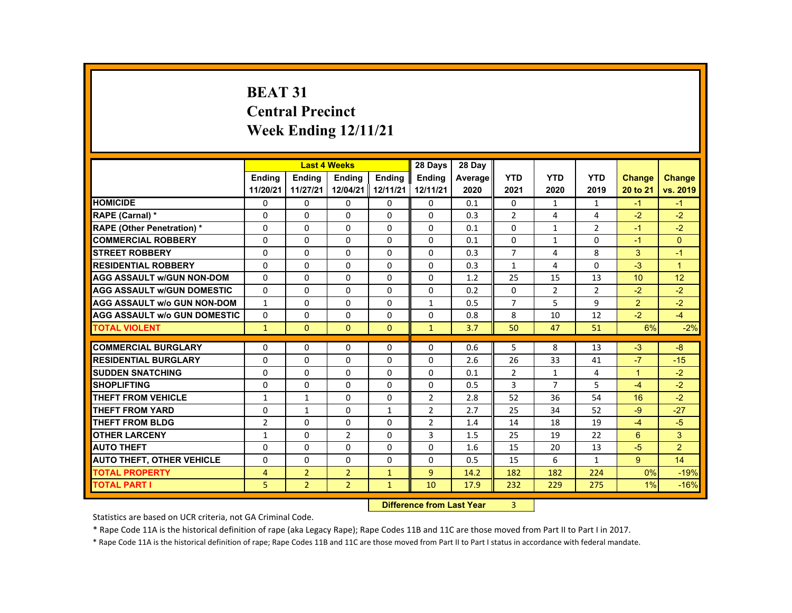# **BEAT 31 Central Precinct Week Ending 12/11/21**

|                                     |                |                | <b>Last 4 Weeks</b> |               | 28 Days        | 28 Day  |                |                |                |                      |                |
|-------------------------------------|----------------|----------------|---------------------|---------------|----------------|---------|----------------|----------------|----------------|----------------------|----------------|
|                                     | <b>Endina</b>  | <b>Endina</b>  | <b>Endina</b>       | <b>Endina</b> | <b>Endina</b>  | Average | <b>YTD</b>     | <b>YTD</b>     | <b>YTD</b>     | <b>Change</b>        | Change         |
|                                     | 11/20/21       | 11/27/21       | 12/04/21   12/11/21 |               | 12/11/21       | 2020    | 2021           | 2020           | 2019           | 20 to 21             | vs. 2019       |
| <b>HOMICIDE</b>                     | 0              | 0              | 0                   | 0             | 0              | 0.1     | 0              | $\mathbf{1}$   | $\mathbf{1}$   | $-1$                 | $-1$           |
| <b>RAPE (Carnal) *</b>              | $\Omega$       | $\Omega$       | $\Omega$            | $\Omega$      | $\Omega$       | 0.3     | $\overline{2}$ | 4              | 4              | $-2$                 | $-2$           |
| <b>RAPE (Other Penetration) *</b>   | $\Omega$       | $\Omega$       | $\Omega$            | $\Omega$      | $\Omega$       | 0.1     | $\Omega$       | $\mathbf{1}$   | $\overline{2}$ | $-1$                 | $-2$           |
| <b>COMMERCIAL ROBBERY</b>           | $\Omega$       | $\Omega$       | $\Omega$            | $\Omega$      | $\Omega$       | 0.1     | $\Omega$       | $\mathbf{1}$   | $\Omega$       | $-1$                 | $\Omega$       |
| <b>STREET ROBBERY</b>               | $\Omega$       | $\Omega$       | $\Omega$            | $\Omega$      | $\Omega$       | 0.3     | $\overline{7}$ | 4              | 8              | 3                    | $-1$           |
| <b>RESIDENTIAL ROBBERY</b>          | $\Omega$       | $\Omega$       | $\Omega$            | $\Omega$      | $\Omega$       | 0.3     | $\mathbf{1}$   | 4              | $\Omega$       | $-3$                 | $\mathbf{1}$   |
| <b>AGG ASSAULT w/GUN NON-DOM</b>    | $\Omega$       | $\Omega$       | $\Omega$            | $\Omega$      | $\Omega$       | 1.2     | 25             | 15             | 13             | 10                   | 12             |
| <b>AGG ASSAULT w/GUN DOMESTIC</b>   | $\Omega$       | $\Omega$       | $\Omega$            | $\Omega$      | $\Omega$       | 0.2     | $\Omega$       | $\overline{2}$ | $\overline{2}$ | $-2$                 | $-2$           |
| <b>AGG ASSAULT w/o GUN NON-DOM</b>  | $\mathbf{1}$   | 0              | 0                   | 0             | $\mathbf{1}$   | 0.5     | $\overline{7}$ | 5              | 9              | 2                    | $-2$           |
| <b>AGG ASSAULT W/o GUN DOMESTIC</b> | $\Omega$       | $\Omega$       | $\Omega$            | $\Omega$      | $\Omega$       | 0.8     | 8              | 10             | 12             | $-2$                 | $-4$           |
| <b>TOTAL VIOLENT</b>                | $\mathbf{1}$   | $\mathbf{0}$   | $\mathbf{0}$        | $\mathbf{0}$  | $\mathbf{1}$   | 3.7     | 50             | 47             | 51             | 6%                   | $-2%$          |
|                                     |                |                |                     |               |                |         |                |                |                |                      |                |
| <b>COMMERCIAL BURGLARY</b>          | $\Omega$       | $\Omega$       | $\Omega$            | $\Omega$      | $\Omega$       | 0.6     | 5              | 8              | 13             | $-3$                 | $-8$           |
| <b>RESIDENTIAL BURGLARY</b>         | $\Omega$       | 0              | 0                   | 0             | 0              | 2.6     | 26             | 33             | 41             | $-7$                 | $-15$          |
| <b>SUDDEN SNATCHING</b>             | $\Omega$       | $\Omega$       | $\Omega$            | $\Omega$      | $\Omega$       | 0.1     | $\overline{2}$ | $\mathbf{1}$   | 4              | $\blacktriangleleft$ | $-2$           |
| <b>SHOPLIFTING</b>                  | $\Omega$       | $\Omega$       | $\Omega$            | $\Omega$      | $\Omega$       | 0.5     | 3              | $\overline{7}$ | 5              | $-4$                 | $-2$           |
| <b>THEFT FROM VEHICLE</b>           | $\mathbf{1}$   | $\mathbf{1}$   | 0                   | 0             | $\overline{2}$ | 2.8     | 52             | 36             | 54             | 16                   | $-2$           |
| <b>THEFT FROM YARD</b>              | $\Omega$       | $\mathbf{1}$   | $\Omega$            | $\mathbf{1}$  | $\overline{2}$ | 2.7     | 25             | 34             | 52             | $-9$                 | $-27$          |
| <b>THEFT FROM BLDG</b>              | $\overline{2}$ | $\Omega$       | $\Omega$            | $\Omega$      | $\overline{2}$ | 1.4     | 14             | 18             | 19             | $-4$                 | $-5$           |
| <b>OTHER LARCENY</b>                | $\mathbf{1}$   | $\Omega$       | $\overline{2}$      | $\Omega$      | 3              | 1.5     | 25             | 19             | 22             | 6                    | 3              |
| <b>AUTO THEFT</b>                   | $\Omega$       | $\Omega$       | $\Omega$            | $\Omega$      | $\Omega$       | 1.6     | 15             | 20             | 13             | $-5$                 | $\overline{2}$ |
| <b>AUTO THEFT, OTHER VEHICLE</b>    | $\Omega$       | 0              | 0                   | 0             | 0              | 0.5     | 15             | 6              | $\mathbf{1}$   | 9                    | 14             |
| <b>TOTAL PROPERTY</b>               | 4              | $\overline{2}$ | $\overline{2}$      | $\mathbf{1}$  | $\overline{9}$ | 14.2    | 182            | 182            | 224            | 0%                   | $-19%$         |
| <b>TOTAL PART I</b>                 | 5.             | $\overline{2}$ | 2 <sup>1</sup>      | $\mathbf{1}$  | 10             | 17.9    | 232            | 229            | 275            | 1%                   | $-16%$         |

#### **Difference from Last Year**r 3

Statistics are based on UCR criteria, not GA Criminal Code.

\* Rape Code 11A is the historical definition of rape (aka Legacy Rape); Rape Codes 11B and 11C are those moved from Part II to Part I in 2017.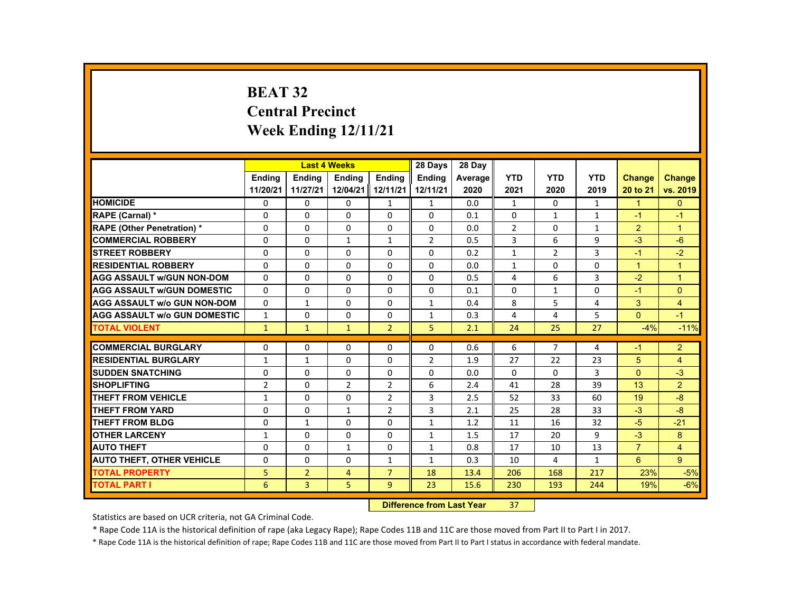# **BEAT 32 Central Precinct Week Ending 12/11/21**

|                                     |                |                | <b>Last 4 Weeks</b> |                | 28 Days        | 28 Day  |                |                |              |                |                |
|-------------------------------------|----------------|----------------|---------------------|----------------|----------------|---------|----------------|----------------|--------------|----------------|----------------|
|                                     | <b>Endina</b>  | <b>Endina</b>  | <b>Endina</b>       | <b>Endina</b>  | <b>Endina</b>  | Average | <b>YTD</b>     | <b>YTD</b>     | <b>YTD</b>   | <b>Change</b>  | <b>Change</b>  |
|                                     | 11/20/21       | 11/27/21       | 12/04/21            | 12/11/21       | 12/11/21       | 2020    | 2021           | 2020           | 2019         | 20 to 21       | vs. 2019       |
| <b>HOMICIDE</b>                     | $\mathbf{0}$   | $\mathbf{0}$   | 0                   | 1              | 1              | 0.0     | $\mathbf{1}$   | 0              | $\mathbf{1}$ | $\mathbf{1}$   | $\mathbf{0}$   |
| <b>RAPE (Carnal) *</b>              | $\Omega$       | $\Omega$       | $\Omega$            | $\Omega$       | $\Omega$       | 0.1     | $\Omega$       | $\mathbf{1}$   | $\mathbf{1}$ | $-1$           | $-1$           |
| <b>RAPE (Other Penetration) *</b>   | $\Omega$       | $\Omega$       | $\Omega$            | $\Omega$       | $\Omega$       | 0.0     | $\overline{2}$ | $\Omega$       | $\mathbf{1}$ | $\overline{2}$ | $\overline{1}$ |
| <b>COMMERCIAL ROBBERY</b>           | 0              | $\mathbf{0}$   | $\mathbf{1}$        | $\mathbf{1}$   | $\overline{2}$ | 0.5     | 3              | 6              | 9            | $-3$           | $-6$           |
| <b>STREET ROBBERY</b>               | 0              | $\Omega$       | $\Omega$            | $\Omega$       | $\Omega$       | 0.2     | $\mathbf{1}$   | 2              | 3            | $-1$           | $-2$           |
| <b>RESIDENTIAL ROBBERY</b>          | $\Omega$       | $\Omega$       | $\Omega$            | $\Omega$       | $\Omega$       | 0.0     | $\mathbf{1}$   | $\Omega$       | $\Omega$     | $\mathbf{1}$   | $\overline{1}$ |
| <b>AGG ASSAULT w/GUN NON-DOM</b>    | $\Omega$       | $\mathbf{0}$   | 0                   | 0              | 0              | 0.5     | 4              | 6              | 3            | $-2$           | $\overline{1}$ |
| <b>AGG ASSAULT WGUN DOMESTIC</b>    | $\Omega$       | $\Omega$       | $\Omega$            | 0              | 0              | 0.1     | 0              | $\mathbf{1}$   | 0            | $-1$           | $\Omega$       |
| <b>AGG ASSAULT W/o GUN NON-DOM</b>  | $\Omega$       | $\mathbf{1}$   | $\Omega$            | $\Omega$       | $\mathbf{1}$   | 0.4     | 8              | 5              | 4            | 3              | $\overline{4}$ |
| <b>AGG ASSAULT W/o GUN DOMESTIC</b> | $\mathbf{1}$   | $\Omega$       | $\Omega$            | $\Omega$       | $\mathbf{1}$   | 0.3     | 4              | 4              | 5            | $\Omega$       | $-1$           |
| <b>TOTAL VIOLENT</b>                | $\mathbf{1}$   | $\mathbf{1}$   | $\mathbf{1}$        | $\overline{2}$ | 5              | 2.1     | 24             | 25             | 27           | $-4%$          | $-11%$         |
|                                     |                |                |                     |                |                |         |                |                |              |                |                |
| <b>COMMERCIAL BURGLARY</b>          | $\Omega$       | $\Omega$       | $\Omega$            | $\Omega$       | $\Omega$       | 0.6     | 6              | $\overline{7}$ | 4            | $-1$           | $\overline{2}$ |
| <b>RESIDENTIAL BURGLARY</b>         | 1              | $\mathbf{1}$   | 0                   | 0              | $\overline{2}$ | 1.9     | 27             | 22             | 23           | 5              | 4              |
| <b>SUDDEN SNATCHING</b>             | $\Omega$       | $\Omega$       | $\Omega$            | $\Omega$       | $\Omega$       | 0.0     | $\Omega$       | $\Omega$       | 3            | $\Omega$       | $-3$           |
| <b>SHOPLIFTING</b>                  | $\overline{2}$ | $\Omega$       | $\overline{2}$      | $\overline{2}$ | 6              | 2.4     | 41             | 28             | 39           | 13             | $\overline{2}$ |
| THEFT FROM VEHICLE                  | $\mathbf{1}$   | $\mathbf{0}$   | 0                   | $\overline{2}$ | 3              | 2.5     | 52             | 33             | 60           | 19             | $-8$           |
| <b>THEFT FROM YARD</b>              | $\Omega$       | $\Omega$       | $\mathbf{1}$        | $\overline{2}$ | 3              | 2.1     | 25             | 28             | 33           | $-3$           | $-8$           |
| THEFT FROM BLDG                     | $\Omega$       | $\mathbf{1}$   | $\Omega$            | $\Omega$       | $\mathbf{1}$   | 1.2     | 11             | 16             | 32           | $-5$           | $-21$          |
| <b>OTHER LARCENY</b>                | $\mathbf{1}$   | $\mathbf{0}$   | 0                   | 0              | 1              | 1.5     | 17             | 20             | 9            | $-3$           | 8              |
| <b>AUTO THEFT</b>                   | $\Omega$       | $\Omega$       | $\mathbf{1}$        | $\Omega$       | $\mathbf{1}$   | 0.8     | 17             | 10             | 13           | $\overline{7}$ | $\overline{4}$ |
| <b>AUTO THEFT, OTHER VEHICLE</b>    | $\Omega$       | $\Omega$       | $\Omega$            | $\mathbf{1}$   | $\mathbf{1}$   | 0.3     | 10             | 4              | $\mathbf{1}$ | 6              | 9              |
| <b>TOTAL PROPERTY</b>               | 5              | $\overline{2}$ | $\overline{4}$      | $\overline{7}$ | 18             | 13.4    | 206            | 168            | 217          | 23%            | $-5%$          |
| <b>TOTAL PART I</b>                 | 6              | 3              | 5                   | 9 <sup>°</sup> | 23             | 15.6    | 230            | 193            | 244          | 19%            | $-6%$          |

#### **Difference from Last Year**r 37

Statistics are based on UCR criteria, not GA Criminal Code.

\* Rape Code 11A is the historical definition of rape (aka Legacy Rape); Rape Codes 11B and 11C are those moved from Part II to Part I in 2017.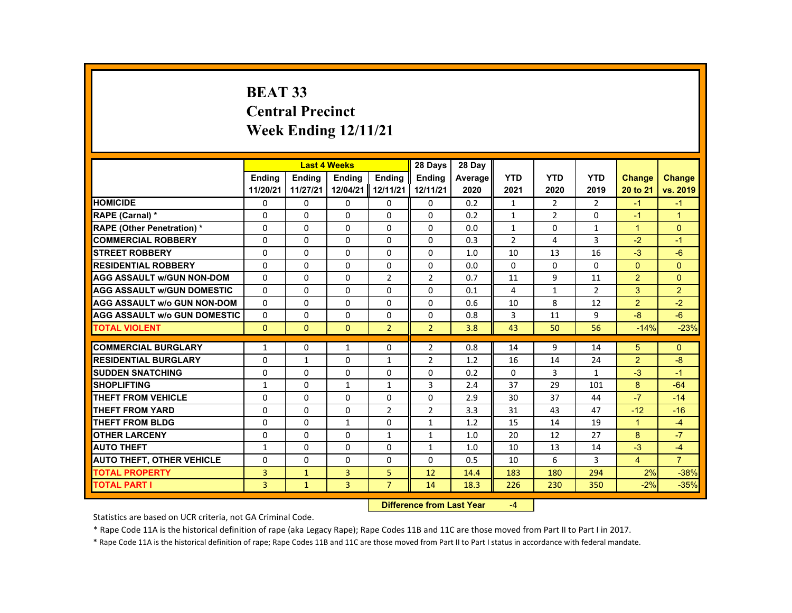# **BEAT 33 Central Precinct Week Ending 12/11/21**

|                                     |               |               | <b>Last 4 Weeks</b> |                | 28 Days        | 28 Dav  |                |                |                |                |                      |
|-------------------------------------|---------------|---------------|---------------------|----------------|----------------|---------|----------------|----------------|----------------|----------------|----------------------|
|                                     | <b>Endina</b> | <b>Endina</b> | Ending              | <b>Endina</b>  | <b>Endina</b>  | Average | <b>YTD</b>     | <b>YTD</b>     | <b>YTD</b>     | <b>Change</b>  | <b>Change</b>        |
|                                     | 11/20/21      | 11/27/21      | 12/04/21            | 12/11/21       | 12/11/21       | 2020    | 2021           | 2020           | 2019           | 20 to 21       | vs. 2019             |
| <b>HOMICIDE</b>                     | $\mathbf{0}$  | 0             | 0                   | 0              | 0              | 0.2     | $\mathbf{1}$   | $\overline{2}$ | $\overline{2}$ | $-1$           | $-1$                 |
| RAPE (Carnal) *                     | 0             | 0             | 0                   | 0              | 0              | 0.2     | $\mathbf{1}$   | $\overline{2}$ | 0              | $-1$           | $\blacktriangleleft$ |
| <b>RAPE (Other Penetration) *</b>   | $\Omega$      | $\Omega$      | $\Omega$            | $\Omega$       | $\Omega$       | 0.0     | $\mathbf{1}$   | $\Omega$       | $\mathbf{1}$   | $\mathbf{1}$   | $\mathbf{0}$         |
| <b>COMMERCIAL ROBBERY</b>           | $\Omega$      | $\Omega$      | $\Omega$            | $\Omega$       | $\Omega$       | 0.3     | $\overline{2}$ | 4              | 3              | $-2$           | $-1$                 |
| <b>STREET ROBBERY</b>               | 0             | $\Omega$      | $\Omega$            | $\Omega$       | $\Omega$       | 1.0     | 10             | 13             | 16             | $-3$           | $-6$                 |
| <b>RESIDENTIAL ROBBERY</b>          | $\Omega$      | $\Omega$      | $\Omega$            | $\Omega$       | $\Omega$       | 0.0     | $\Omega$       | $\Omega$       | 0              | $\Omega$       | $\mathbf{0}$         |
| <b>AGG ASSAULT w/GUN NON-DOM</b>    | $\Omega$      | $\Omega$      | $\Omega$            | $\overline{2}$ | $\overline{2}$ | 0.7     | 11             | 9              | 11             | $\overline{2}$ | $\Omega$             |
| <b>AGG ASSAULT w/GUN DOMESTIC</b>   | 0             | 0             | 0                   | 0              | 0              | 0.1     | 4              | 1              | $\overline{2}$ | 3              | $\overline{2}$       |
| <b>AGG ASSAULT w/o GUN NON-DOM</b>  | $\Omega$      | $\Omega$      | $\Omega$            | $\Omega$       | $\Omega$       | 0.6     | 10             | 8              | 12             | $\overline{2}$ | $-2$                 |
| <b>AGG ASSAULT W/o GUN DOMESTIC</b> | $\Omega$      | $\Omega$      | $\Omega$            | $\Omega$       | $\Omega$       | 0.8     | 3              | 11             | $\mathbf{q}$   | $-8$           | $-6$                 |
| <b>TOTAL VIOLENT</b>                | $\Omega$      | $\Omega$      | $\Omega$            | $\overline{2}$ | $\overline{2}$ | 3.8     | 43             | 50             | 56             | $-14%$         | $-23%$               |
|                                     |               |               |                     |                |                |         |                |                |                |                |                      |
| <b>COMMERCIAL BURGLARY</b>          | $\mathbf{1}$  | 0             | $\mathbf{1}$        | 0              | $\overline{2}$ | 0.8     | 14             | 9              | 14             | 5              | $\mathbf{0}$         |
| <b>RESIDENTIAL BURGLARY</b>         | 0             | 1             | 0                   | 1              | 2              | 1.2     | 16             | 14             | 24             | $\overline{2}$ | -8                   |
| <b>SUDDEN SNATCHING</b>             | $\Omega$      | $\Omega$      | $\Omega$            | $\Omega$       | $\Omega$       | 0.2     | $\Omega$       | 3              | $\mathbf{1}$   | $-3$           | $-1$                 |
| <b>SHOPLIFTING</b>                  | $\mathbf{1}$  | $\Omega$      | $\mathbf{1}$        | $\mathbf{1}$   | 3              | 2.4     | 37             | 29             | 101            | 8              | $-64$                |
| <b>THEFT FROM VEHICLE</b>           | 0             | $\Omega$      | $\Omega$            | $\Omega$       | $\Omega$       | 2.9     | 30             | 37             | 44             | $-7$           | $-14$                |
| <b>THEFT FROM YARD</b>              | 0             | $\Omega$      | $\Omega$            | $\overline{2}$ | $\overline{2}$ | 3.3     | 31             | 43             | 47             | $-12$          | $-16$                |
| <b>THEFT FROM BLDG</b>              | $\Omega$      | $\Omega$      | $\mathbf{1}$        | $\Omega$       | 1              | 1.2     | 15             | 14             | 19             | $\mathbf{1}$   | $-4$                 |
| <b>OTHER LARCENY</b>                | $\Omega$      | 0             | $\Omega$            | $\mathbf{1}$   | $\mathbf{1}$   | 1.0     | 20             | 12             | 27             | 8              | $-7$                 |
| <b>AUTO THEFT</b>                   | $\mathbf{1}$  | $\Omega$      | 0                   | $\Omega$       | $\mathbf{1}$   | 1.0     | 10             | 13             | 14             | $-3$           | $-4$                 |
| <b>AUTO THEFT, OTHER VEHICLE</b>    | 0             | 0             | 0                   | 0              | 0              | 0.5     | 10             | 6              | 3              | $\overline{4}$ | $\overline{7}$       |
| <b>TOTAL PROPERTY</b>               | 3             | $\mathbf{1}$  | 3                   | 5              | 12             | 14.4    | 183            | 180            | 294            | 2%             | $-38%$               |
| <b>TOTAL PART I</b>                 | 3             | $\mathbf{1}$  | 3                   | $\overline{7}$ | 14             | 18.3    | 226            | 230            | 350            | $-2%$          | $-35%$               |

#### **Difference from Last Year**‐4

Statistics are based on UCR criteria, not GA Criminal Code.

\* Rape Code 11A is the historical definition of rape (aka Legacy Rape); Rape Codes 11B and 11C are those moved from Part II to Part I in 2017.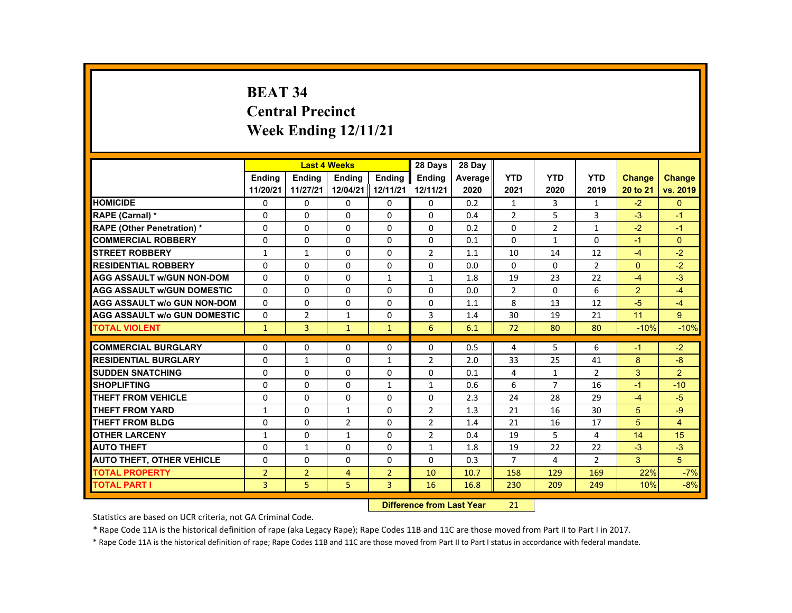# **BEAT 34 Central Precinct Week Ending 12/11/21**

|                                     |                |                | <b>Last 4 Weeks</b> |                | 28 Days        | 28 Day  |                |                |                |                |                |
|-------------------------------------|----------------|----------------|---------------------|----------------|----------------|---------|----------------|----------------|----------------|----------------|----------------|
|                                     | <b>Endina</b>  | <b>Endina</b>  | <b>Endina</b>       | <b>Endina</b>  | <b>Endina</b>  | Average | <b>YTD</b>     | <b>YTD</b>     | <b>YTD</b>     | <b>Change</b>  | <b>Change</b>  |
|                                     | 11/20/21       | 11/27/21       | 12/04/21 12/11/21   |                | 12/11/21       | 2020    | 2021           | 2020           | 2019           | 20 to 21       | vs. 2019       |
| <b>HOMICIDE</b>                     | 0              | 0              | 0                   | 0              | 0              | 0.2     | $\mathbf{1}$   | 3              | $\mathbf{1}$   | $-2$           | $\mathbf{0}$   |
| RAPE (Carnal) *                     | $\Omega$       | $\Omega$       | $\Omega$            | $\Omega$       | $\Omega$       | 0.4     | $\overline{2}$ | 5              | 3              | $-3$           | $-1$           |
| <b>RAPE (Other Penetration) *</b>   | $\Omega$       | $\Omega$       | $\Omega$            | $\Omega$       | $\Omega$       | 0.2     | $\Omega$       | $\overline{2}$ | $\mathbf{1}$   | $-2$           | $-1$           |
| <b>COMMERCIAL ROBBERY</b>           | $\Omega$       | $\Omega$       | $\Omega$            | $\Omega$       | $\Omega$       | 0.1     | $\Omega$       | $\mathbf{1}$   | $\Omega$       | $-1$           | $\Omega$       |
| <b>STREET ROBBERY</b>               | $\mathbf{1}$   | $\mathbf{1}$   | $\Omega$            | $\Omega$       | $\overline{2}$ | 1.1     | 10             | 14             | 12             | $-4$           | $-2$           |
| <b>RESIDENTIAL ROBBERY</b>          | $\Omega$       | $\Omega$       | $\Omega$            | $\Omega$       | $\Omega$       | 0.0     | $\Omega$       | $\Omega$       | $\overline{2}$ | $\Omega$       | $-2$           |
| <b>AGG ASSAULT w/GUN NON-DOM</b>    | $\Omega$       | $\Omega$       | $\Omega$            | $\mathbf{1}$   | 1              | 1.8     | 19             | 23             | 22             | $-4$           | $-3$           |
| <b>AGG ASSAULT w/GUN DOMESTIC</b>   | $\Omega$       | $\Omega$       | $\Omega$            | $\Omega$       | $\Omega$       | 0.0     | $\overline{2}$ | $\Omega$       | 6              | $\overline{2}$ | $-4$           |
| <b>AGG ASSAULT w/o GUN NON-DOM</b>  | $\Omega$       | 0              | $\Omega$            | 0              | $\Omega$       | 1.1     | 8              | 13             | 12             | $-5$           | $-4$           |
| <b>AGG ASSAULT W/o GUN DOMESTIC</b> | $\Omega$       | $\overline{2}$ | $\mathbf{1}$        | $\Omega$       | 3              | 1.4     | 30             | 19             | 21             | 11             | 9              |
| <b>TOTAL VIOLENT</b>                | $\mathbf{1}$   | $\overline{3}$ | $\mathbf{1}$        | $\mathbf{1}$   | 6              | 6.1     | 72             | 80             | 80             | $-10%$         | $-10%$         |
|                                     |                |                |                     |                |                |         |                |                |                |                |                |
| <b>COMMERCIAL BURGLARY</b>          | $\Omega$       | $\Omega$       | $\Omega$            | 0              | $\Omega$       | 0.5     | 4              | 5              | 6              | $-1$           | $-2$           |
| <b>RESIDENTIAL BURGLARY</b>         | $\Omega$       | $\mathbf{1}$   | $\Omega$            | $\mathbf{1}$   | $\overline{2}$ | 2.0     | 33             | 25             | 41             | 8              | $-8$           |
| <b>SUDDEN SNATCHING</b>             | $\Omega$       | $\Omega$       | $\Omega$            | $\Omega$       | $\Omega$       | 0.1     | 4              | $\mathbf{1}$   | $\overline{2}$ | 3              | 2              |
| <b>SHOPLIFTING</b>                  | $\Omega$       | $\Omega$       | $\Omega$            | $\mathbf{1}$   | $\mathbf{1}$   | 0.6     | 6              | $\overline{7}$ | 16             | $-1$           | $-10$          |
| <b>THEFT FROM VEHICLE</b>           | 0              | 0              | 0                   | 0              | 0              | 2.3     | 24             | 28             | 29             | $-4$           | $-5$           |
| <b>THEFT FROM YARD</b>              | $\mathbf{1}$   | $\Omega$       | $\mathbf{1}$        | $\Omega$       | $\overline{2}$ | 1.3     | 21             | 16             | 30             | 5              | $-9$           |
| <b>THEFT FROM BLDG</b>              | $\Omega$       | $\Omega$       | $\overline{2}$      | $\Omega$       | $\overline{2}$ | 1.4     | 21             | 16             | 17             | 5              | $\overline{4}$ |
| <b>OTHER LARCENY</b>                | $\mathbf{1}$   | $\Omega$       | $\mathbf{1}$        | 0              | 2              | 0.4     | 19             | 5              | 4              | 14             | 15             |
| <b>AUTO THEFT</b>                   | $\Omega$       | $\mathbf{1}$   | $\Omega$            | $\Omega$       | $\mathbf{1}$   | 1.8     | 19             | 22             | 22             | $-3$           | $-3$           |
| <b>AUTO THEFT, OTHER VEHICLE</b>    | $\Omega$       | $\Omega$       | $\Omega$            | $\Omega$       | $\Omega$       | 0.3     | $\overline{7}$ | 4              | $\overline{2}$ | 3              | 5              |
| <b>TOTAL PROPERTY</b>               | $\overline{2}$ | $\overline{2}$ | $\overline{4}$      | $\overline{2}$ | 10             | 10.7    | 158            | 129            | 169            | 22%            | $-7%$          |
| <b>TOTAL PART I</b>                 | $\overline{3}$ | 5              | 5                   | $\overline{3}$ | 16             | 16.8    | 230            | 209            | 249            | 10%            | $-8%$          |

#### **Difference from Last Year**r 21

Statistics are based on UCR criteria, not GA Criminal Code.

\* Rape Code 11A is the historical definition of rape (aka Legacy Rape); Rape Codes 11B and 11C are those moved from Part II to Part I in 2017.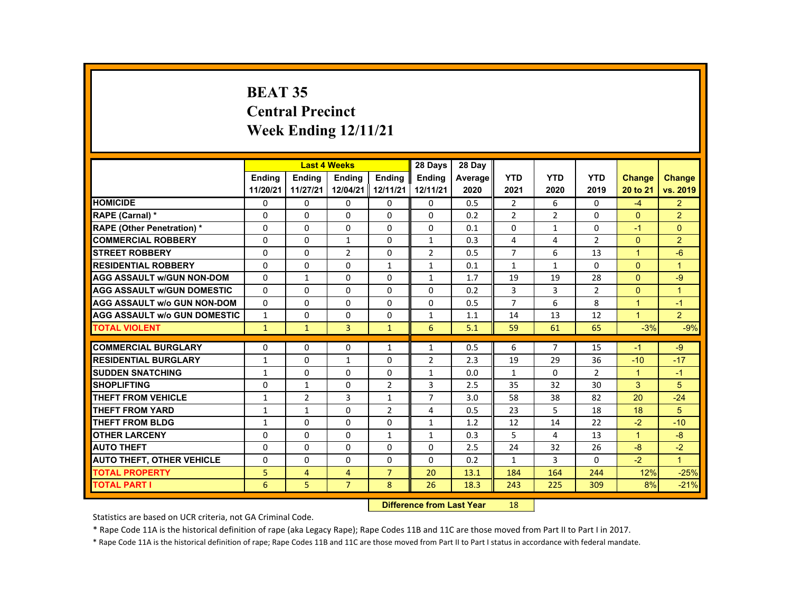# **BEAT 35 Central Precinct Week Ending 12/11/21**

|                                     |               |                | <b>Last 4 Weeks</b> |                | 28 Days        | 28 Day  |                |                |                |                      |                      |
|-------------------------------------|---------------|----------------|---------------------|----------------|----------------|---------|----------------|----------------|----------------|----------------------|----------------------|
|                                     | <b>Endina</b> | <b>Endina</b>  | <b>Endina</b>       | <b>Endina</b>  | <b>Endina</b>  | Average | <b>YTD</b>     | <b>YTD</b>     | <b>YTD</b>     | <b>Change</b>        | <b>Change</b>        |
|                                     | 11/20/21      | 11/27/21       | 12/04/21 12/11/21   |                | 12/11/21       | 2020    | 2021           | 2020           | 2019           | 20 to 21             | vs. 2019             |
| <b>HOMICIDE</b>                     | $\mathbf{0}$  | $\mathbf{0}$   | 0                   | 0              | $\mathbf{0}$   | 0.5     | $\overline{2}$ | 6              | $\Omega$       | $-4$                 | $\overline{2}$       |
| <b>RAPE (Carnal) *</b>              | $\Omega$      | $\Omega$       | $\Omega$            | $\Omega$       | $\Omega$       | 0.2     | 2              | 2              | $\Omega$       | $\Omega$             | $\overline{2}$       |
| <b>RAPE (Other Penetration) *</b>   | $\Omega$      | $\Omega$       | $\Omega$            | $\Omega$       | $\Omega$       | 0.1     | $\Omega$       | $\mathbf{1}$   | $\Omega$       | $-1$                 | $\Omega$             |
| <b>COMMERCIAL ROBBERY</b>           | $\Omega$      | $\Omega$       | $\mathbf{1}$        | $\mathbf{0}$   | $\mathbf{1}$   | 0.3     | 4              | 4              | $\overline{2}$ | $\Omega$             | $\overline{2}$       |
| <b>STREET ROBBERY</b>               | $\Omega$      | $\Omega$       | 2                   | $\Omega$       | 2              | 0.5     | $\overline{7}$ | 6              | 13             | $\blacktriangleleft$ | $-6$                 |
| <b>RESIDENTIAL ROBBERY</b>          | $\Omega$      | $\Omega$       | $\Omega$            | $\mathbf{1}$   | $\mathbf{1}$   | 0.1     | $\mathbf{1}$   | $\mathbf{1}$   | $\Omega$       | $\mathbf{0}$         | $\blacktriangleleft$ |
| <b>AGG ASSAULT w/GUN NON-DOM</b>    | $\Omega$      | $\mathbf{1}$   | $\Omega$            | $\Omega$       | $\mathbf{1}$   | 1.7     | 19             | 19             | 28             | $\Omega$             | $-9$                 |
| <b>AGG ASSAULT w/GUN DOMESTIC</b>   | $\Omega$      | $\Omega$       | $\Omega$            | $\Omega$       | $\Omega$       | 0.2     | 3              | 3              | $\overline{2}$ | $\Omega$             | $\overline{1}$       |
| <b>AGG ASSAULT w/o GUN NON-DOM</b>  | $\Omega$      | $\Omega$       | $\Omega$            | $\Omega$       | $\Omega$       | 0.5     | $\overline{7}$ | 6              | 8              | $\overline{1}$       | $-1$                 |
| <b>AGG ASSAULT W/o GUN DOMESTIC</b> | $\mathbf{1}$  | $\Omega$       | $\Omega$            | $\Omega$       | $\mathbf{1}$   | 1.1     | 14             | 13             | 12             | $\blacktriangleleft$ | $\overline{2}$       |
| <b>TOTAL VIOLENT</b>                | $\mathbf{1}$  | $\mathbf{1}$   | $\overline{3}$      | $\mathbf{1}$   | 6              | 5.1     | 59             | 61             | 65             | $-3%$                | $-9%$                |
|                                     |               |                |                     |                |                |         |                |                |                |                      |                      |
| <b>COMMERCIAL BURGLARY</b>          | $\Omega$      | $\Omega$       | $\Omega$            | $\mathbf{1}$   | $\mathbf{1}$   | 0.5     | 6              | $\overline{7}$ | 15             | $-1$                 | $-9$                 |
| <b>RESIDENTIAL BURGLARY</b>         | $\mathbf{1}$  | $\mathbf{0}$   | $\mathbf{1}$        | 0              | $\overline{2}$ | 2.3     | 19             | 29             | 36             | $-10$                | $-17$                |
| <b>SUDDEN SNATCHING</b>             | $\mathbf{1}$  | $\Omega$       | $\Omega$            | $\Omega$       | $\mathbf{1}$   | 0.0     | $\mathbf{1}$   | $\Omega$       | $\overline{2}$ | $\blacktriangleleft$ | $-1$                 |
| <b>SHOPLIFTING</b>                  | $\Omega$      | $\mathbf{1}$   | $\Omega$            | $\overline{2}$ | 3              | 2.5     | 35             | 32             | 30             | 3                    | 5                    |
| <b>THEFT FROM VEHICLE</b>           | $\mathbf{1}$  | $\overline{2}$ | 3                   | $\mathbf{1}$   | $\overline{7}$ | 3.0     | 58             | 38             | 82             | 20                   | $-24$                |
| <b>THEFT FROM YARD</b>              | $\mathbf{1}$  | $\mathbf{1}$   | $\Omega$            | $\overline{2}$ | 4              | 0.5     | 23             | 5              | 18             | 18                   | 5                    |
| <b>THEFT FROM BLDG</b>              | $\mathbf{1}$  | $\Omega$       | $\Omega$            | $\Omega$       | $\mathbf{1}$   | 1.2     | 12             | 14             | 22             | $-2$                 | $-10$                |
| <b>OTHER LARCENY</b>                | $\Omega$      | $\Omega$       | $\Omega$            | $\mathbf{1}$   | $\mathbf{1}$   | 0.3     | 5              | 4              | 13             | $\mathbf{1}$         | $-8$                 |
| <b>AUTO THEFT</b>                   | $\Omega$      | $\Omega$       | $\Omega$            | $\Omega$       | $\Omega$       | 2.5     | 24             | 32             | 26             | $-8$                 | $-2$                 |
| <b>AUTO THEFT, OTHER VEHICLE</b>    | $\Omega$      | $\Omega$       | $\Omega$            | $\Omega$       | $\Omega$       | 0.2     | $\mathbf{1}$   | 3              | $\Omega$       | $-2$                 | $\overline{1}$       |
| <b>TOTAL PROPERTY</b>               | 5             | $\overline{4}$ | $\overline{4}$      | $\overline{7}$ | 20             | 13.1    | 184            | 164            | 244            | 12%                  | $-25%$               |
| <b>TOTAL PART I</b>                 | 6             | 5              | $\overline{7}$      | 8              | 26             | 18.3    | 243            | 225            | 309            | 8%                   | $-21%$               |

#### **Difference from Last Year**r 18

Statistics are based on UCR criteria, not GA Criminal Code.

\* Rape Code 11A is the historical definition of rape (aka Legacy Rape); Rape Codes 11B and 11C are those moved from Part II to Part I in 2017.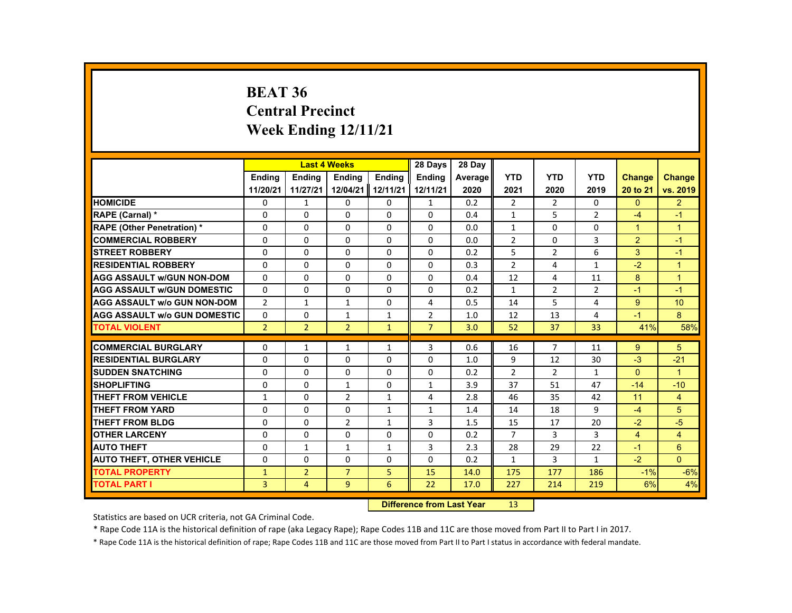## **BEAT 36 Central Precinct Week Ending 12/11/21**

|                                     |                | <b>Last 4 Weeks</b> |                |                    | 28 Days                     | 28 Day  |                |                |                |                |                |
|-------------------------------------|----------------|---------------------|----------------|--------------------|-----------------------------|---------|----------------|----------------|----------------|----------------|----------------|
|                                     | <b>Endina</b>  | <b>Endina</b>       | <b>Ending</b>  | <b>Endina</b>      | <b>Endina</b>               | Average | <b>YTD</b>     | <b>YTD</b>     | <b>YTD</b>     | Change         | <b>Change</b>  |
|                                     | 11/20/21       | 11/27/21            | 12/04/21       | 12/11/21           | 12/11/21                    | 2020    | 2021           | 2020           | 2019           | 20 to 21       | vs. 2019       |
| <b>HOMICIDE</b>                     | 0              | 1                   | 0              | 0                  | 1                           | 0.2     | 2              | 2              | 0              | $\Omega$       | $\overline{2}$ |
| RAPE (Carnal) *                     | $\Omega$       | $\Omega$            | $\Omega$       | $\Omega$           | $\Omega$                    | 0.4     | $\mathbf{1}$   | 5              | $\overline{2}$ | $-4$           | $-1$           |
| <b>RAPE (Other Penetration) *</b>   | $\Omega$       | $\Omega$            | $\Omega$       | $\Omega$           | $\Omega$                    | 0.0     | $\mathbf{1}$   | $\Omega$       | 0              | $\overline{1}$ | $\overline{1}$ |
| <b>COMMERCIAL ROBBERY</b>           | 0              | $\Omega$            | $\Omega$       | $\Omega$           | $\Omega$                    | 0.0     | $\overline{2}$ | $\Omega$       | 3              | $\overline{2}$ | $-1$           |
| <b>STREET ROBBERY</b>               | $\Omega$       | $\Omega$            | $\Omega$       | $\Omega$           | $\Omega$                    | 0.2     | 5              | $\overline{2}$ | 6              | 3              | $-1$           |
| <b>RESIDENTIAL ROBBERY</b>          | $\Omega$       | $\Omega$            | $\Omega$       | $\Omega$           | $\Omega$                    | 0.3     | $\overline{2}$ | 4              | $\mathbf{1}$   | $-2$           | $\overline{1}$ |
| <b>AGG ASSAULT W/GUN NON-DOM</b>    | $\Omega$       | 0                   | 0              | 0                  | 0                           | 0.4     | 12             | 4              | 11             | 8              | $\overline{1}$ |
| <b>AGG ASSAULT w/GUN DOMESTIC</b>   | $\Omega$       | 0                   | 0              | 0                  | 0                           | 0.2     | $\mathbf{1}$   | 2              | $\overline{2}$ | $-1$           | $-1$           |
| <b>AGG ASSAULT w/o GUN NON-DOM</b>  | $\mathcal{P}$  | $\mathbf{1}$        | $\mathbf{1}$   | $\Omega$           | 4                           | 0.5     | 14             | 5              | 4              | 9              | 10             |
| <b>AGG ASSAULT W/o GUN DOMESTIC</b> | $\Omega$       | $\Omega$            | 1              | $\mathbf{1}$       | $\overline{2}$              | 1.0     | 12             | 13             | 4              | $-1$           | 8              |
| <b>TOTAL VIOLENT</b>                | $\overline{2}$ | $\overline{2}$      | $\overline{2}$ | $\mathbf{1}$       | $\overline{7}$              | 3.0     | 52             | 37             | 33             | 41%            | 58%            |
|                                     |                |                     |                |                    |                             |         |                |                |                |                |                |
| <b>COMMERCIAL BURGLARY</b>          | 0              | 1                   | 1              | $\mathbf{1}$       | 3                           | 0.6     | 16             | 7              | 11             | 9              | 5              |
| <b>RESIDENTIAL BURGLARY</b>         | 0              | 0                   | $\Omega$       | 0                  | 0                           | 1.0     | 9              | 12             | 30             | $-3$           | $-21$          |
| <b>SUDDEN SNATCHING</b>             | $\Omega$       | $\Omega$            | $\Omega$       | $\Omega$           | $\Omega$                    | 0.2     | $\overline{2}$ | $\overline{2}$ | $\mathbf{1}$   | $\Omega$       | $\overline{1}$ |
| <b>SHOPLIFTING</b>                  | $\Omega$       | $\Omega$            | $\mathbf{1}$   | $\Omega$           | $\mathbf{1}$                | 3.9     | 37             | 51             | 47             | $-14$          | $-10$          |
| <b>THEFT FROM VEHICLE</b>           | 1              | $\Omega$            | $\overline{2}$ | $\mathbf{1}$       | 4                           | 2.8     | 46             | 35             | 42             | 11             | 4              |
| <b>THEFT FROM YARD</b>              | $\Omega$       | $\Omega$            | $\Omega$       | $\mathbf{1}$       | $\mathbf{1}$                | 1.4     | 14             | 18             | 9              | $-4$           | 5              |
| <b>THEFT FROM BLDG</b>              | 0              | 0                   | $\overline{2}$ | 1                  | 3                           | 1.5     | 15             | 17             | 20             | $-2$           | $-5$           |
| <b>OTHER LARCENY</b>                | $\Omega$       | $\Omega$            | $\Omega$       | $\Omega$           | $\Omega$                    | 0.2     | $\overline{7}$ | 3              | 3              | $\overline{4}$ | $\overline{4}$ |
| <b>AUTO THEFT</b>                   | $\Omega$       | $\mathbf{1}$        | $\mathbf{1}$   | $\mathbf{1}$       | 3                           | 2.3     | 28             | 29             | 22             | $-1$           | 6              |
| <b>AUTO THEFT, OTHER VEHICLE</b>    | $\Omega$       | $\Omega$            | $\Omega$       | $\Omega$           | $\Omega$                    | 0.2     | $\mathbf{1}$   | 3              | $\mathbf{1}$   | $-2$           | $\Omega$       |
| <b>TOTAL PROPERTY</b>               | $\mathbf{1}$   | $\overline{2}$      | $\overline{7}$ | 5                  | 15                          | 14.0    | 175            | 177            | 186            | $-1%$          | $-6%$          |
| <b>TOTAL PART I</b>                 | 3              | $\overline{4}$      | 9              | 6                  | 22                          | 17.0    | 227            | 214            | 219            | 6%             | 4%             |
|                                     |                |                     |                | <b>CARLO CARDS</b> | the Common Commission March |         | $\sim$         |                |                |                |                |

 **Difference from Last Year**r 13

Statistics are based on UCR criteria, not GA Criminal Code.

\* Rape Code 11A is the historical definition of rape (aka Legacy Rape); Rape Codes 11B and 11C are those moved from Part II to Part I in 2017.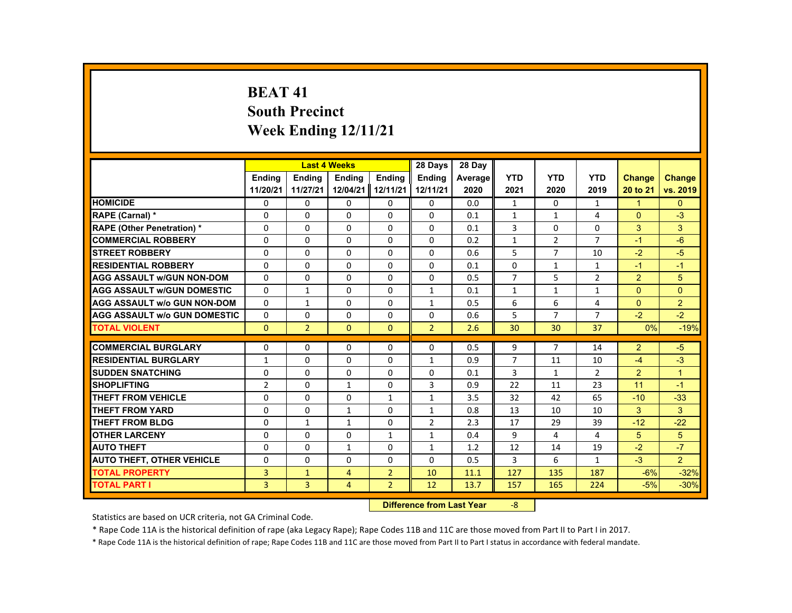# **BEAT 41 South Precinct Week Ending 12/11/21**

|                                     |                |                | <b>Last 4 Weeks</b> |                   | 28 Days        | 28 Day  |                |                |                |               |                |
|-------------------------------------|----------------|----------------|---------------------|-------------------|----------------|---------|----------------|----------------|----------------|---------------|----------------|
|                                     | <b>Ending</b>  | <b>Endina</b>  | <b>Ending</b>       | <b>Ending</b>     | <b>Ending</b>  | Average | <b>YTD</b>     | <b>YTD</b>     | <b>YTD</b>     | <b>Change</b> | Change         |
|                                     | 11/20/21       | 11/27/21       |                     | 12/04/21 12/11/21 | 12/11/21       | 2020    | 2021           | 2020           | 2019           | 20 to 21      | vs. 2019       |
| <b>HOMICIDE</b>                     | 0              | 0              | 0                   | 0                 | 0              | 0.0     | 1              | 0              | $\mathbf{1}$   | 1             | $\mathbf{0}$   |
| RAPE (Carnal) *                     | $\Omega$       | $\Omega$       | $\Omega$            | $\Omega$          | $\Omega$       | 0.1     | $\mathbf{1}$   | $\mathbf{1}$   | 4              | $\Omega$      | $-3$           |
| <b>RAPE (Other Penetration) *</b>   | $\Omega$       | $\Omega$       | $\Omega$            | $\Omega$          | $\Omega$       | 0.1     | 3              | $\Omega$       | $\Omega$       | 3             | 3              |
| <b>COMMERCIAL ROBBERY</b>           | 0              | 0              | 0                   | 0                 | 0              | 0.2     | $\mathbf{1}$   | $\overline{2}$ | $\overline{7}$ | $-1$          | $-6$           |
| <b>STREET ROBBERY</b>               | $\Omega$       | $\Omega$       | $\Omega$            | $\Omega$          | $\Omega$       | 0.6     | 5              | $\overline{7}$ | 10             | $-2$          | $-5$           |
| <b>RESIDENTIAL ROBBERY</b>          | $\Omega$       | $\Omega$       | $\Omega$            | $\Omega$          | $\Omega$       | 0.1     | $\Omega$       | $\mathbf{1}$   | $\mathbf{1}$   | $-1$          | $-1$           |
| <b>AGG ASSAULT w/GUN NON-DOM</b>    | $\Omega$       | $\Omega$       | $\Omega$            | $\Omega$          | $\Omega$       | 0.5     | $\overline{7}$ | 5              | $\overline{2}$ | 2             | 5              |
| <b>AGG ASSAULT w/GUN DOMESTIC</b>   | $\Omega$       | $\mathbf{1}$   | $\Omega$            | $\Omega$          | $\mathbf{1}$   | 0.1     | $\mathbf{1}$   | $\mathbf{1}$   | $\mathbf{1}$   | $\Omega$      | $\Omega$       |
| <b>AGG ASSAULT w/o GUN NON-DOM</b>  | $\Omega$       | $\mathbf{1}$   | $\Omega$            | $\Omega$          | $\mathbf{1}$   | 0.5     | 6              | 6              | 4              | $\Omega$      | $\overline{2}$ |
| <b>AGG ASSAULT w/o GUN DOMESTIC</b> | $\Omega$       | $\Omega$       | $\Omega$            | $\Omega$          | $\Omega$       | 0.6     | 5              | $\overline{7}$ | $\overline{7}$ | $-2$          | $-2$           |
| <b>TOTAL VIOLENT</b>                | $\Omega$       | $\overline{2}$ | $\mathbf{0}$        | $\Omega$          | $\overline{2}$ | 2.6     | 30             | 30             | 37             | 0%            | $-19%$         |
|                                     |                |                |                     |                   |                |         |                |                |                |               |                |
| <b>COMMERCIAL BURGLARY</b>          | $\Omega$       | $\Omega$       | $\Omega$            | $\Omega$          | $\Omega$       | 0.5     | 9              | $\overline{7}$ | 14             | 2             | $-5$           |
| <b>RESIDENTIAL BURGLARY</b>         | 1              | $\Omega$       | $\Omega$            | $\Omega$          | $\mathbf{1}$   | 0.9     | $\overline{7}$ | 11             | 10             | $-4$          | $-3$           |
| <b>SUDDEN SNATCHING</b>             | $\Omega$       | $\Omega$       | $\Omega$            | $\Omega$          | $\Omega$       | 0.1     | 3              | $\mathbf{1}$   | $\overline{2}$ | 2             | $\overline{1}$ |
| <b>SHOPLIFTING</b>                  | $\overline{2}$ | $\Omega$       | $\mathbf{1}$        | $\Omega$          | 3              | 0.9     | 22             | 11             | 23             | 11            | $-1$           |
| <b>THEFT FROM VEHICLE</b>           | $\Omega$       | $\Omega$       | $\Omega$            | $\mathbf{1}$      | $\mathbf{1}$   | 3.5     | 32             | 42             | 65             | $-10$         | $-33$          |
| <b>THEFT FROM YARD</b>              | $\Omega$       | $\Omega$       | $\mathbf{1}$        | $\Omega$          | $\mathbf{1}$   | 0.8     | 13             | 10             | 10             | 3             | 3              |
| <b>THEFT FROM BLDG</b>              | $\Omega$       | $\mathbf{1}$   | $\mathbf{1}$        | $\Omega$          | $\overline{2}$ | 2.3     | 17             | 29             | 39             | $-12$         | $-22$          |
| <b>OTHER LARCENY</b>                | 0              | 0              | 0                   | $\mathbf{1}$      | 1              | 0.4     | 9              | 4              | 4              | 5             | 5              |
| <b>AUTO THEFT</b>                   | $\Omega$       | $\Omega$       | $\mathbf{1}$        | $\Omega$          | $\mathbf{1}$   | 1.2     | 12             | 14             | 19             | $-2$          | $-7$           |
| <b>AUTO THEFT, OTHER VEHICLE</b>    | $\Omega$       | $\Omega$       | $\Omega$            | $\Omega$          | $\Omega$       | 0.5     | 3              | 6              | $\mathbf{1}$   | $-3$          | $\overline{2}$ |
| <b>TOTAL PROPERTY</b>               | 3              | $\mathbf{1}$   | $\overline{4}$      | $\overline{2}$    | 10             | 11.1    | 127            | 135            | 187            | $-6%$         | $-32%$         |
| <b>TOTAL PART I</b>                 | $\overline{3}$ | $\overline{3}$ | $\overline{4}$      | $\overline{2}$    | 12             | 13.7    | 157            | 165            | 224            | $-5%$         | $-30%$         |

#### **Difference from Last Year**‐8

Statistics are based on UCR criteria, not GA Criminal Code.

\* Rape Code 11A is the historical definition of rape (aka Legacy Rape); Rape Codes 11B and 11C are those moved from Part II to Part I in 2017.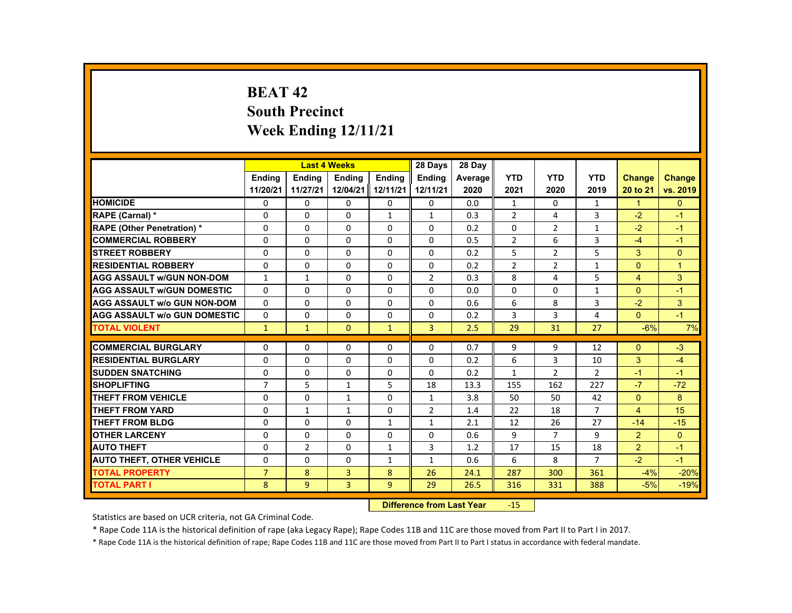# **BEAT 42 South Precinct Week Ending 12/11/21**

|                                     |                |                | <b>Last 4 Weeks</b> |                   | 28 Days        | 28 Day  |                |                |                |                |                |
|-------------------------------------|----------------|----------------|---------------------|-------------------|----------------|---------|----------------|----------------|----------------|----------------|----------------|
|                                     | <b>Endina</b>  | <b>Endina</b>  | <b>Endina</b>       | <b>Endina</b>     | <b>Endina</b>  | Average | <b>YTD</b>     | <b>YTD</b>     | <b>YTD</b>     | <b>Change</b>  | <b>Change</b>  |
|                                     | 11/20/21       | 11/27/21       |                     | 12/04/21 12/11/21 | 12/11/21       | 2020    | 2021           | 2020           | 2019           | 20 to 21       | vs. 2019       |
| <b>HOMICIDE</b>                     | 0              | $\mathbf{0}$   | 0                   | 0                 | 0              | 0.0     | $\mathbf{1}$   | 0              | $\mathbf{1}$   | $\mathbf{1}$   | $\mathbf{0}$   |
| <b>RAPE (Carnal) *</b>              | $\Omega$       | $\Omega$       | $\Omega$            | $\mathbf{1}$      | $\mathbf{1}$   | 0.3     | $\overline{2}$ | 4              | 3              | $-2$           | $-1$           |
| <b>RAPE (Other Penetration) *</b>   | $\Omega$       | $\Omega$       | $\Omega$            | $\Omega$          | $\Omega$       | 0.2     | $\Omega$       | $\overline{2}$ | $\mathbf{1}$   | $-2$           | $-1$           |
| <b>COMMERCIAL ROBBERY</b>           | 0              | $\mathbf{0}$   | 0                   | 0                 | 0              | 0.5     | $\overline{2}$ | 6              | 3              | $-4$           | $-1$           |
| <b>STREET ROBBERY</b>               | $\Omega$       | $\Omega$       | $\Omega$            | $\Omega$          | $\Omega$       | 0.2     | 5              | 2              | 5              | 3              | $\Omega$       |
| <b>RESIDENTIAL ROBBERY</b>          | $\Omega$       | $\Omega$       | $\Omega$            | $\Omega$          | $\Omega$       | 0.2     | $\overline{2}$ | $\overline{2}$ | $\mathbf{1}$   | $\Omega$       | $\overline{1}$ |
| <b>AGG ASSAULT W/GUN NON-DOM</b>    | $\mathbf{1}$   | $\mathbf{1}$   | $\Omega$            | $\Omega$          | $\overline{2}$ | 0.3     | 8              | 4              | 5              | $\overline{4}$ | 3              |
| <b>AGG ASSAULT W/GUN DOMESTIC</b>   | $\Omega$       | $\Omega$       | $\Omega$            | $\Omega$          | $\Omega$       | 0.0     | $\Omega$       | $\Omega$       | $\mathbf{1}$   | $\Omega$       | $-1$           |
| <b>AGG ASSAULT W/o GUN NON-DOM</b>  | $\Omega$       | $\Omega$       | $\Omega$            | $\Omega$          | $\Omega$       | 0.6     | 6              | 8              | 3              | $-2$           | 3              |
| <b>AGG ASSAULT W/o GUN DOMESTIC</b> | $\Omega$       | $\Omega$       | $\Omega$            | $\Omega$          | $\Omega$       | 0.2     | 3              | 3              | $\overline{4}$ | $\Omega$       | $-1$           |
| <b>TOTAL VIOLENT</b>                | $\mathbf{1}$   | $\mathbf{1}$   | $\mathbf{0}$        | $\mathbf{1}$      | $\overline{3}$ | 2.5     | 29             | 31             | 27             | $-6%$          | 7%             |
| <b>COMMERCIAL BURGLARY</b>          | $\Omega$       | $\Omega$       | $\Omega$            | $\Omega$          | $\Omega$       | 0.7     | 9              | 9              | 12             | $\Omega$       | $-3$           |
| <b>RESIDENTIAL BURGLARY</b>         | 0              | $\mathbf{0}$   | $\Omega$            | $\Omega$          | $\Omega$       | 0.2     | 6              | 3              | 10             | 3              | $-4$           |
| <b>SUDDEN SNATCHING</b>             | $\Omega$       | $\Omega$       | $\Omega$            | $\Omega$          | $\Omega$       | 0.2     | $\mathbf{1}$   | $\overline{2}$ | $\overline{2}$ | $-1$           | $-1$           |
| <b>SHOPLIFTING</b>                  | $\overline{7}$ | 5              | $\mathbf{1}$        | 5                 | 18             | 13.3    | 155            | 162            | 227            | $-7$           | $-72$          |
| THEFT FROM VEHICLE                  | $\Omega$       | $\mathbf{0}$   | $\mathbf{1}$        | $\Omega$          | 1              | 3.8     | 50             | 50             | 42             | $\Omega$       | 8              |
| <b>THEFT FROM YARD</b>              | $\Omega$       | $\mathbf{1}$   | $\mathbf{1}$        | $\Omega$          | 2              | 1.4     | 22             | 18             | $\overline{7}$ | 4              | 15             |
| <b>THEFT FROM BLDG</b>              | $\Omega$       | $\Omega$       | $\Omega$            | $\mathbf{1}$      | $\mathbf{1}$   | 2.1     | 12             | 26             | 27             | $-14$          | $-15$          |
| <b>OTHER LARCENY</b>                | 0              | $\mathbf{0}$   | 0                   | 0                 | 0              | 0.6     | 9              | $\overline{7}$ | 9              | $\overline{2}$ | $\Omega$       |
| <b>AUTO THEFT</b>                   | $\Omega$       | $\overline{2}$ | $\Omega$            | $\mathbf{1}$      | 3              | 1.2     | 17             | 15             | 18             | $\overline{2}$ | $-1$           |
| <b>AUTO THEFT, OTHER VEHICLE</b>    | 0              | $\mathbf{0}$   | 0                   | $\mathbf{1}$      | $\mathbf{1}$   | 0.6     | 6              | 8              | $\overline{7}$ | $-2$           | $-1$           |
| <b>TOTAL PROPERTY</b>               | $\overline{7}$ | 8              | 3                   | 8                 | 26             | 24.1    | 287            | 300            | 361            | $-4%$          | $-20%$         |
| <b>TOTAL PART I</b>                 | 8              | 9              | $\overline{3}$      | 9                 | 29             | 26.5    | 316            | 331            | 388            | $-5%$          | $-19%$         |
|                                     |                |                |                     |                   |                |         |                |                |                |                |                |

#### **Difference from Last Year**r -15

Statistics are based on UCR criteria, not GA Criminal Code.

\* Rape Code 11A is the historical definition of rape (aka Legacy Rape); Rape Codes 11B and 11C are those moved from Part II to Part I in 2017.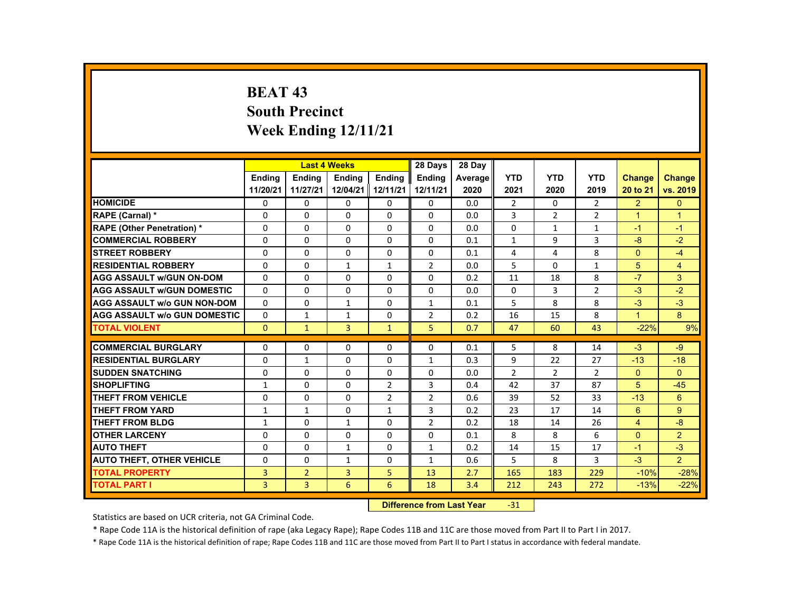# **BEAT 43 South Precinct Week Ending 12/11/21**

|                                     |                |                | <b>Last 4 Weeks</b> |                | 28 Days        | 28 Day  |                |              |                |                      |                      |
|-------------------------------------|----------------|----------------|---------------------|----------------|----------------|---------|----------------|--------------|----------------|----------------------|----------------------|
|                                     | <b>Endina</b>  | <b>Endina</b>  | <b>Endina</b>       | <b>Endina</b>  | <b>Endina</b>  | Average | <b>YTD</b>     | <b>YTD</b>   | <b>YTD</b>     | <b>Change</b>        | Change               |
|                                     | 11/20/21       | 11/27/21       | 12/04/21 12/11/21   |                | 12/11/21       | 2020    | 2021           | 2020         | 2019           | 20 to 21             | vs. 2019             |
| <b>HOMICIDE</b>                     | 0              | 0              | 0                   | 0              | 0              | 0.0     | $\overline{2}$ | $\Omega$     | $\overline{2}$ | $\overline{2}$       | $\mathbf{0}$         |
| <b>RAPE (Carnal) *</b>              | $\Omega$       | $\Omega$       | $\Omega$            | $\Omega$       | $\Omega$       | 0.0     | 3              | 2            | $\overline{2}$ | $\blacktriangleleft$ | $\blacktriangleleft$ |
| <b>RAPE (Other Penetration) *</b>   | $\Omega$       | $\Omega$       | $\Omega$            | $\Omega$       | $\Omega$       | 0.0     | $\Omega$       | $\mathbf{1}$ | $\mathbf{1}$   | $-1$                 | $-1$                 |
| <b>COMMERCIAL ROBBERY</b>           | $\Omega$       | $\Omega$       | $\Omega$            | $\Omega$       | $\Omega$       | 0.1     | $\mathbf{1}$   | 9            | 3              | $-8$                 | $-2$                 |
| <b>STREET ROBBERY</b>               | $\Omega$       | $\Omega$       | $\Omega$            | $\Omega$       | $\Omega$       | 0.1     | 4              | 4            | 8              | $\Omega$             | $-4$                 |
| <b>RESIDENTIAL ROBBERY</b>          | $\Omega$       | $\Omega$       | $\mathbf{1}$        | $\mathbf{1}$   | 2              | 0.0     | 5              | $\Omega$     | $\mathbf{1}$   | 5                    | $\overline{4}$       |
| <b>AGG ASSAULT w/GUN ON-DOM</b>     | $\Omega$       | $\Omega$       | $\Omega$            | $\Omega$       | $\Omega$       | 0.2     | 11             | 18           | 8              | $-7$                 | 3                    |
| <b>AGG ASSAULT w/GUN DOMESTIC</b>   | $\Omega$       | $\Omega$       | $\Omega$            | $\Omega$       | $\Omega$       | 0.0     | $\Omega$       | 3            | $\overline{2}$ | $-3$                 | $-2$                 |
| <b>AGG ASSAULT w/o GUN NON-DOM</b>  | $\Omega$       | $\Omega$       | $\mathbf{1}$        | $\Omega$       | $\mathbf{1}$   | 0.1     | 5              | 8            | 8              | $-3$                 | $-3$                 |
| <b>AGG ASSAULT W/o GUN DOMESTIC</b> | $\Omega$       | $\mathbf{1}$   | $\mathbf{1}$        | $\Omega$       | 2              | 0.2     | 16             | 15           | 8              | $\blacktriangleleft$ | 8                    |
| <b>TOTAL VIOLENT</b>                | $\mathbf{0}$   | $\mathbf{1}$   | $\overline{3}$      | $\mathbf{1}$   | 5              | 0.7     | 47             | 60           | 43             | $-22%$               | 9%                   |
|                                     |                |                |                     |                |                |         |                |              |                |                      |                      |
| <b>COMMERCIAL BURGLARY</b>          | $\Omega$       | $\Omega$       | $\Omega$            | $\Omega$       | $\Omega$       | 0.1     | 5              | 8            | 14             | $-3$                 | $-9$                 |
| <b>RESIDENTIAL BURGLARY</b>         | $\Omega$       | $\mathbf{1}$   | $\Omega$            | $\Omega$       | 1              | 0.3     | 9              | 22           | 27             | $-13$                | $-18$                |
| <b>SUDDEN SNATCHING</b>             | $\Omega$       | $\Omega$       | $\Omega$            | $\Omega$       | $\Omega$       | 0.0     | $\overline{2}$ | 2            | $\overline{2}$ | $\Omega$             | $\Omega$             |
| <b>SHOPLIFTING</b>                  | $\mathbf{1}$   | $\Omega$       | $\Omega$            | $\overline{2}$ | 3              | 0.4     | 42             | 37           | 87             | $\overline{5}$       | $-45$                |
| <b>THEFT FROM VEHICLE</b>           | 0              | 0              | 0                   | $\overline{2}$ | 2              | 0.6     | 39             | 52           | 33             | $-13$                | 6                    |
| <b>THEFT FROM YARD</b>              | $\mathbf{1}$   | $\mathbf{1}$   | $\Omega$            | $\mathbf{1}$   | 3              | 0.2     | 23             | 17           | 14             | 6                    | 9                    |
| <b>THEFT FROM BLDG</b>              | $\mathbf{1}$   | $\Omega$       | $\mathbf{1}$        | $\Omega$       | $\overline{2}$ | 0.2     | 18             | 14           | 26             | $\overline{4}$       | $-8$                 |
| <b>OTHER LARCENY</b>                | $\Omega$       | $\Omega$       | $\Omega$            | $\Omega$       | $\Omega$       | 0.1     | 8              | 8            | 6              | $\Omega$             | $\overline{2}$       |
| <b>AUTO THEFT</b>                   | $\Omega$       | $\Omega$       | $\mathbf{1}$        | $\Omega$       | $\mathbf{1}$   | 0.2     | 14             | 15           | 17             | $-1$                 | $-3$                 |
| <b>AUTO THEFT, OTHER VEHICLE</b>    | $\Omega$       | $\Omega$       | $\mathbf{1}$        | $\Omega$       | $\mathbf{1}$   | 0.6     | 5              | 8            | 3              | $-3$                 | $\overline{2}$       |
| <b>TOTAL PROPERTY</b>               | 3              | $\overline{2}$ | 3                   | 5              | 13             | 2.7     | 165            | 183          | 229            | $-10%$               | $-28%$               |
| <b>TOTAL PART I</b>                 | $\overline{3}$ | $\overline{3}$ | 6                   | 6              | 18             | 3.4     | 212            | 243          | 272            | $-13%$               | $-22%$               |

#### **Difference from Last Year**‐31

Statistics are based on UCR criteria, not GA Criminal Code.

\* Rape Code 11A is the historical definition of rape (aka Legacy Rape); Rape Codes 11B and 11C are those moved from Part II to Part I in 2017.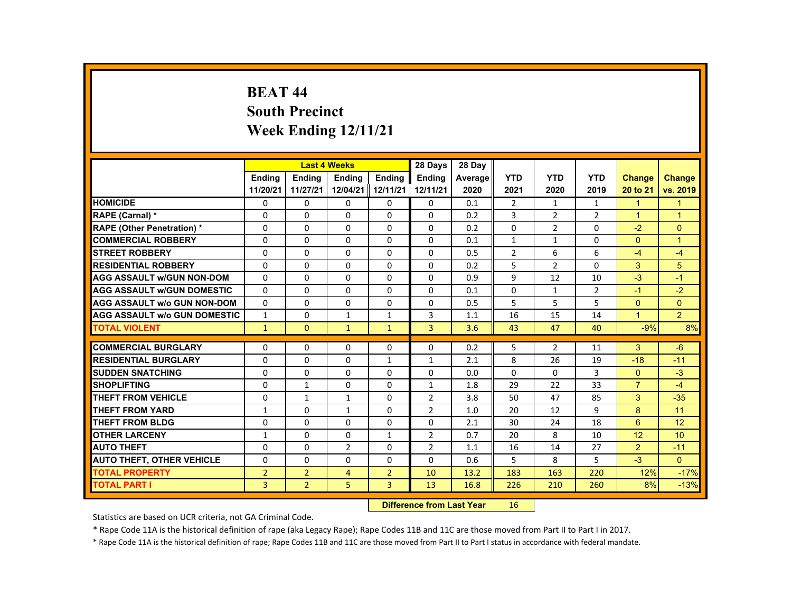# **BEAT 44 South Precinct Week Ending 12/11/21**

|                                     |                |                | <b>Last 4 Weeks</b> |                | 28 Days        | 28 Day  |                |                |                |                      |                |
|-------------------------------------|----------------|----------------|---------------------|----------------|----------------|---------|----------------|----------------|----------------|----------------------|----------------|
|                                     | <b>Endina</b>  | <b>Endina</b>  | <b>Endina</b>       | <b>Endina</b>  | <b>Endina</b>  | Average | <b>YTD</b>     | <b>YTD</b>     | <b>YTD</b>     | <b>Change</b>        | Change         |
|                                     | 11/20/21       | 11/27/21       | 12/04/21 12/11/21   |                | 12/11/21       | 2020    | 2021           | 2020           | 2019           | 20 to 21             | vs. 2019       |
| <b>HOMICIDE</b>                     | 0              | 0              | 0                   | 0              | 0              | 0.1     | $\overline{2}$ | $\mathbf{1}$   | $\mathbf{1}$   | $\blacktriangleleft$ | 1              |
| <b>RAPE (Carnal) *</b>              | $\Omega$       | $\Omega$       | $\Omega$            | $\Omega$       | $\Omega$       | 0.2     | 3              | 2              | $\overline{2}$ | $\blacktriangleleft$ | 1              |
| <b>RAPE (Other Penetration) *</b>   | $\Omega$       | $\Omega$       | $\Omega$            | $\Omega$       | $\Omega$       | 0.2     | $\Omega$       | $\overline{2}$ | $\Omega$       | $-2$                 | $\Omega$       |
| <b>COMMERCIAL ROBBERY</b>           | $\Omega$       | $\Omega$       | $\Omega$            | $\Omega$       | $\Omega$       | 0.1     | $\mathbf{1}$   | $\mathbf{1}$   | $\Omega$       | $\Omega$             | $\overline{1}$ |
| <b>STREET ROBBERY</b>               | $\Omega$       | $\Omega$       | $\Omega$            | $\Omega$       | $\Omega$       | 0.5     | $\overline{2}$ | 6              | 6              | $-4$                 | $-4$           |
| <b>RESIDENTIAL ROBBERY</b>          | $\Omega$       | $\Omega$       | $\Omega$            | $\Omega$       | $\Omega$       | 0.2     | 5              | 2              | $\Omega$       | 3                    | 5              |
| <b>AGG ASSAULT w/GUN NON-DOM</b>    | $\Omega$       | $\Omega$       | $\Omega$            | $\Omega$       | $\Omega$       | 0.9     | 9              | 12             | 10             | $-3$                 | $-1$           |
| <b>AGG ASSAULT w/GUN DOMESTIC</b>   | $\Omega$       | $\Omega$       | $\Omega$            | $\Omega$       | 0              | 0.1     | $\Omega$       | $\mathbf{1}$   | $\overline{2}$ | -1                   | $-2$           |
| <b>AGG ASSAULT w/o GUN NON-DOM</b>  | $\Omega$       | $\Omega$       | $\Omega$            | $\Omega$       | $\Omega$       | 0.5     | 5              | 5              | 5              | $\Omega$             | $\Omega$       |
| <b>AGG ASSAULT W/o GUN DOMESTIC</b> | $\mathbf{1}$   | $\Omega$       | $\mathbf{1}$        | $\mathbf{1}$   | 3              | 1.1     | 16             | 15             | 14             | $\blacktriangleleft$ | $\overline{2}$ |
| <b>TOTAL VIOLENT</b>                | $\mathbf{1}$   | $\Omega$       | $\mathbf{1}$        | $\mathbf{1}$   | $\overline{3}$ | 3.6     | 43             | 47             | 40             | $-9%$                | 8%             |
|                                     |                |                |                     |                |                |         |                |                |                |                      |                |
| <b>COMMERCIAL BURGLARY</b>          | $\Omega$       | $\Omega$       | $\Omega$            | $\Omega$       | $\Omega$       | 0.2     | 5              | $\overline{2}$ | 11             | 3                    | $-6$           |
| <b>RESIDENTIAL BURGLARY</b>         | $\Omega$       | $\Omega$       | $\Omega$            | 1              | 1              | 2.1     | 8              | 26             | 19             | $-18$                | $-11$          |
| <b>SUDDEN SNATCHING</b>             | $\Omega$       | $\Omega$       | $\Omega$            | $\Omega$       | $\Omega$       | 0.0     | $\Omega$       | $\Omega$       | 3              | $\Omega$             | $-3$           |
| <b>SHOPLIFTING</b>                  | $\Omega$       | $\mathbf{1}$   | $\Omega$            | $\Omega$       | $\mathbf{1}$   | 1.8     | 29             | 22             | 33             | $\overline{7}$       | $-4$           |
| <b>THEFT FROM VEHICLE</b>           | $\Omega$       | $\mathbf{1}$   | 1                   | 0              | $\overline{2}$ | 3.8     | 50             | 47             | 85             | 3                    | $-35$          |
| <b>THEFT FROM YARD</b>              | $\mathbf{1}$   | $\Omega$       | $\mathbf{1}$        | $\Omega$       | $\overline{2}$ | 1.0     | 20             | 12             | 9              | 8                    | 11             |
| <b>THEFT FROM BLDG</b>              | $\Omega$       | $\Omega$       | $\Omega$            | $\Omega$       | $\Omega$       | 2.1     | 30             | 24             | 18             | 6                    | 12             |
| <b>OTHER LARCENY</b>                | $\mathbf{1}$   | 0              | $\Omega$            | $\mathbf{1}$   | 2              | 0.7     | 20             | 8              | 10             | 12                   | 10             |
| <b>AUTO THEFT</b>                   | $\Omega$       | $\Omega$       | $\overline{2}$      | $\Omega$       | $\overline{2}$ | 1.1     | 16             | 14             | 27             | $\overline{2}$       | $-11$          |
| <b>AUTO THEFT, OTHER VEHICLE</b>    | $\Omega$       | $\Omega$       | $\Omega$            | $\Omega$       | $\Omega$       | 0.6     | 5              | 8              | 5              | $-3$                 | $\Omega$       |
| <b>TOTAL PROPERTY</b>               | $\overline{2}$ | $\overline{2}$ | $\overline{4}$      | $\overline{2}$ | 10             | 13.2    | 183            | 163            | 220            | 12%                  | $-17%$         |
| <b>TOTAL PART I</b>                 | $\overline{3}$ | $\overline{2}$ | 5                   | $\overline{3}$ | 13             | 16.8    | 226            | 210            | 260            | 8%                   | $-13%$         |

#### **Difference from Last Year**r 16

Statistics are based on UCR criteria, not GA Criminal Code.

\* Rape Code 11A is the historical definition of rape (aka Legacy Rape); Rape Codes 11B and 11C are those moved from Part II to Part I in 2017.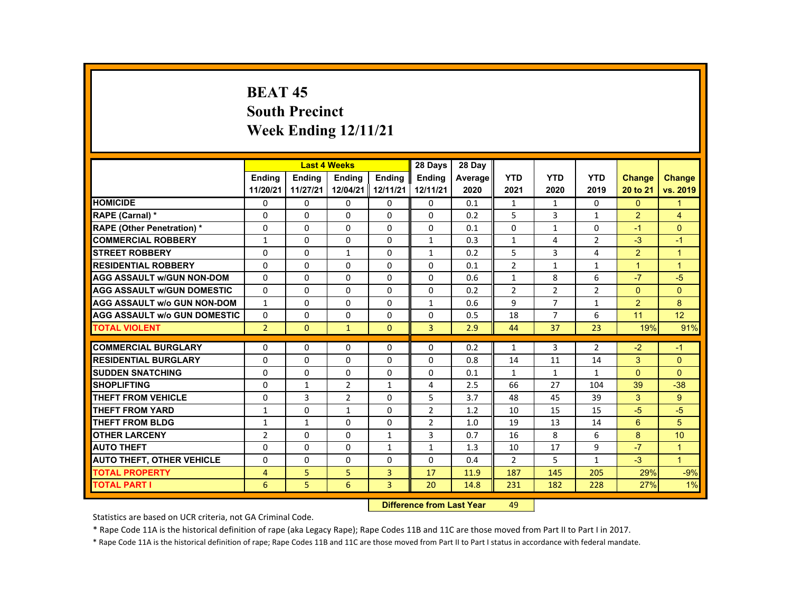# **BEAT 45 South Precinct Week Ending 12/11/21**

|                                     |                |                | <b>Last 4 Weeks</b> |                | 28 Days        | 28 Dav  |                |                |                |               |                      |
|-------------------------------------|----------------|----------------|---------------------|----------------|----------------|---------|----------------|----------------|----------------|---------------|----------------------|
|                                     | <b>Endina</b>  | <b>Endina</b>  | <b>Endina</b>       | <b>Endina</b>  | <b>Endina</b>  | Average | <b>YTD</b>     | <b>YTD</b>     | <b>YTD</b>     | <b>Change</b> | <b>Change</b>        |
|                                     | 11/20/21       | 11/27/21       | 12/04/21            | 12/11/21       | 12/11/21       | 2020    | 2021           | 2020           | 2019           | 20 to 21      | vs. 2019             |
| <b>HOMICIDE</b>                     | $\mathbf{0}$   | $\Omega$       | $\Omega$            | 0              | 0              | 0.1     | $\mathbf{1}$   | 1              | 0              | $\Omega$      | 1                    |
| RAPE (Carnal) *                     | $\Omega$       | $\Omega$       | $\Omega$            | $\Omega$       | $\Omega$       | 0.2     | 5              | 3              | $\mathbf{1}$   | 2             | $\overline{4}$       |
| <b>RAPE (Other Penetration) *</b>   | $\Omega$       | $\Omega$       | $\Omega$            | $\Omega$       | $\Omega$       | 0.1     | $\Omega$       | $\mathbf{1}$   | 0              | $-1$          | $\Omega$             |
| <b>COMMERCIAL ROBBERY</b>           | $\mathbf{1}$   | $\Omega$       | $\Omega$            | $\Omega$       | $\mathbf{1}$   | 0.3     | $\mathbf{1}$   | 4              | $\overline{2}$ | $-3$          | $-1$                 |
| <b>STREET ROBBERY</b>               | $\Omega$       | $\Omega$       | $\mathbf{1}$        | $\Omega$       | $\mathbf{1}$   | 0.2     | 5              | 3              | 4              | 2             | $\overline{1}$       |
| <b>RESIDENTIAL ROBBERY</b>          | $\Omega$       | 0              | 0                   | 0              | 0              | 0.1     | $\overline{2}$ | $\mathbf{1}$   | $\mathbf{1}$   | $\mathbf{1}$  | $\overline{1}$       |
| <b>AGG ASSAULT w/GUN NON-DOM</b>    | $\Omega$       | $\Omega$       | $\Omega$            | $\Omega$       | $\Omega$       | 0.6     | $\mathbf{1}$   | 8              | 6              | $-7$          | $-5$                 |
| <b>AGG ASSAULT w/GUN DOMESTIC</b>   | $\Omega$       | $\Omega$       | $\Omega$            | $\Omega$       | $\Omega$       | 0.2     | $\overline{2}$ | 2              | $\overline{2}$ | $\Omega$      | $\Omega$             |
| <b>AGG ASSAULT w/o GUN NON-DOM</b>  | $\mathbf{1}$   | $\Omega$       | $\Omega$            | $\Omega$       | $\mathbf{1}$   | 0.6     | 9              | $\overline{7}$ | $\mathbf{1}$   | 2             | 8                    |
| <b>AGG ASSAULT W/o GUN DOMESTIC</b> | $\Omega$       | $\Omega$       | $\Omega$            | $\Omega$       | $\Omega$       | 0.5     | 18             | $\overline{7}$ | 6              | 11            | 12                   |
| <b>TOTAL VIOLENT</b>                | $\overline{2}$ | $\mathbf{0}$   | $\mathbf{1}$        | $\mathbf{0}$   | 3              | 2.9     | 44             | 37             | 23             | 19%           | 91%                  |
|                                     |                |                |                     |                |                |         |                |                |                |               |                      |
| <b>COMMERCIAL BURGLARY</b>          | $\Omega$       | $\Omega$       | $\Omega$            | $\Omega$       | $\Omega$       | 0.2     | $\mathbf{1}$   | 3              | $\overline{2}$ | $-2$          | $-1$                 |
| <b>RESIDENTIAL BURGLARY</b>         | $\Omega$       | 0              | $\Omega$            | 0              | $\Omega$       | 0.8     | 14             | 11             | 14             | 3             | $\Omega$             |
| <b>SUDDEN SNATCHING</b>             | $\Omega$       | $\Omega$       | $\Omega$            | $\Omega$       | $\Omega$       | 0.1     | $\mathbf{1}$   | $\mathbf{1}$   | $\mathbf{1}$   | $\Omega$      | $\Omega$             |
| <b>SHOPLIFTING</b>                  | $\Omega$       | $\mathbf{1}$   | $\overline{2}$      | $\mathbf{1}$   | 4              | 2.5     | 66             | 27             | 104            | 39            | $-38$                |
| <b>THEFT FROM VEHICLE</b>           | $\Omega$       | 3              | $\overline{2}$      | $\Omega$       | 5              | 3.7     | 48             | 45             | 39             | 3             | 9                    |
| <b>THEFT FROM YARD</b>              | $\mathbf{1}$   | $\Omega$       | $\mathbf{1}$        | $\Omega$       | $\overline{2}$ | 1.2     | 10             | 15             | 15             | $-5$          | $-5$                 |
| <b>THEFT FROM BLDG</b>              | $\mathbf{1}$   | $\mathbf{1}$   | $\Omega$            | $\Omega$       | $\overline{2}$ | 1.0     | 19             | 13             | 14             | 6             | 5                    |
| <b>OTHER LARCENY</b>                | $\overline{2}$ | $\Omega$       | $\Omega$            | $\mathbf{1}$   | 3              | 0.7     | 16             | 8              | 6              | 8             | 10                   |
| <b>AUTO THEFT</b>                   | $\Omega$       | $\Omega$       | $\Omega$            | $\mathbf{1}$   | $\mathbf{1}$   | 1.3     | 10             | 17             | 9              | $-7$          | $\blacktriangleleft$ |
| <b>AUTO THEFT, OTHER VEHICLE</b>    | $\Omega$       | $\Omega$       | $\Omega$            | $\Omega$       | $\Omega$       | 0.4     | $\overline{2}$ | 5              | $\mathbf{1}$   | $-3$          | $\overline{1}$       |
| <b>TOTAL PROPERTY</b>               | 4              | 5              | 5                   | 3              | 17             | 11.9    | 187            | 145            | 205            | 29%           | $-9%$                |
| <b>TOTAL PART I</b>                 | 6              | 5 <sub>5</sub> | 6                   | $\overline{3}$ | 20             | 14.8    | 231            | 182            | 228            | 27%           | 1%                   |

#### **Difference from Last Year**r 49

Statistics are based on UCR criteria, not GA Criminal Code.

\* Rape Code 11A is the historical definition of rape (aka Legacy Rape); Rape Codes 11B and 11C are those moved from Part II to Part I in 2017.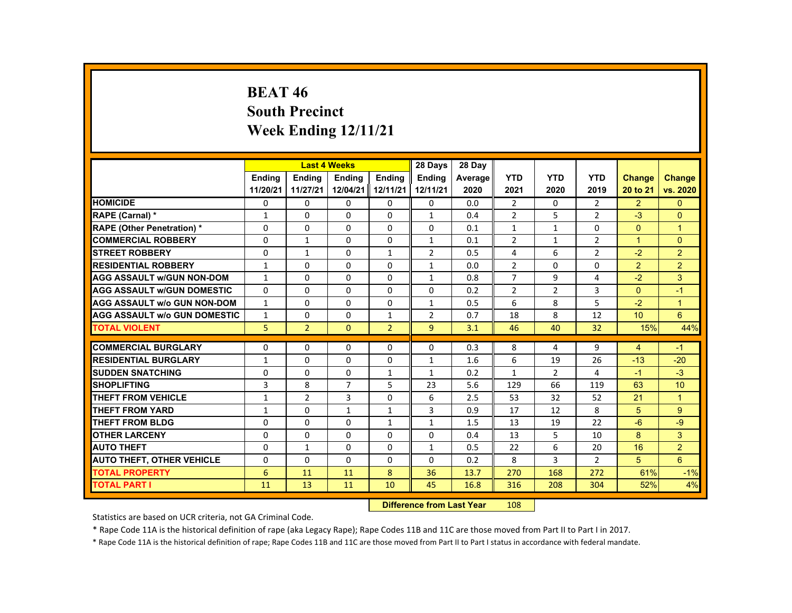# **BEAT 46 South Precinct Week Ending 12/11/21**

|                                     |                |                | <b>Last 4 Weeks</b> |                | 28 Days        | 28 Day  |                |                |                |                |                |
|-------------------------------------|----------------|----------------|---------------------|----------------|----------------|---------|----------------|----------------|----------------|----------------|----------------|
|                                     | <b>Endina</b>  | <b>Endina</b>  | <b>Endina</b>       | <b>Endina</b>  | <b>Endina</b>  | Average | <b>YTD</b>     | <b>YTD</b>     | <b>YTD</b>     | <b>Change</b>  | <b>Change</b>  |
|                                     | 11/20/21       | 11/27/21       | 12/04/21            | 12/11/21       | 12/11/21       | 2020    | 2021           | 2020           | 2019           | 20 to 21       | vs. 2020       |
| <b>HOMICIDE</b>                     | 0              | 0              | 0                   | $\mathbf{0}$   | $\mathbf{0}$   | 0.0     | $\overline{2}$ | 0              | 2              | $\overline{2}$ | $\mathbf{0}$   |
| <b>RAPE (Carnal) *</b>              | $\mathbf{1}$   | $\Omega$       | $\Omega$            | $\Omega$       | $\mathbf{1}$   | 0.4     | $\overline{2}$ | 5              | $\overline{2}$ | $-3$           | $\Omega$       |
| <b>RAPE (Other Penetration) *</b>   | $\Omega$       | $\Omega$       | $\Omega$            | $\Omega$       | $\Omega$       | 0.1     | $\mathbf{1}$   | $\mathbf{1}$   | 0              | $\Omega$       | $\overline{1}$ |
| <b>COMMERCIAL ROBBERY</b>           | 0              | $\mathbf{1}$   | 0                   | 0              | $\mathbf{1}$   | 0.1     | $\overline{2}$ | $\mathbf{1}$   | $\overline{2}$ | $\mathbf{1}$   | $\mathbf{0}$   |
| <b>STREET ROBBERY</b>               | $\Omega$       | $\mathbf{1}$   | $\Omega$            | $\mathbf{1}$   | $\overline{2}$ | 0.5     | 4              | 6              | $\overline{2}$ | $-2$           | $\overline{2}$ |
| <b>RESIDENTIAL ROBBERY</b>          | $\mathbf{1}$   | $\Omega$       | $\Omega$            | $\Omega$       | $\mathbf{1}$   | 0.0     | $\overline{2}$ | $\Omega$       | $\Omega$       | $\overline{2}$ | $\overline{2}$ |
| <b>AGG ASSAULT w/GUN NON-DOM</b>    | $\mathbf{1}$   | $\Omega$       | $\Omega$            | $\Omega$       | $\mathbf{1}$   | 0.8     | $\overline{7}$ | 9              | 4              | $-2$           | 3              |
| <b>AGG ASSAULT W/GUN DOMESTIC</b>   | $\Omega$       | $\Omega$       | $\Omega$            | $\Omega$       | $\Omega$       | 0.2     | $\overline{2}$ | 2              | 3              | $\Omega$       | $-1$           |
| <b>AGG ASSAULT W/o GUN NON-DOM</b>  | $\mathbf{1}$   | $\Omega$       | $\Omega$            | $\Omega$       | $\mathbf{1}$   | 0.5     | 6              | 8              | 5              | $-2$           | $\mathbf{1}$   |
| <b>AGG ASSAULT W/o GUN DOMESTIC</b> | $\mathbf{1}$   | $\Omega$       | $\Omega$            | $\mathbf{1}$   | 2              | 0.7     | 18             | 8              | 12             | 10             | 6              |
| <b>TOTAL VIOLENT</b>                | 5              | $\overline{2}$ | $\mathbf{0}$        | $\overline{2}$ | 9              | 3.1     | 46             | 40             | 32             | 15%            | 44%            |
| <b>COMMERCIAL BURGLARY</b>          | $\Omega$       | $\Omega$       | $\Omega$            | $\Omega$       | $\Omega$       |         |                |                | 9              |                | $-1$           |
|                                     |                |                |                     |                |                | 0.3     | 8              | 4              |                | $\overline{4}$ |                |
| <b>RESIDENTIAL BURGLARY</b>         | 1              | 0              | $\Omega$            | $\Omega$       | $\mathbf{1}$   | 1.6     | 6              | 19             | 26             | $-13$          | $-20$          |
| <b>SUDDEN SNATCHING</b>             | $\Omega$       | $\Omega$       | $\Omega$            | $\mathbf{1}$   | $\mathbf{1}$   | 0.2     | $\mathbf{1}$   | $\overline{2}$ | 4              | $-1$           | $-3$           |
| <b>SHOPLIFTING</b>                  | $\overline{3}$ | 8              | $\overline{7}$      | 5              | 23             | 5.6     | 129            | 66             | 119            | 63             | 10             |
| <b>THEFT FROM VEHICLE</b>           | $\mathbf{1}$   | $\overline{2}$ | 3                   | 0              | 6              | 2.5     | 53             | 32             | 52             | 21             | $\overline{1}$ |
| <b>THEFT FROM YARD</b>              | $\mathbf{1}$   | $\Omega$       | $\mathbf{1}$        | $\mathbf{1}$   | 3              | 0.9     | 17             | 12             | 8              | 5              | 9              |
| THEFT FROM BLDG                     | $\Omega$       | $\Omega$       | $\Omega$            | $\mathbf{1}$   | $\mathbf{1}$   | 1.5     | 13             | 19             | 22             | $-6$           | $-9$           |
| <b>OTHER LARCENY</b>                | 0              | 0              | 0                   | $\mathbf{0}$   | 0              | 0.4     | 13             | 5              | 10             | 8              | 3              |
| <b>AUTO THEFT</b>                   | 0              | $\mathbf{1}$   | 0                   | 0              | $\mathbf{1}$   | 0.5     | 22             | 6              | 20             | 16             | $\overline{2}$ |
| <b>AUTO THEFT, OTHER VEHICLE</b>    | 0              | 0              | $\Omega$            | 0              | 0              | 0.2     | 8              | 3              | $\overline{2}$ | 5              | $6\phantom{a}$ |
| <b>TOTAL PROPERTY</b>               | 6              | 11             | 11                  | 8              | 36             | 13.7    | 270            | 168            | 272            | 61%            | $-1%$          |
| TOTAL PART I                        | 11             | 13             | 11                  | 10             | 45             | 16.8    | 316            | 208            | 304            | 52%            | 4%             |

#### **Difference from Last Year**r 108

Statistics are based on UCR criteria, not GA Criminal Code.

\* Rape Code 11A is the historical definition of rape (aka Legacy Rape); Rape Codes 11B and 11C are those moved from Part II to Part I in 2017.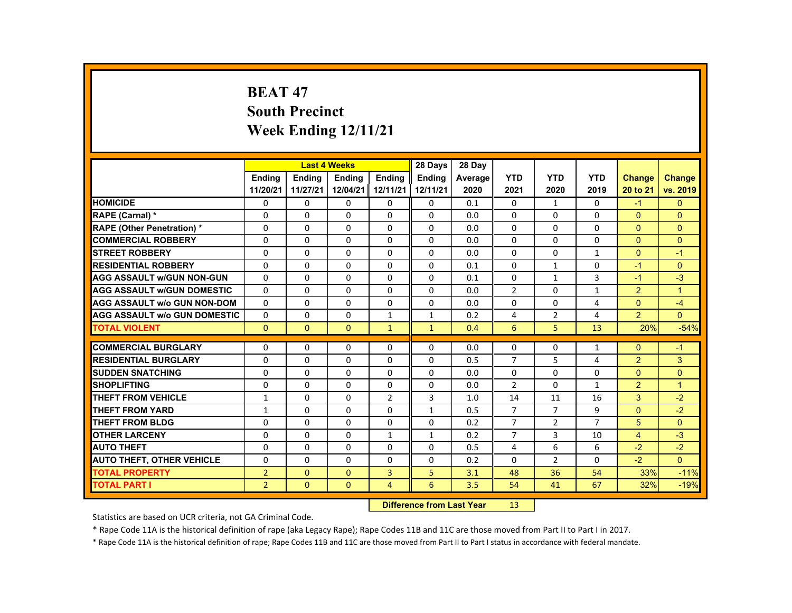# **BEAT 47 South Precinct Week Ending 12/11/21**

|                                     |                |               | <b>Last 4 Weeks</b> |                | 28 Days       | 28 Day  |                |                |                |                |                      |
|-------------------------------------|----------------|---------------|---------------------|----------------|---------------|---------|----------------|----------------|----------------|----------------|----------------------|
|                                     | <b>Endina</b>  | <b>Endina</b> | <b>Endina</b>       | <b>Endina</b>  | <b>Endina</b> | Average | <b>YTD</b>     | <b>YTD</b>     | <b>YTD</b>     | Change         | <b>Change</b>        |
|                                     | 11/20/21       | 11/27/21      | 12/04/21            | 12/11/21       | 12/11/21      | 2020    | 2021           | 2020           | 2019           | 20 to 21       | vs. 2019             |
| <b>HOMICIDE</b>                     | 0              | 0             | 0                   | 0              | 0             | 0.1     | 0              | $\mathbf{1}$   | 0              | $-1$           | $\mathbf{0}$         |
| RAPE (Carnal) *                     | $\Omega$       | $\Omega$      | $\Omega$            | $\Omega$       | $\Omega$      | 0.0     | $\Omega$       | $\Omega$       | $\Omega$       | $\Omega$       | $\Omega$             |
| <b>RAPE (Other Penetration) *</b>   | $\Omega$       | $\Omega$      | $\Omega$            | $\Omega$       | $\Omega$      | 0.0     | $\Omega$       | $\Omega$       | $\Omega$       | $\Omega$       | $\Omega$             |
| <b>COMMERCIAL ROBBERY</b>           | 0              | $\mathbf{0}$  | 0                   | 0              | 0             | 0.0     | 0              | 0              | 0              | $\mathbf{0}$   | $\mathbf{0}$         |
| <b>STREET ROBBERY</b>               | $\Omega$       | $\Omega$      | $\Omega$            | $\Omega$       | $\Omega$      | 0.0     | $\Omega$       | $\Omega$       | $\mathbf{1}$   | $\Omega$       | $-1$                 |
| <b>RESIDENTIAL ROBBERY</b>          | $\Omega$       | $\Omega$      | $\Omega$            | $\Omega$       | $\Omega$      | 0.1     | $\Omega$       | $\mathbf{1}$   | $\Omega$       | $-1$           | $\Omega$             |
| <b>AGG ASSAULT w/GUN NON-GUN</b>    | $\Omega$       | $\Omega$      | $\Omega$            | $\Omega$       | $\Omega$      | 0.1     | $\Omega$       | $\mathbf{1}$   | 3              | $-1$           | $-3$                 |
| <b>AGG ASSAULT W/GUN DOMESTIC</b>   | $\Omega$       | $\Omega$      | $\Omega$            | $\Omega$       | $\Omega$      | 0.0     | $\overline{2}$ | 0              | $\mathbf{1}$   | $\overline{2}$ | $\blacktriangleleft$ |
| <b>AGG ASSAULT W/o GUN NON-DOM</b>  | $\Omega$       | $\Omega$      | $\Omega$            | $\Omega$       | $\Omega$      | 0.0     | $\Omega$       | $\Omega$       | 4              | $\Omega$       | $-4$                 |
| <b>AGG ASSAULT w/o GUN DOMESTIC</b> | $\Omega$       | $\Omega$      | $\Omega$            | $\mathbf{1}$   | $\mathbf{1}$  | 0.2     | 4              | 2              | 4              | $\overline{2}$ | $\Omega$             |
| <b>TOTAL VIOLENT</b>                | $\Omega$       | $\Omega$      | $\Omega$            | $\mathbf{1}$   | $\mathbf{1}$  | 0.4     | 6              | 5              | 13             | 20%            | $-54%$               |
|                                     |                |               |                     |                |               |         |                |                |                |                |                      |
| <b>COMMERCIAL BURGLARY</b>          | $\Omega$       | $\Omega$      | $\Omega$            | $\Omega$       | $\Omega$      | 0.0     | $\Omega$       | 0              | $\mathbf{1}$   | $\Omega$       | $-1$                 |
| <b>RESIDENTIAL BURGLARY</b>         | $\Omega$       | $\Omega$      | $\Omega$            | $\Omega$       | $\Omega$      | 0.5     | $\overline{7}$ | 5              | 4              | $\overline{2}$ | 3                    |
| <b>SUDDEN SNATCHING</b>             | 0              | $\mathbf{0}$  | $\Omega$            | $\Omega$       | $\Omega$      | 0.0     | $\Omega$       | $\Omega$       | $\Omega$       | $\Omega$       | $\mathbf{0}$         |
| <b>SHOPLIFTING</b>                  | $\Omega$       | $\Omega$      | $\Omega$            | $\Omega$       | $\Omega$      | 0.0     | $\overline{2}$ | $\Omega$       | $\mathbf{1}$   | $\overline{2}$ | $\overline{1}$       |
| THEFT FROM VEHICLE                  | $\mathbf{1}$   | $\mathbf{0}$  | $\Omega$            | $\overline{2}$ | 3             | 1.0     | 14             | 11             | 16             | 3              | $-2$                 |
| <b>THEFT FROM YARD</b>              | $\mathbf{1}$   | $\Omega$      | $\Omega$            | $\Omega$       | $\mathbf{1}$  | 0.5     | $\overline{7}$ | $\overline{7}$ | 9              | $\Omega$       | $-2$                 |
| THEFT FROM BLDG                     | $\Omega$       | $\Omega$      | $\Omega$            | $\Omega$       | $\Omega$      | 0.2     | $\overline{7}$ | $\overline{2}$ | $\overline{7}$ | 5              | $\Omega$             |
| <b>OTHER LARCENY</b>                | 0              | $\mathbf{0}$  | 0                   | $\mathbf{1}$   | $\mathbf{1}$  | 0.2     | $\overline{7}$ | 3              | 10             | $\overline{4}$ | $-3$                 |
| <b>AUTO THEFT</b>                   | $\Omega$       | $\Omega$      | $\Omega$            | $\Omega$       | $\Omega$      | 0.5     | 4              | 6              | 6              | $-2$           | $-2$                 |
| <b>AUTO THEFT, OTHER VEHICLE</b>    | $\Omega$       | $\Omega$      | $\Omega$            | $\Omega$       | $\Omega$      | 0.2     | $\Omega$       | $\overline{2}$ | $\Omega$       | $-2$           | $\Omega$             |
| <b>TOTAL PROPERTY</b>               | $\overline{2}$ | $\mathbf{0}$  | $\Omega$            | $\overline{3}$ | 5             | 3.1     | 48             | 36             | 54             | 33%            | $-11%$               |
| <b>TOTAL PART I</b>                 | $\overline{2}$ | $\mathbf{0}$  | $\mathbf{0}$        | $\overline{4}$ | 6             | 3.5     | 54             | 41             | 67             | 32%            | $-19%$               |
|                                     |                |               |                     |                |               |         |                |                |                |                |                      |

#### **Difference from Last Year**r 13

Statistics are based on UCR criteria, not GA Criminal Code.

\* Rape Code 11A is the historical definition of rape (aka Legacy Rape); Rape Codes 11B and 11C are those moved from Part II to Part I in 2017.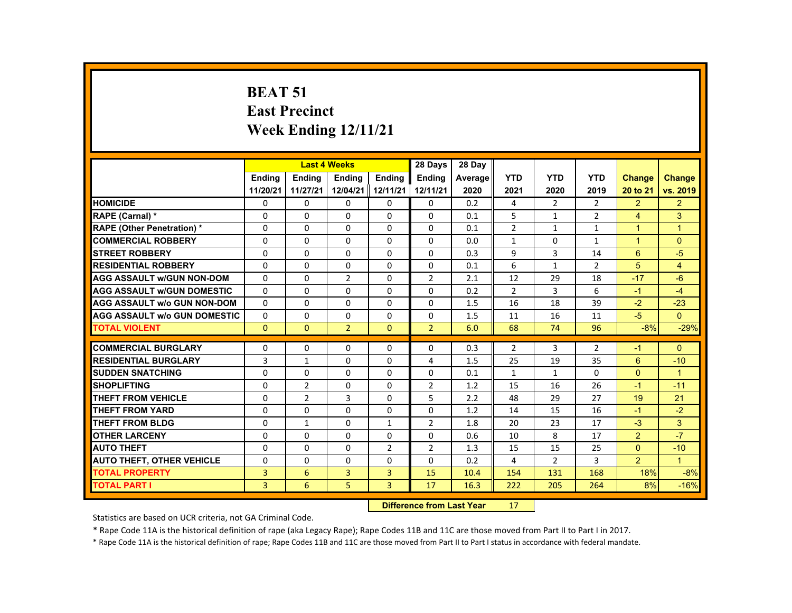# **BEAT 51 East Precinct Week Ending 12/11/21**

|                                     |                | <b>Last 4 Weeks</b> |                |                | 28 Days        | 28 Day  |                |                |                |                      |                |
|-------------------------------------|----------------|---------------------|----------------|----------------|----------------|---------|----------------|----------------|----------------|----------------------|----------------|
|                                     | <b>Endina</b>  | <b>Endina</b>       | <b>Endina</b>  | <b>Endina</b>  | <b>Endina</b>  | Average | <b>YTD</b>     | <b>YTD</b>     | <b>YTD</b>     | <b>Change</b>        | <b>Change</b>  |
|                                     | 11/20/21       | 11/27/21            | 12/04/21       | 12/11/21       | 12/11/21       | 2020    | 2021           | 2020           | 2019           | 20 to 21             | vs. 2019       |
| <b>HOMICIDE</b>                     | 0              | $\Omega$            | $\mathbf{0}$   | $\Omega$       | 0              | 0.2     | 4              | $\overline{2}$ | $\overline{2}$ | $\overline{2}$       | $\overline{2}$ |
| RAPE (Carnal) *                     | $\Omega$       | $\Omega$            | $\Omega$       | $\Omega$       | $\Omega$       | 0.1     | 5              | $\mathbf{1}$   | $\overline{2}$ | $\overline{4}$       | 3              |
| <b>RAPE (Other Penetration) *</b>   | $\Omega$       | $\Omega$            | $\Omega$       | $\Omega$       | $\Omega$       | 0.1     | $\overline{2}$ | $\mathbf{1}$   | $\mathbf{1}$   | $\overline{1}$       | $\overline{1}$ |
| <b>COMMERCIAL ROBBERY</b>           | $\Omega$       | $\Omega$            | $\Omega$       | $\Omega$       | $\Omega$       | 0.0     | $\mathbf{1}$   | $\Omega$       | $\mathbf{1}$   | $\blacktriangleleft$ | $\Omega$       |
| <b>STREET ROBBERY</b>               | $\Omega$       | $\Omega$            | $\Omega$       | $\Omega$       | $\Omega$       | 0.3     | 9              | 3              | 14             | 6                    | $-5$           |
| <b>RESIDENTIAL ROBBERY</b>          | $\Omega$       | $\Omega$            | $\Omega$       | $\Omega$       | $\Omega$       | 0.1     | 6              | $\mathbf{1}$   | $\overline{2}$ | $\overline{5}$       | $\overline{4}$ |
| <b>AGG ASSAULT W/GUN NON-DOM</b>    | $\Omega$       | $\Omega$            | $\overline{2}$ | $\Omega$       | $\overline{2}$ | 2.1     | 12             | 29             | 18             | $-17$                | $-6$           |
| <b>AGG ASSAULT W/GUN DOMESTIC</b>   | $\Omega$       | $\Omega$            | $\Omega$       | $\Omega$       | $\Omega$       | 0.2     | $\overline{2}$ | 3              | 6              | $-1$                 | $-4$           |
| <b>AGG ASSAULT w/o GUN NON-DOM</b>  | $\Omega$       | $\Omega$            | $\mathbf{0}$   | 0              | 0              | 1.5     | 16             | 18             | 39             | $-2$                 | $-23$          |
| <b>AGG ASSAULT W/o GUN DOMESTIC</b> | $\Omega$       | $\Omega$            | $\Omega$       | $\Omega$       | $\Omega$       | 1.5     | 11             | 16             | 11             | $-5$                 | $\Omega$       |
| <b>TOTAL VIOLENT</b>                | $\Omega$       | $\Omega$            | $\overline{2}$ | $\Omega$       | $\overline{2}$ | 6.0     | 68             | 74             | 96             | $-8%$                | $-29%$         |
|                                     |                |                     |                |                |                |         |                |                |                |                      |                |
| <b>COMMERCIAL BURGLARY</b>          | $\Omega$       | $\Omega$            | $\Omega$       | $\Omega$       | $\Omega$       | 0.3     | $\overline{2}$ | 3              | $\overline{2}$ | $-1$                 | $\Omega$       |
| <b>RESIDENTIAL BURGLARY</b>         | 3              | $\mathbf{1}$        | $\Omega$       | 0              | 4              | 1.5     | 25             | 19             | 35             | 6                    | $-10$          |
| <b>SUDDEN SNATCHING</b>             | $\Omega$       | $\Omega$            | $\Omega$       | $\Omega$       | $\Omega$       | 0.1     | $\mathbf{1}$   | $\mathbf{1}$   | $\Omega$       | $\Omega$             | $\mathbf{1}$   |
| <b>SHOPLIFTING</b>                  | $\Omega$       | $\overline{2}$      | $\Omega$       | $\Omega$       | $\overline{2}$ | 1.2     | 15             | 16             | 26             | $-1$                 | $-11$          |
| <b>THEFT FROM VEHICLE</b>           | $\mathbf{0}$   | $\overline{2}$      | 3              | $\mathbf{0}$   | 5              | 2.2     | 48             | 29             | 27             | 19                   | 21             |
| <b>THEFT FROM YARD</b>              | $\Omega$       | $\Omega$            | $\Omega$       | $\Omega$       | $\Omega$       | 1.2     | 14             | 15             | 16             | $-1$                 | $-2$           |
| <b>THEFT FROM BLDG</b>              | $\Omega$       | $\mathbf{1}$        | $\Omega$       | $\mathbf{1}$   | $\overline{2}$ | 1.8     | 20             | 23             | 17             | $-3$                 | 3              |
| <b>OTHER LARCENY</b>                | $\Omega$       | $\Omega$            | $\Omega$       | $\Omega$       | $\Omega$       | 0.6     | 10             | 8              | 17             | $\overline{2}$       | $-7$           |
| <b>AUTO THEFT</b>                   | $\Omega$       | $\Omega$            | $\Omega$       | $\overline{2}$ | $\overline{2}$ | 1.3     | 15             | 15             | 25             | $\Omega$             | $-10$          |
| <b>AUTO THEFT, OTHER VEHICLE</b>    | $\Omega$       | $\Omega$            | $\Omega$       | $\Omega$       | $\Omega$       | 0.2     | 4              | $\overline{2}$ | 3              | $\overline{2}$       | $\mathbf{1}$   |
| <b>TOTAL PROPERTY</b>               | 3              | 6                   | 3              | $\overline{3}$ | 15             | 10.4    | 154            | 131            | 168            | 18%                  | $-8%$          |
| <b>TOTAL PART I</b>                 | $\overline{3}$ | 6                   | 5              | $\overline{3}$ | 17             | 16.3    | 222            | 205            | 264            | 8%                   | $-16%$         |
|                                     |                |                     |                |                |                |         |                |                |                |                      |                |

#### **Difference from Last Year**r 17

Statistics are based on UCR criteria, not GA Criminal Code.

\* Rape Code 11A is the historical definition of rape (aka Legacy Rape); Rape Codes 11B and 11C are those moved from Part II to Part I in 2017.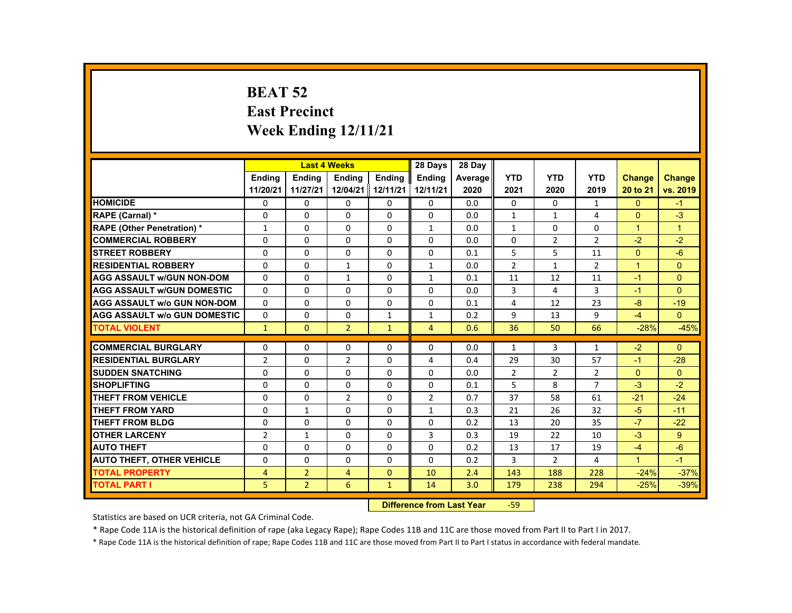# **BEAT 52 East Precinct Week Ending 12/11/21**

|                                     |                |                | <b>Last 4 Weeks</b> |               | 28 Days        | 28 Day  |                |                |                |                      |                |
|-------------------------------------|----------------|----------------|---------------------|---------------|----------------|---------|----------------|----------------|----------------|----------------------|----------------|
|                                     | <b>Endina</b>  | <b>Endina</b>  | <b>Endina</b>       | <b>Endina</b> | <b>Endina</b>  | Average | <b>YTD</b>     | <b>YTD</b>     | <b>YTD</b>     | <b>Change</b>        | Change         |
|                                     | 11/20/21       | 11/27/21       | 12/04/21 12/11/21   |               | 12/11/21       | 2020    | 2021           | 2020           | 2019           | 20 to 21             | vs. 2019       |
| <b>HOMICIDE</b>                     | 0              | 0              | 0                   | 0             | 0              | 0.0     | 0              | $\Omega$       | $\mathbf{1}$   | $\mathbf{0}$         | $-1$           |
| <b>RAPE (Carnal) *</b>              | $\Omega$       | $\Omega$       | $\Omega$            | $\Omega$      | $\Omega$       | 0.0     | 1              | 1              | 4              | $\Omega$             | $-3$           |
| <b>RAPE (Other Penetration) *</b>   | $\mathbf{1}$   | $\Omega$       | $\Omega$            | $\Omega$      | $\mathbf{1}$   | 0.0     | $\mathbf{1}$   | $\Omega$       | $\Omega$       | $\blacktriangleleft$ | $\overline{1}$ |
| <b>COMMERCIAL ROBBERY</b>           | $\Omega$       | $\Omega$       | $\Omega$            | $\Omega$      | $\Omega$       | 0.0     | $\Omega$       | 2              | $\overline{2}$ | $-2$                 | $-2$           |
| <b>STREET ROBBERY</b>               | $\Omega$       | $\Omega$       | $\Omega$            | $\Omega$      | $\Omega$       | 0.1     | 5              | 5              | 11             | $\Omega$             | $-6$           |
| <b>RESIDENTIAL ROBBERY</b>          | $\Omega$       | $\Omega$       | $\mathbf{1}$        | $\Omega$      | $\mathbf{1}$   | 0.0     | $\overline{2}$ | $\mathbf{1}$   | $\overline{2}$ | $\overline{1}$       | $\Omega$       |
| <b>AGG ASSAULT w/GUN NON-DOM</b>    | $\Omega$       | $\Omega$       | $\mathbf{1}$        | $\Omega$      | $\mathbf{1}$   | 0.1     | 11             | 12             | 11             | $-1$                 | $\Omega$       |
| <b>AGG ASSAULT w/GUN DOMESTIC</b>   | $\Omega$       | $\Omega$       | $\Omega$            | 0             | $\Omega$       | 0.0     | 3              | 4              | 3              | $-1$                 | $\Omega$       |
| <b>AGG ASSAULT w/o GUN NON-DOM</b>  | $\Omega$       | $\Omega$       | $\Omega$            | $\Omega$      | $\Omega$       | 0.1     | 4              | 12             | 23             | -8                   | $-19$          |
| <b>AGG ASSAULT W/o GUN DOMESTIC</b> | $\Omega$       | $\Omega$       | $\Omega$            | $\mathbf{1}$  | $\mathbf{1}$   | 0.2     | 9              | 13             | 9              | $-4$                 | $\Omega$       |
| <b>TOTAL VIOLENT</b>                | $\mathbf{1}$   | $\Omega$       | $\overline{2}$      | $\mathbf{1}$  | $\overline{4}$ | 0.6     | 36             | 50             | 66             | $-28%$               | $-45%$         |
|                                     |                |                |                     |               |                |         |                |                |                |                      |                |
| <b>COMMERCIAL BURGLARY</b>          | $\Omega$       | $\Omega$       | $\Omega$            | $\Omega$      | $\Omega$       | 0.0     | $\mathbf{1}$   | 3              | $\mathbf{1}$   | $-2$                 | $\Omega$       |
| <b>RESIDENTIAL BURGLARY</b>         | $\overline{2}$ | $\Omega$       | 2                   | $\Omega$      | 4              | 0.4     | 29             | 30             | 57             | -1                   | $-28$          |
| <b>SUDDEN SNATCHING</b>             | $\Omega$       | $\Omega$       | $\Omega$            | $\Omega$      | $\Omega$       | 0.0     | $\overline{2}$ | 2              | $\overline{2}$ | $\Omega$             | $\Omega$       |
| <b>SHOPLIFTING</b>                  | $\Omega$       | $\Omega$       | $\Omega$            | $\Omega$      | $\Omega$       | 0.1     | 5              | 8              | $\overline{7}$ | $-3$                 | $-2$           |
| <b>THEFT FROM VEHICLE</b>           | $\Omega$       | 0              | $\overline{2}$      | 0             | 2              | 0.7     | 37             | 58             | 61             | $-21$                | $-24$          |
| <b>THEFT FROM YARD</b>              | $\Omega$       | $\mathbf{1}$   | $\Omega$            | $\Omega$      | $\mathbf{1}$   | 0.3     | 21             | 26             | 32             | $-5$                 | $-11$          |
| <b>THEFT FROM BLDG</b>              | $\Omega$       | $\Omega$       | $\Omega$            | $\Omega$      | $\Omega$       | 0.2     | 13             | 20             | 35             | $-7$                 | $-22$          |
| <b>OTHER LARCENY</b>                | $\overline{2}$ | $\mathbf{1}$   | $\Omega$            | $\Omega$      | 3              | 0.3     | 19             | 22             | 10             | $-3$                 | 9              |
| <b>AUTO THEFT</b>                   | $\Omega$       | $\Omega$       | $\Omega$            | $\Omega$      | $\Omega$       | 0.2     | 13             | 17             | 19             | $-4$                 | $-6$           |
| <b>AUTO THEFT, OTHER VEHICLE</b>    | $\Omega$       | $\Omega$       | $\Omega$            | $\Omega$      | $\Omega$       | 0.2     | 3              | $\overline{2}$ | 4              | $\blacktriangleleft$ | $-1$           |
| <b>TOTAL PROPERTY</b>               | 4              | $\overline{2}$ | $\overline{4}$      | $\Omega$      | 10             | 2.4     | 143            | 188            | 228            | $-24%$               | $-37%$         |
| <b>TOTAL PART I</b>                 | 5              | $\overline{2}$ | 6                   | $\mathbf{1}$  | 14             | 3.0     | 179            | 238            | 294            | $-25%$               | $-39%$         |

#### **Difference from Last Year**‐59

Statistics are based on UCR criteria, not GA Criminal Code.

\* Rape Code 11A is the historical definition of rape (aka Legacy Rape); Rape Codes 11B and 11C are those moved from Part II to Part I in 2017.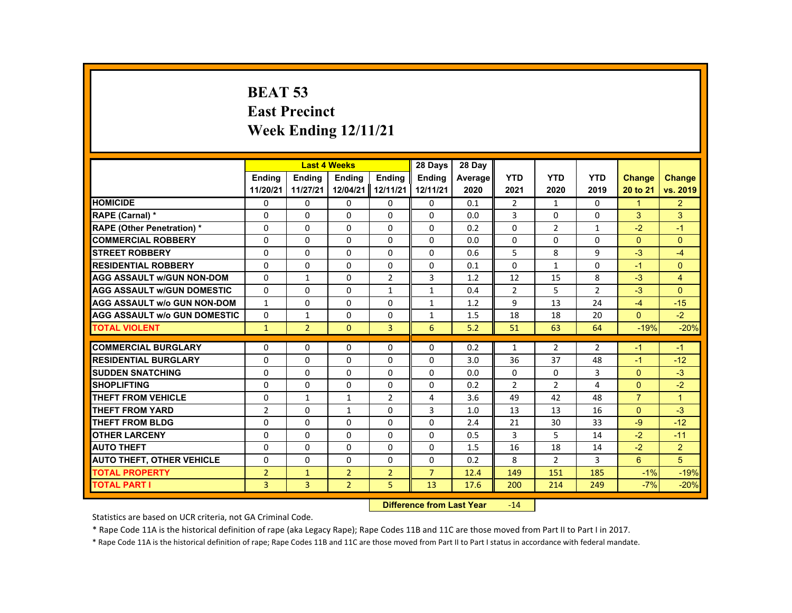# **BEAT 53 East Precinct Week Ending 12/11/21**

|                                     |                |                | <b>Last 4 Weeks</b> |                | 28 Days        | 28 Dav  |                |                |                |                |                |
|-------------------------------------|----------------|----------------|---------------------|----------------|----------------|---------|----------------|----------------|----------------|----------------|----------------|
|                                     | <b>Ending</b>  | <b>Endina</b>  | <b>Ending</b>       | <b>Ending</b>  | <b>Ending</b>  | Average | <b>YTD</b>     | <b>YTD</b>     | <b>YTD</b>     | <b>Change</b>  | Change         |
|                                     | 11/20/21       | 11/27/21       | 12/04/21 12/11/21   |                | 12/11/21       | 2020    | 2021           | 2020           | 2019           | 20 to 21       | vs. 2019       |
| <b>HOMICIDE</b>                     | 0              | 0              | 0                   | 0              | 0              | 0.1     | $\overline{2}$ | 1              | 0              | 1              | $\overline{2}$ |
| RAPE (Carnal) *                     | $\Omega$       | $\Omega$       | $\Omega$            | $\Omega$       | $\Omega$       | 0.0     | 3              | $\Omega$       | $\Omega$       | 3              | 3              |
| <b>RAPE (Other Penetration) *</b>   | $\Omega$       | $\Omega$       | $\Omega$            | $\Omega$       | $\Omega$       | 0.2     | $\Omega$       | $\overline{2}$ | $\mathbf{1}$   | $-2$           | $-1$           |
| <b>COMMERCIAL ROBBERY</b>           | 0              | 0              | 0                   | 0              | 0              | 0.0     | 0              | 0              | 0              | $\Omega$       | $\Omega$       |
| <b>STREET ROBBERY</b>               | $\Omega$       | $\Omega$       | $\Omega$            | $\Omega$       | $\Omega$       | 0.6     | 5              | 8              | 9              | $-3$           | $-4$           |
| <b>RESIDENTIAL ROBBERY</b>          | $\Omega$       | $\Omega$       | $\Omega$            | $\Omega$       | $\Omega$       | 0.1     | $\Omega$       | $\mathbf{1}$   | $\Omega$       | $-1$           | $\Omega$       |
| <b>AGG ASSAULT w/GUN NON-DOM</b>    | $\Omega$       | $\mathbf{1}$   | $\Omega$            | $\overline{2}$ | 3              | 1.2     | 12             | 15             | 8              | $-3$           | $\overline{4}$ |
| <b>AGG ASSAULT w/GUN DOMESTIC</b>   | $\Omega$       | $\Omega$       | $\Omega$            | $\mathbf{1}$   | $\mathbf{1}$   | 0.4     | $\overline{2}$ | 5              | $\overline{2}$ | $-3$           | $\Omega$       |
| <b>AGG ASSAULT w/o GUN NON-DOM</b>  | $\mathbf{1}$   | $\Omega$       | $\Omega$            | $\Omega$       | $\mathbf{1}$   | 1.2     | 9              | 13             | 24             | $-4$           | $-15$          |
| <b>AGG ASSAULT w/o GUN DOMESTIC</b> | $\Omega$       | $\mathbf{1}$   | $\Omega$            | $\Omega$       | $\mathbf{1}$   | 1.5     | 18             | 18             | 20             | $\mathbf{0}$   | $-2$           |
| <b>TOTAL VIOLENT</b>                | $\mathbf{1}$   | $\overline{2}$ | $\mathbf{0}$        | $\overline{3}$ | 6              | 5.2     | 51             | 63             | 64             | $-19%$         | $-20%$         |
|                                     |                |                |                     |                |                |         |                |                |                |                |                |
| <b>COMMERCIAL BURGLARY</b>          | $\Omega$       | $\Omega$       | $\Omega$            | $\Omega$       | $\Omega$       | 0.2     | $\mathbf{1}$   | $\overline{2}$ | $\overline{2}$ | $-1$           | $-1$           |
| <b>RESIDENTIAL BURGLARY</b>         | $\Omega$       | $\Omega$       | $\Omega$            | $\Omega$       | $\Omega$       | 3.0     | 36             | 37             | 48             | $-1$           | $-12$          |
| <b>SUDDEN SNATCHING</b>             | $\Omega$       | $\Omega$       | $\Omega$            | $\Omega$       | $\Omega$       | 0.0     | $\Omega$       | $\Omega$       | 3              | $\Omega$       | $-3$           |
| <b>SHOPLIFTING</b>                  | $\Omega$       | $\Omega$       | $\Omega$            | $\Omega$       | $\Omega$       | 0.2     | $\overline{2}$ | $\overline{2}$ | 4              | $\Omega$       | $-2$           |
| <b>THEFT FROM VEHICLE</b>           | $\Omega$       | $\mathbf{1}$   | $\mathbf{1}$        | $\overline{2}$ | 4              | 3.6     | 49             | 42             | 48             | $\overline{7}$ | $\overline{1}$ |
| <b>THEFT FROM YARD</b>              | $\overline{2}$ | $\Omega$       | $\mathbf{1}$        | $\Omega$       | $\overline{3}$ | 1.0     | 13             | 13             | 16             | $\Omega$       | $-3$           |
| <b>THEFT FROM BLDG</b>              | $\Omega$       | $\Omega$       | $\Omega$            | $\Omega$       | $\Omega$       | 2.4     | 21             | 30             | 33             | $-9$           | $-12$          |
| <b>OTHER LARCENY</b>                | 0              | 0              | 0                   | 0              | 0              | 0.5     | 3              | 5              | 14             | $-2$           | $-11$          |
| <b>AUTO THEFT</b>                   | $\Omega$       | $\Omega$       | $\Omega$            | $\Omega$       | $\Omega$       | 1.5     | 16             | 18             | 14             | $-2$           | $\overline{2}$ |
| <b>AUTO THEFT, OTHER VEHICLE</b>    | $\Omega$       | $\Omega$       | $\Omega$            | $\Omega$       | $\Omega$       | 0.2     | 8              | $\overline{2}$ | 3              | 6              | 5              |
| <b>TOTAL PROPERTY</b>               | $\overline{2}$ | $\mathbf{1}$   | $\overline{2}$      | $\overline{2}$ | $\overline{7}$ | 12.4    | 149            | 151            | 185            | $-1%$          | $-19%$         |
| <b>TOTAL PART I</b>                 | $\overline{3}$ | $\overline{3}$ | $\overline{2}$      | 5              | 13             | 17.6    | 200            | 214            | 249            | $-7%$          | $-20%$         |

#### **Difference from Last Year**r -14

Statistics are based on UCR criteria, not GA Criminal Code.

\* Rape Code 11A is the historical definition of rape (aka Legacy Rape); Rape Codes 11B and 11C are those moved from Part II to Part I in 2017.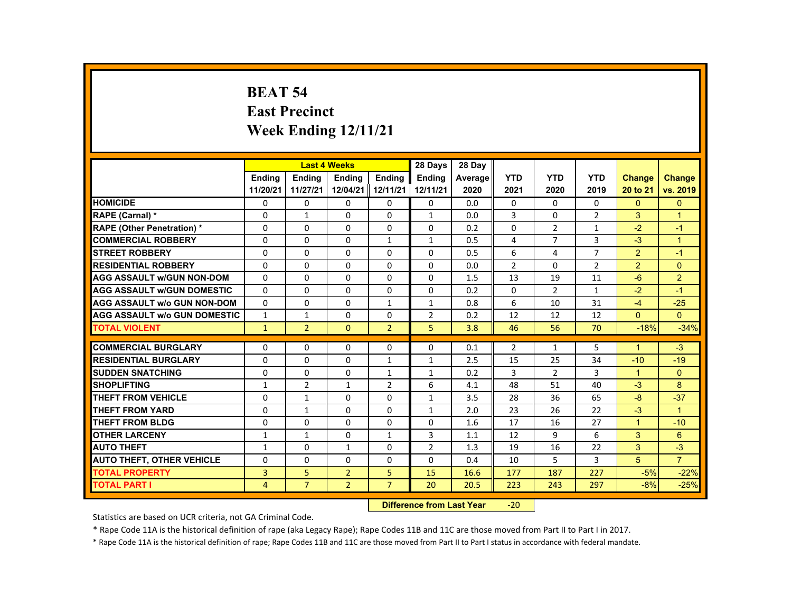# **BEAT 54 East Precinct Week Ending 12/11/21**

|                                     |                |                | <b>Last 4 Weeks</b> |                | 28 Days        | 28 Day  |                |                |                |                      |                      |
|-------------------------------------|----------------|----------------|---------------------|----------------|----------------|---------|----------------|----------------|----------------|----------------------|----------------------|
|                                     | <b>Endina</b>  | <b>Endina</b>  | <b>Endina</b>       | <b>Endina</b>  | <b>Endina</b>  | Average | <b>YTD</b>     | <b>YTD</b>     | <b>YTD</b>     | <b>Change</b>        | Change               |
|                                     | 11/20/21       | 11/27/21       | 12/04/21 12/11/21   |                | 12/11/21       | 2020    | 2021           | 2020           | 2019           | 20 to 21             | vs. 2019             |
| <b>HOMICIDE</b>                     | 0              | 0              | 0                   | 0              | 0              | 0.0     | 0              | $\Omega$       | $\Omega$       | $\mathbf{0}$         | $\mathbf{0}$         |
| <b>RAPE (Carnal) *</b>              | $\Omega$       | 1              | $\Omega$            | $\Omega$       | 1              | 0.0     | 3              | $\Omega$       | $\overline{2}$ | 3                    | $\blacktriangleleft$ |
| <b>RAPE (Other Penetration) *</b>   | $\Omega$       | $\Omega$       | $\Omega$            | $\Omega$       | $\Omega$       | 0.2     | $\Omega$       | $\overline{2}$ | $\mathbf{1}$   | $-2$                 | $-1$                 |
| <b>COMMERCIAL ROBBERY</b>           | $\Omega$       | $\Omega$       | $\Omega$            | $\mathbf{1}$   | $\mathbf{1}$   | 0.5     | 4              | $\overline{7}$ | 3              | $-3$                 | $\overline{1}$       |
| <b>STREET ROBBERY</b>               | $\Omega$       | $\Omega$       | $\Omega$            | $\Omega$       | $\Omega$       | 0.5     | 6              | 4              | $\overline{7}$ | 2                    | $-1$                 |
| <b>RESIDENTIAL ROBBERY</b>          | $\Omega$       | $\Omega$       | $\Omega$            | $\Omega$       | $\Omega$       | 0.0     | $\overline{2}$ | $\Omega$       | $\overline{2}$ | 2                    | $\Omega$             |
| <b>AGG ASSAULT w/GUN NON-DOM</b>    | $\Omega$       | $\Omega$       | $\Omega$            | $\Omega$       | $\Omega$       | 1.5     | 13             | 19             | 11             | $-6$                 | 2                    |
| <b>AGG ASSAULT w/GUN DOMESTIC</b>   | $\Omega$       | $\Omega$       | $\Omega$            | $\Omega$       | 0              | 0.2     | $\Omega$       | 2              | $\mathbf{1}$   | $-2$                 | $-1$                 |
| <b>AGG ASSAULT w/o GUN NON-DOM</b>  | $\Omega$       | $\Omega$       | $\Omega$            | $\mathbf{1}$   | $\mathbf{1}$   | 0.8     | 6              | 10             | 31             | $-4$                 | $-25$                |
| <b>AGG ASSAULT W/o GUN DOMESTIC</b> | $\mathbf{1}$   | $\mathbf{1}$   | $\Omega$            | $\Omega$       | 2              | 0.2     | 12             | 12             | 12             | $\Omega$             | $\Omega$             |
| <b>TOTAL VIOLENT</b>                | $\mathbf{1}$   | $\overline{2}$ | $\Omega$            | $\overline{2}$ | 5              | 3.8     | 46             | 56             | 70             | $-18%$               | $-34%$               |
|                                     |                |                |                     |                |                |         |                |                |                |                      |                      |
| <b>COMMERCIAL BURGLARY</b>          | $\Omega$       | $\Omega$       | $\Omega$            | $\Omega$       | $\Omega$       | 0.1     | $\overline{2}$ | 1              | 5              | $\blacktriangleleft$ | $-3$                 |
| <b>RESIDENTIAL BURGLARY</b>         | $\Omega$       | $\Omega$       | $\Omega$            | $\mathbf{1}$   | 1              | 2.5     | 15             | 25             | 34             | $-10$                | $-19$                |
| <b>SUDDEN SNATCHING</b>             | $\Omega$       | $\Omega$       | $\Omega$            | $\mathbf{1}$   | $\mathbf{1}$   | 0.2     | 3              | 2              | 3              | $\mathbf{1}$         | $\Omega$             |
| <b>SHOPLIFTING</b>                  | $\mathbf{1}$   | $\overline{2}$ | $\mathbf{1}$        | $\overline{2}$ | 6              | 4.1     | 48             | 51             | 40             | $-3$                 | 8                    |
| <b>THEFT FROM VEHICLE</b>           | 0              | $\mathbf{1}$   | 0                   | 0              | $\mathbf{1}$   | 3.5     | 28             | 36             | 65             | -8                   | $-37$                |
| <b>THEFT FROM YARD</b>              | $\Omega$       | $\mathbf{1}$   | $\Omega$            | $\Omega$       | 1              | 2.0     | 23             | 26             | 22             | $-3$                 | $\overline{1}$       |
| <b>THEFT FROM BLDG</b>              | $\Omega$       | $\Omega$       | $\Omega$            | $\Omega$       | $\Omega$       | 1.6     | 17             | 16             | 27             | $\blacktriangleleft$ | $-10$                |
| <b>OTHER LARCENY</b>                | $\mathbf{1}$   | $\mathbf{1}$   | $\Omega$            | $\mathbf{1}$   | 3              | 1.1     | 12             | 9              | 6              | 3                    | 6                    |
| <b>AUTO THEFT</b>                   | $\mathbf{1}$   | $\Omega$       | $\mathbf{1}$        | $\Omega$       | $\overline{2}$ | 1.3     | 19             | 16             | 22             | 3                    | $-3$                 |
| <b>AUTO THEFT, OTHER VEHICLE</b>    | $\Omega$       | $\Omega$       | $\Omega$            | $\Omega$       | $\Omega$       | 0.4     | 10             | 5              | 3              | 5                    | $\overline{7}$       |
| <b>TOTAL PROPERTY</b>               | 3              | 5              | $\overline{2}$      | 5              | 15             | 16.6    | 177            | 187            | 227            | $-5%$                | $-22%$               |
| <b>TOTAL PART I</b>                 | $\overline{4}$ | $\overline{7}$ | $\overline{2}$      | $\overline{7}$ | 20             | 20.5    | 223            | 243            | 297            | $-8%$                | $-25%$               |

#### **Difference from Last Year**‐20

Statistics are based on UCR criteria, not GA Criminal Code.

\* Rape Code 11A is the historical definition of rape (aka Legacy Rape); Rape Codes 11B and 11C are those moved from Part II to Part I in 2017.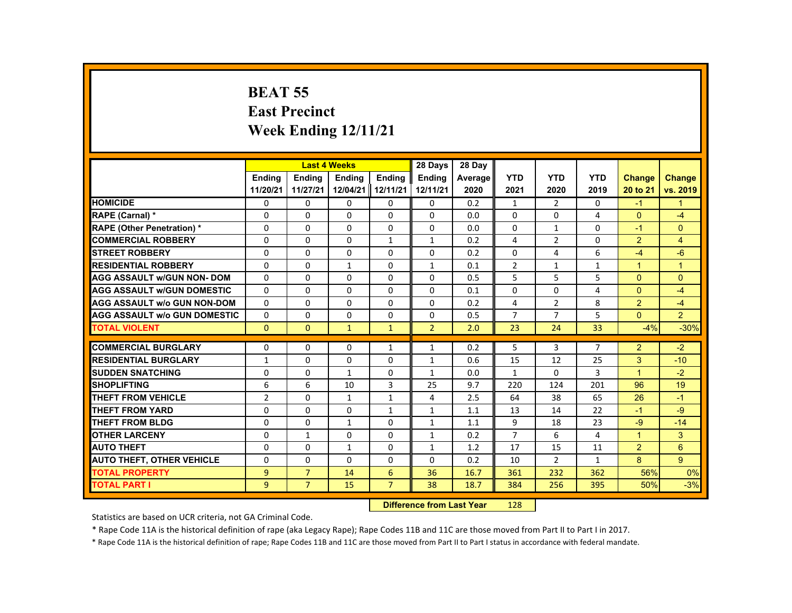# **BEAT 55 East Precinct Week Ending 12/11/21**

|                                     |                |                | <b>Last 4 Weeks</b> |                | 28 Days        | 28 Day  |                |                |                |                |                |
|-------------------------------------|----------------|----------------|---------------------|----------------|----------------|---------|----------------|----------------|----------------|----------------|----------------|
|                                     | <b>Endina</b>  | <b>Endina</b>  | <b>Endina</b>       | <b>Endina</b>  | <b>Endina</b>  | Average | <b>YTD</b>     | <b>YTD</b>     | <b>YTD</b>     | <b>Change</b>  | <b>Change</b>  |
|                                     | 11/20/21       | 11/27/21       | 12/04/21            | 12/11/21       | 12/11/21       | 2020    | 2021           | 2020           | 2019           | 20 to 21       | vs. 2019       |
| <b>HOMICIDE</b>                     | 0              | $\mathbf{0}$   | 0                   | 0              | 0              | 0.2     | $\mathbf{1}$   | $\overline{2}$ | 0              | $-1$           | $\mathbf{1}$   |
| <b>RAPE (Carnal) *</b>              | $\Omega$       | $\Omega$       | $\Omega$            | $\Omega$       | $\Omega$       | 0.0     | $\Omega$       | $\Omega$       | 4              | $\Omega$       | $-4$           |
| <b>RAPE (Other Penetration) *</b>   | $\Omega$       | $\Omega$       | $\Omega$            | $\Omega$       | $\Omega$       | 0.0     | $\Omega$       | $\mathbf{1}$   | $\Omega$       | $-1$           | $\Omega$       |
| <b>COMMERCIAL ROBBERY</b>           | 0              | $\mathbf{0}$   | 0                   | $\mathbf{1}$   | $\mathbf{1}$   | 0.2     | 4              | $\overline{2}$ | 0              | $\overline{2}$ | 4              |
| <b>STREET ROBBERY</b>               | 0              | $\Omega$       | $\Omega$            | $\Omega$       | $\Omega$       | 0.2     | $\Omega$       | 4              | 6              | $-4$           | $-6$           |
| <b>RESIDENTIAL ROBBERY</b>          | $\Omega$       | $\Omega$       | $\mathbf{1}$        | $\Omega$       | $\mathbf{1}$   | 0.1     | $\overline{2}$ | $\mathbf{1}$   | $\mathbf{1}$   | $\mathbf{1}$   | $\mathbf{1}$   |
| <b>AGG ASSAULT w/GUN NON-DOM</b>    | $\Omega$       | $\mathbf{0}$   | 0                   | 0              | $\Omega$       | 0.5     | 5              | 5              | 5              | $\Omega$       | $\Omega$       |
| <b>AGG ASSAULT W/GUN DOMESTIC</b>   | $\Omega$       | $\Omega$       | $\Omega$            | $\Omega$       | 0              | 0.1     | 0              | 0              | 4              | $\Omega$       | $-4$           |
| <b>AGG ASSAULT w/o GUN NON-DOM</b>  | $\Omega$       | $\mathbf{0}$   | 0                   | $\Omega$       | $\Omega$       | 0.2     | 4              | $\overline{2}$ | 8              | $\overline{2}$ | $-4$           |
| <b>AGG ASSAULT W/o GUN DOMESTIC</b> | $\Omega$       | $\Omega$       | $\Omega$            | $\Omega$       | $\Omega$       | 0.5     | $\overline{7}$ | $\overline{7}$ | 5              | $\Omega$       | $\overline{2}$ |
| <b>TOTAL VIOLENT</b>                | $\Omega$       | $\Omega$       | $\mathbf{1}$        | $\mathbf{1}$   | $\overline{2}$ | 2.0     | 23             | 24             | 33             | $-4%$          | $-30%$         |
|                                     |                |                |                     |                |                |         |                |                |                |                |                |
| <b>COMMERCIAL BURGLARY</b>          | $\Omega$       | $\Omega$       | $\Omega$            | $\mathbf{1}$   | $\mathbf{1}$   | 0.2     | 5              | 3              | $\overline{7}$ | $\overline{2}$ | $-2$           |
| <b>RESIDENTIAL BURGLARY</b>         | $\mathbf{1}$   | $\mathbf{0}$   | 0                   | 0              | $\mathbf{1}$   | 0.6     | 15             | 12             | 25             | 3              | $-10$          |
| <b>SUDDEN SNATCHING</b>             | $\Omega$       | $\Omega$       | $\mathbf{1}$        | $\Omega$       | $\mathbf{1}$   | 0.0     | $\mathbf{1}$   | $\Omega$       | 3              | $\mathbf{1}$   | $-2$           |
| <b>SHOPLIFTING</b>                  | 6              | 6              | 10                  | $\mathbf{3}$   | 25             | 9.7     | 220            | 124            | 201            | 96             | 19             |
| THEFT FROM VEHICLE                  | $\overline{2}$ | $\mathbf{0}$   | $\mathbf{1}$        | $\mathbf{1}$   | 4              | 2.5     | 64             | 38             | 65             | 26             | $-1$           |
| <b>THEFT FROM YARD</b>              | $\Omega$       | $\Omega$       | $\Omega$            | $\mathbf{1}$   | $\mathbf{1}$   | 1.1     | 13             | 14             | 22             | $-1$           | -9             |
| <b>THEFT FROM BLDG</b>              | $\Omega$       | $\Omega$       | $\mathbf{1}$        | $\Omega$       | $\mathbf{1}$   | 1.1     | 9              | 18             | 23             | $-9$           | $-14$          |
| <b>OTHER LARCENY</b>                | 0              | 1              | 0                   | 0              | $\mathbf{1}$   | 0.2     | $\overline{7}$ | 6              | 4              | $\mathbf{1}$   | 3              |
| <b>AUTO THEFT</b>                   | $\Omega$       | $\Omega$       | $\mathbf{1}$        | $\Omega$       | $\mathbf{1}$   | 1.2     | 17             | 15             | 11             | $\overline{2}$ | 6              |
| <b>AUTO THEFT, OTHER VEHICLE</b>    | $\Omega$       | $\Omega$       | $\Omega$            | $\Omega$       | $\Omega$       | 0.2     | 10             | $\overline{2}$ | $\mathbf{1}$   | 8              | 9              |
| <b>TOTAL PROPERTY</b>               | $\overline{9}$ | $\overline{7}$ | 14                  | 6              | 36             | 16.7    | 361            | 232            | 362            | 56%            | 0%             |
| <b>TOTAL PART I</b>                 | $\overline{9}$ | $\overline{7}$ | 15                  | $\overline{7}$ | 38             | 18.7    | 384            | 256            | 395            | 50%            | $-3%$          |

#### **Difference from Last Year**r 128

Statistics are based on UCR criteria, not GA Criminal Code.

\* Rape Code 11A is the historical definition of rape (aka Legacy Rape); Rape Codes 11B and 11C are those moved from Part II to Part I in 2017.